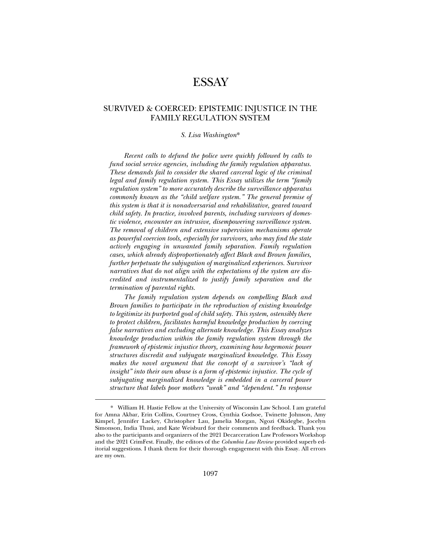# ESSAY

# SURVIVED & COERCED: EPISTEMIC INJUSTICE IN THE FAMILY REGULATION SYSTEM

#### *S. Lisa Washington*\*

*Recent calls to defund the police were quickly followed by calls to fund social service agencies, including the family regulation apparatus. These demands fail to consider the shared carceral logic of the criminal legal and family regulation system. This Essay utilizes the term "family regulation system" to more accurately describe the surveillance apparatus commonly known as the "child welfare system." The general premise of this system is that it is nonadversarial and rehabilitative, geared toward child safety. In practice, involved parents, including survivors of domestic violence, encounter an intrusive, disempowering surveillance system. The removal of children and extensive supervision mechanisms operate as powerful coercion tools, especially for survivors, who may find the state actively engaging in unwanted family separation. Family regulation cases, which already disproportionately affect Black and Brown families, further perpetuate the subjugation of marginalized experiences. Survivor narratives that do not align with the expectations of the system are discredited and instrumentalized to justify family separation and the termination of parental rights.* 

*The family regulation system depends on compelling Black and Brown families to participate in the reproduction of existing knowledge to legitimize its purported goal of child safety. This system, ostensibly there to protect children, facilitates harmful knowledge production by coercing false narratives and excluding alternate knowledge. This Essay analyzes knowledge production within the family regulation system through the framework of epistemic injustice theory, examining how hegemonic power structures discredit and subjugate marginalized knowledge. This Essay makes the novel argument that the concept of a survivor's "lack of insight*" into their own abuse is a form of epistemic injustice. The cycle of *subjugating marginalized knowledge is embedded in a carceral power structure that labels poor mothers "weak" and "dependent." In response* 

<sup>\*.</sup> William H. Hastie Fellow at the University of Wisconsin Law School. I am grateful for Amna Akbar, Erin Collins, Courtney Cross, Cynthia Godsoe, Twinette Johnson, Amy Kimpel, Jennifer Lackey, Christopher Lau, Jamelia Morgan, Ngozi Okidegbe, Jocelyn Simonson, India Thusi, and Kate Weisburd for their comments and feedback. Thank you also to the participants and organizers of the 2021 Decarceration Law Professors Workshop and the 2021 CrimFest. Finally, the editors of the *Columbia Law Review* provided superb editorial suggestions. I thank them for their thorough engagement with this Essay. All errors are my own.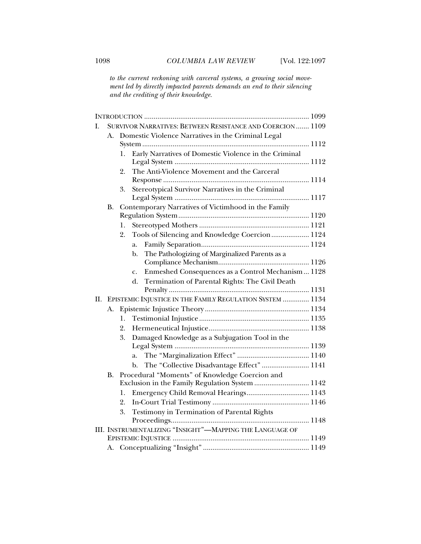*to the current reckoning with carceral systems, a growing social movement led by directly impacted parents demands an end to their silencing and the crediting of their knowledge.* 

| L  |           | SURVIVOR NARRATIVES: BETWEEN RESISTANCE AND COERCION 1109   |
|----|-----------|-------------------------------------------------------------|
|    |           | A. Domestic Violence Narratives in the Criminal Legal       |
|    |           |                                                             |
|    |           | Early Narratives of Domestic Violence in the Criminal<br>1. |
|    |           |                                                             |
|    |           | The Anti-Violence Movement and the Carceral<br>2.           |
|    |           |                                                             |
|    |           | Stereotypical Survivor Narratives in the Criminal<br>3.     |
|    |           |                                                             |
|    | <b>B.</b> | Contemporary Narratives of Victimhood in the Family         |
|    |           |                                                             |
|    |           | 1.<br>2.                                                    |
|    |           | Tools of Silencing and Knowledge Coercion 1124              |
|    |           | a.                                                          |
|    |           | The Pathologizing of Marginalized Parents as a<br>b.        |
|    |           | Enmeshed Consequences as a Control Mechanism 1128           |
|    |           | c.<br>Termination of Parental Rights: The Civil Death<br>d. |
|    |           |                                                             |
| Н. |           | EPISTEMIC INJUSTICE IN THE FAMILY REGULATION SYSTEM  1134   |
|    | A.        |                                                             |
|    |           | 1.                                                          |
|    |           | 2.                                                          |
|    |           | Damaged Knowledge as a Subjugation Tool in the<br>3.        |
|    |           |                                                             |
|    |           | a.                                                          |
|    |           | The "Collective Disadvantage Effect"  1141<br>b.            |
|    | <b>B.</b> | Procedural "Moments" of Knowledge Coercion and              |
|    |           | Exclusion in the Family Regulation System  1142             |
|    |           | Emergency Child Removal Hearings 1143<br>1.                 |
|    |           | 2.                                                          |
|    |           | Testimony in Termination of Parental Rights<br>3.           |
|    |           |                                                             |
|    |           | III. INSTRUMENTALIZING "INSIGHT"-MAPPING THE LANGUAGE OF    |
|    |           |                                                             |
|    |           |                                                             |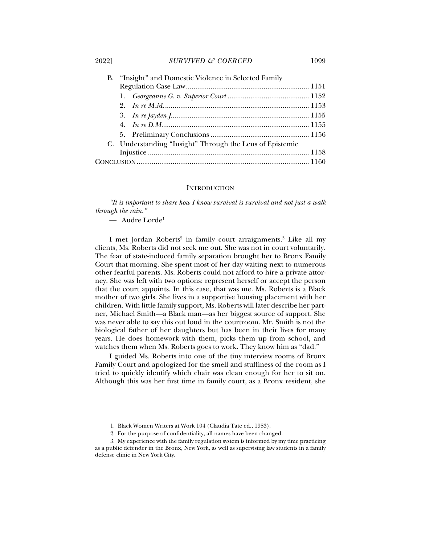2022] *SURVIVED & COERCED* 1099

| B. "Insight" and Domestic Violence in Selected Family    |  |  |  |
|----------------------------------------------------------|--|--|--|
|                                                          |  |  |  |
|                                                          |  |  |  |
|                                                          |  |  |  |
|                                                          |  |  |  |
|                                                          |  |  |  |
|                                                          |  |  |  |
| C. Understanding "Insight" Through the Lens of Epistemic |  |  |  |
|                                                          |  |  |  |
|                                                          |  |  |  |
|                                                          |  |  |  |

# **INTRODUCTION**

*"It is important to share how I know survival is survival and not just a walk through the rain."* 

— Audre Lorde1

j

I met Jordan Roberts<sup>2</sup> in family court arraignments.<sup>3</sup> Like all my clients, Ms. Roberts did not seek me out. She was not in court voluntarily. The fear of state-induced family separation brought her to Bronx Family Court that morning. She spent most of her day waiting next to numerous other fearful parents. Ms. Roberts could not afford to hire a private attorney. She was left with two options: represent herself or accept the person that the court appoints. In this case, that was me. Ms. Roberts is a Black mother of two girls. She lives in a supportive housing placement with her children. With little family support, Ms. Roberts will later describe her partner, Michael Smith—a Black man—as her biggest source of support. She was never able to say this out loud in the courtroom. Mr. Smith is not the biological father of her daughters but has been in their lives for many years. He does homework with them, picks them up from school, and watches them when Ms. Roberts goes to work. They know him as "dad."

I guided Ms. Roberts into one of the tiny interview rooms of Bronx Family Court and apologized for the smell and stuffiness of the room as I tried to quickly identify which chair was clean enough for her to sit on. Although this was her first time in family court, as a Bronx resident, she

 <sup>1.</sup> Black Women Writers at Work 104 (Claudia Tate ed., 1983).

 <sup>2.</sup> For the purpose of confidentiality, all names have been changed.

 <sup>3.</sup> My experience with the family regulation system is informed by my time practicing as a public defender in the Bronx, New York, as well as supervising law students in a family defense clinic in New York City.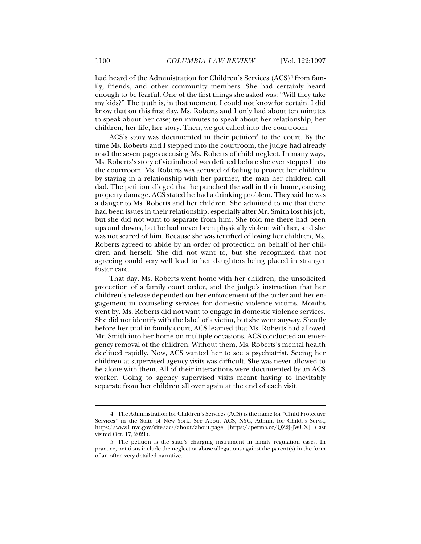had heard of the Administration for Children's Services (ACS)<sup>4</sup> from family, friends, and other community members. She had certainly heard enough to be fearful. One of the first things she asked was: "Will they take my kids?" The truth is, in that moment, I could not know for certain. I did know that on this first day, Ms. Roberts and I only had about ten minutes to speak about her case; ten minutes to speak about her relationship, her children, her life, her story. Then, we got called into the courtroom.

ACS's story was documented in their petition<sup>5</sup> to the court. By the time Ms. Roberts and I stepped into the courtroom, the judge had already read the seven pages accusing Ms. Roberts of child neglect. In many ways, Ms. Roberts's story of victimhood was defined before she ever stepped into the courtroom. Ms. Roberts was accused of failing to protect her children by staying in a relationship with her partner, the man her children call dad. The petition alleged that he punched the wall in their home, causing property damage. ACS stated he had a drinking problem. They said he was a danger to Ms. Roberts and her children. She admitted to me that there had been issues in their relationship, especially after Mr. Smith lost his job, but she did not want to separate from him. She told me there had been ups and downs, but he had never been physically violent with her, and she was not scared of him. Because she was terrified of losing her children, Ms. Roberts agreed to abide by an order of protection on behalf of her children and herself. She did not want to, but she recognized that not agreeing could very well lead to her daughters being placed in stranger foster care.

That day, Ms. Roberts went home with her children, the unsolicited protection of a family court order, and the judge's instruction that her children's release depended on her enforcement of the order and her engagement in counseling services for domestic violence victims. Months went by. Ms. Roberts did not want to engage in domestic violence services. She did not identify with the label of a victim, but she went anyway. Shortly before her trial in family court, ACS learned that Ms. Roberts had allowed Mr. Smith into her home on multiple occasions. ACS conducted an emergency removal of the children. Without them, Ms. Roberts's mental health declined rapidly. Now, ACS wanted her to see a psychiatrist. Seeing her children at supervised agency visits was difficult. She was never allowed to be alone with them. All of their interactions were documented by an ACS worker. Going to agency supervised visits meant having to inevitably separate from her children all over again at the end of each visit.

 <sup>4.</sup> The Administration for Children's Services (ACS) is the name for "Child Protective Services" in the State of New York. See About ACS, NYC, Admin. for Child.'s Servs., https://www1.nyc.gov/site/acs/about/about.page [https://perma.cc/QZ2J-JWUX] (last visited Oct. 17, 2021).

 <sup>5.</sup> The petition is the state's charging instrument in family regulation cases. In practice, petitions include the neglect or abuse allegations against the parent(s) in the form of an often very detailed narrative.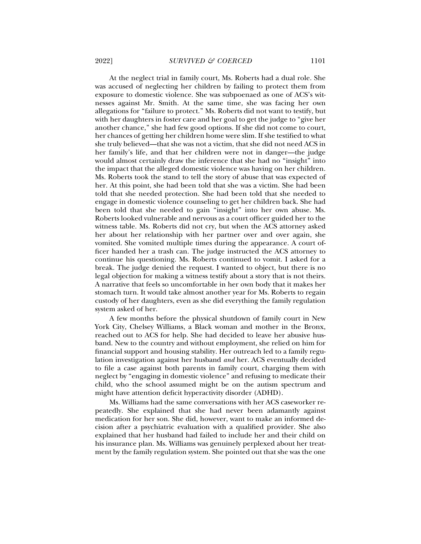At the neglect trial in family court, Ms. Roberts had a dual role. She was accused of neglecting her children by failing to protect them from exposure to domestic violence. She was subpoenaed as one of ACS's witnesses against Mr. Smith. At the same time, she was facing her own allegations for "failure to protect." Ms. Roberts did not want to testify, but with her daughters in foster care and her goal to get the judge to "give her another chance," she had few good options. If she did not come to court, her chances of getting her children home were slim. If she testified to what she truly believed—that she was not a victim, that she did not need ACS in her family's life, and that her children were not in danger—the judge would almost certainly draw the inference that she had no "insight" into the impact that the alleged domestic violence was having on her children. Ms. Roberts took the stand to tell the story of abuse that was expected of her. At this point, she had been told that she was a victim. She had been told that she needed protection. She had been told that she needed to engage in domestic violence counseling to get her children back. She had been told that she needed to gain "insight" into her own abuse. Ms. Roberts looked vulnerable and nervous as a court officer guided her to the witness table. Ms. Roberts did not cry, but when the ACS attorney asked her about her relationship with her partner over and over again, she vomited. She vomited multiple times during the appearance. A court officer handed her a trash can. The judge instructed the ACS attorney to continue his questioning. Ms. Roberts continued to vomit. I asked for a break. The judge denied the request. I wanted to object, but there is no legal objection for making a witness testify about a story that is not theirs. A narrative that feels so uncomfortable in her own body that it makes her stomach turn. It would take almost another year for Ms. Roberts to regain custody of her daughters, even as she did everything the family regulation system asked of her.

A few months before the physical shutdown of family court in New York City, Chelsey Williams, a Black woman and mother in the Bronx, reached out to ACS for help. She had decided to leave her abusive husband. New to the country and without employment, she relied on him for financial support and housing stability. Her outreach led to a family regulation investigation against her husband *and* her. ACS eventually decided to file a case against both parents in family court, charging them with neglect by "engaging in domestic violence" and refusing to medicate their child, who the school assumed might be on the autism spectrum and might have attention deficit hyperactivity disorder (ADHD).

Ms. Williams had the same conversations with her ACS caseworker repeatedly. She explained that she had never been adamantly against medication for her son. She did, however, want to make an informed decision after a psychiatric evaluation with a qualified provider. She also explained that her husband had failed to include her and their child on his insurance plan. Ms. Williams was genuinely perplexed about her treatment by the family regulation system. She pointed out that she was the one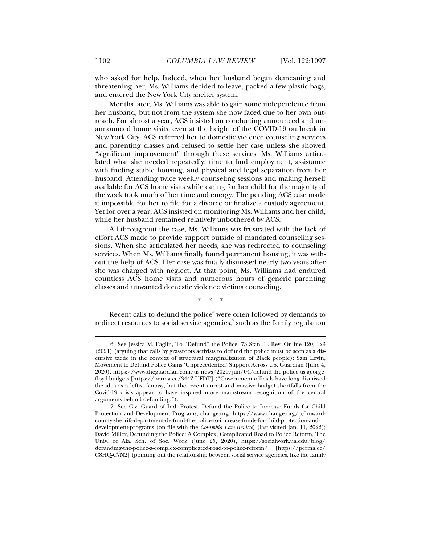who asked for help. Indeed, when her husband began demeaning and threatening her, Ms. Williams decided to leave, packed a few plastic bags, and entered the New York City shelter system.

Months later, Ms. Williams was able to gain some independence from her husband, but not from the system she now faced due to her own outreach. For almost a year, ACS insisted on conducting announced and unannounced home visits, even at the height of the COVID-19 outbreak in New York City. ACS referred her to domestic violence counseling services and parenting classes and refused to settle her case unless she showed "significant improvement" through these services. Ms. Williams articulated what she needed repeatedly: time to find employment, assistance with finding stable housing, and physical and legal separation from her husband. Attending twice weekly counseling sessions and making herself available for ACS home visits while caring for her child for the majority of the week took much of her time and energy. The pending ACS case made it impossible for her to file for a divorce or finalize a custody agreement. Yet for over a year, ACS insisted on monitoring Ms. Williams and her child, while her husband remained relatively unbothered by ACS.

All throughout the case, Ms. Williams was frustrated with the lack of effort ACS made to provide support outside of mandated counseling sessions. When she articulated her needs, she was redirected to counseling services. When Ms. Williams finally found permanent housing, it was without the help of ACS. Her case was finally dismissed nearly two years after she was charged with neglect. At that point, Ms. Williams had endured countless ACS home visits and numerous hours of generic parenting classes and unwanted domestic violence victims counseling.

\* \* \*

Recent calls to defund the police $6$  were often followed by demands to redirect resources to social service agencies,<sup>7</sup> such as the family regulation

 <sup>6.</sup> See Jessica M. Eaglin, To "Defund" the Police, 73 Stan. L. Rev. Online 120, 123 (2021) (arguing that calls by grassroots activists to defund the police must be seen as a discursive tactic in the context of structural marginalization of Black people); Sam Levin, Movement to Defund Police Gains 'Unprecedented' Support Across US, Guardian (June 4, 2020), https://www.theguardian.com/us-news/2020/jun/04/defund-the-police-us-georgefloyd-budgets [https://perma.cc/344Z-UFDT] ("Government officials have long dismissed the idea as a leftist fantasy, but the recent unrest and massive budget shortfalls from the Covid-19 crisis appear to have inspired more mainstream recognition of the central arguments behind defunding.").

 <sup>7.</sup> See Civ. Guard of Ind. Protest, Defund the Police to Increase Funds for Child Protection and Development Programs, change.org, https://www.change.org/p/howardcounty-sherrifs-department-de-fund-the-police-to-increase-funds-for-child-protection-anddevelopment-programs (on file with the *Columbia Law Review*) (last visited Jan. 11, 2022); David Miller, Defunding the Police: A Complex, Complicated Road to Police Reform, The Univ. of Ala. Sch. of Soc. Work (June 25, 2020), https://socialwork.ua.edu/blog/ defunding-the-police-a-complex-complicated-road-to-police-reform/ [https://perma.cc/ C8HQ-C7N2] (pointing out the relationship between social service agencies, like the family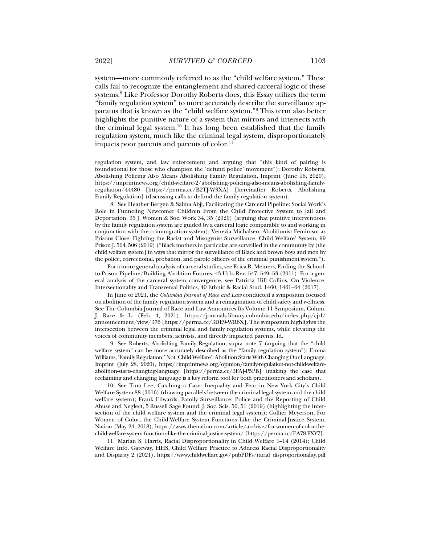system—more commonly referred to as the "child welfare system." These calls fail to recognize the entanglement and shared carceral logic of these systems.8 Like Professor Dorothy Roberts does, this Essay utilizes the term "family regulation system" to more accurately describe the surveillance apparatus that is known as the "child welfare system."9 This term also better highlights the punitive nature of a system that mirrors and intersects with the criminal legal system.<sup>10</sup> It has long been established that the family regulation system, much like the criminal legal system, disproportionately impacts poor parents and parents of color.<sup>11</sup>

 8. See Heather Bergen & Salina Abji, Facilitating the Carceral Pipeline: Social Work's Role in Funneling Newcomer Children From the Child Protective System to Jail and Deportation, 35 J. Women & Soc. Work 34, 35 (2020) (arguing that punitive interventions by the family regulation system are guided by a carceral logic comparable to and working in conjunction with the crimmigration system); Venezia Michalsen, Abolitionist Feminism as Prisons Close: Fighting the Racist and Misogynist Surveillance 'Child Welfare' System, 99 Prison J. 504, 506 (2019) ("Black mothers in particular are surveilled in the community by [the child welfare system] in ways that mirror the surveillance of Black and brown boys and men by the police, correctional, probation, and parole officers of the criminal punishment system.").

For a more general analysis of carceral studies, see Erica R. Meiners, Ending the Schoolto-Prison Pipeline/Building Abolition Futures, 43 Urb. Rev. 547, 549–53 (2011). For a general analysis of the carceral system convergence, see Patricia Hill Collins, On Violence, Intersectionality and Transversal Politics, 40 Ethnic & Racial Stud. 1460, 1461–64 (2017).

In June of 2021, the *Columbia Journal of Race and Law* conducted a symposium focused on abolition of the family regulation system and a reimagination of child safety and wellness. See The Columbia Journal of Race and Law Announces Its Volume 11 Symposium, Colum. J. Race & L. (Feb. 4, 2021), https://journals.library.columbia.edu/index.php/cjrl/ announcement/view/376 [https://perma.cc/3DE9-WR6X]. The symposium highlights the intersection between the criminal legal and family regulation systems, while elevating the voices of community members, activists, and directly impacted parents. Id.

 9. See Roberts, Abolishing Family Regulation, supra note 7 (arguing that the "child welfare system" can be more accurately described as the "family regulation system"); Emma Williams, 'Family Regulation,' Not 'Child Welfare': Abolition Starts With Changing Our Language, Imprint (July 28, 2020), https://imprintnews.org/opinion/family-regulation-not-child-welfareabolition-starts-changing-language [https://perma.cc/3FAJ-P5PB] (making the case that reclaiming and changing language is a key reform tool for both practitioners and scholars).

 10. See Tina Lee, Catching a Case: Inequality and Fear in New York City's Child Welfare System 88 (2016) (drawing parallels between the criminal legal system and the child welfare system); Frank Edwards, Family Surveillance: Police and the Reporting of Child Abuse and Neglect, 5 Russell Sage Found. J. Soc. Scis. 50, 51 (2019) (highlighting the intersection of the child welfare system and the criminal legal system); Collier Meyerson, For Women of Color, the Child-Welfare System Functions Like the Criminal-Justice System, Nation (May 24, 2018), https://www.thenation.com/article/archive/for-women-of-color-thechild-welfare-system-functions-like-the-criminal-justice-system/ [https://perma.cc/EA78-FXY7].

 11. Marian S. Harris, Racial Disproportionality in Child Welfare 1–14 (2014); Child Welfare Info. Gateway, HHS, Child Welfare Practice to Address Racial Disproportionality and Disparity 2 (2021), https://www.childwelfare.gov/pubPDFs/racial\_disproportionality.pdf

regulation system, and law enforcement and arguing that "this kind of pairing is foundational for those who champion the 'defund police' movement"); Dorothy Roberts, Abolishing Policing Also Means Abolishing Family Regulation, Imprint (June 16, 2020), https://imprintnews.org/child-welfare-2/abolishing-policing-also-means-abolishing-familyregulation/44480 [https://perma.cc/B2TJ-W3XA] [hereinafter Roberts, Abolishing Family Regulation] (discussing calls to defund the family regulation system).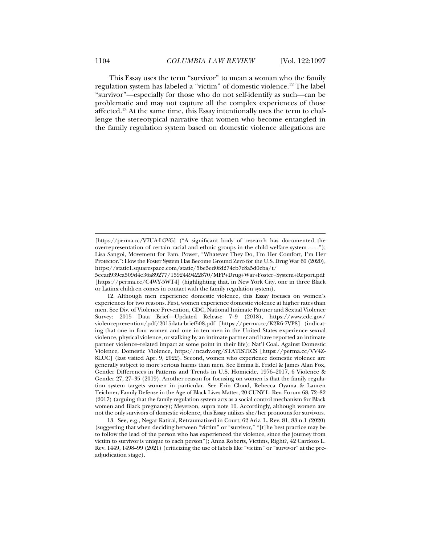This Essay uses the term "survivor" to mean a woman who the family regulation system has labeled a "victim" of domestic violence.12 The label "survivor"—especially for those who do not self-identify as such—can be problematic and may not capture all the complex experiences of those affected.13 At the same time, this Essay intentionally uses the term to challenge the stereotypical narrative that women who become entangled in the family regulation system based on domestic violence allegations are

5eead939ca509d4e36a89277/1592449422870/MFP+Drug+War+Foster+System+Report.pdf [https://perma.cc/C4WY-5WT4] (highlighting that, in New York City, one in three Black or Latinx children comes in contact with the family regulation system).

 12. Although men experience domestic violence, this Essay focuses on women's experiences for two reasons. First, women experience domestic violence at higher rates than men. See Div. of Violence Prevention, CDC, National Intimate Partner and Sexual Violence Survey: 2015 Data Brief—Updated Release 7–9 (2018), https://www.cdc.gov/ violenceprevention/pdf/2015data-brief508.pdf [https://perma.cc/K2R6-7VP8] (indicating that one in four women and one in ten men in the United States experience sexual violence, physical violence, or stalking by an intimate partner and have reported an intimate partner violence–related impact at some point in their life); Nat'l Coal. Against Domestic Violence, Domestic Violence, https://ncadv.org/STATISTICS [https://perma.cc/VV4Z-8LUC] (last visited Apr. 9, 2022). Second, women who experience domestic violence are generally subject to more serious harms than men. See Emma E. Fridel & James Alan Fox, Gender Differences in Patterns and Trends in U.S. Homicide, 1976–2017, 6 Violence & Gender 27, 27–35 (2019). Another reason for focusing on women is that the family regulation system targets women in particular. See Erin Cloud, Rebecca Oyama & Lauren Teichner, Family Defense in the Age of Black Lives Matter, 20 CUNY L. Rev. Forum 68, 72–82 (2017) (arguing that the family regulation system acts as a social control mechanism for Black women and Black pregnancy); Meyerson, supra note 10. Accordingly, although women are not the only survivors of domestic violence, this Essay utilizes she/her pronouns for survivors.

 13. See, e.g., Negar Katirai, Retraumatized in Court, 62 Ariz. L. Rev. 81, 83 n.1 (2020) (suggesting that when deciding between "victim" or "survivor," "[t]he best practice may be to follow the lead of the person who has experienced the violence, since the journey from victim to survivor is unique to each person"); Anna Roberts, Victims, Right?, 42 Cardozo L. Rev. 1449, 1498–99 (2021) (criticizing the use of labels like "victim" or "survivor" at the preadjudication stage).

<sup>[</sup>https://perma.cc/V7UA-LGYG] ("A significant body of research has documented the overrepresentation of certain racial and ethnic groups in the child welfare system . . . ."); Lisa Sangoi, Movement for Fam. Power, "Whatever They Do, I'm Her Comfort, I'm Her Protector.": How the Foster System Has Become Ground Zero for the U.S. Drug War 60 (2020), https://static1.squarespace.com/static/5be5ed0fd274cb7c8a5d0cba/t/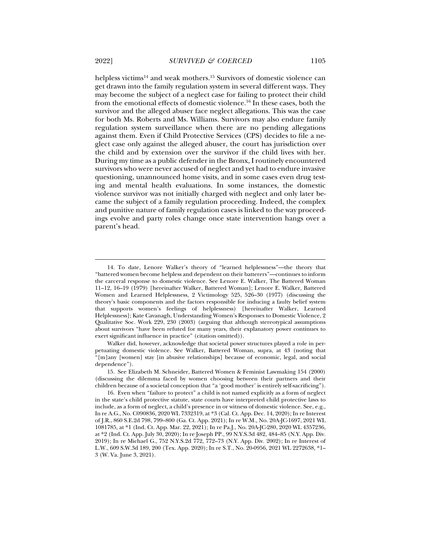helpless victims<sup>14</sup> and weak mothers.<sup>15</sup> Survivors of domestic violence can get drawn into the family regulation system in several different ways. They may become the subject of a neglect case for failing to protect their child from the emotional effects of domestic violence.16 In these cases, both the survivor and the alleged abuser face neglect allegations. This was the case for both Ms. Roberts and Ms. Williams. Survivors may also endure family regulation system surveillance when there are no pending allegations against them. Even if Child Protective Services (CPS) decides to file a neglect case only against the alleged abuser, the court has jurisdiction over the child and by extension over the survivor if the child lives with her. During my time as a public defender in the Bronx, I routinely encountered survivors who were never accused of neglect and yet had to endure invasive questioning, unannounced home visits, and in some cases even drug testing and mental health evaluations. In some instances, the domestic violence survivor was not initially charged with neglect and only later became the subject of a family regulation proceeding. Indeed, the complex and punitive nature of family regulation cases is linked to the way proceedings evolve and party roles change once state intervention hangs over a parent's head.

 <sup>14.</sup> To date, Lenore Walker's theory of "learned helplessness"—the theory that "battered women become helpless and dependent on their batterers"—continues to inform the carceral response to domestic violence. See Lenore E. Walker, The Battered Woman 11–12, 16–19 (1979) [hereinafter Walker, Battered Woman]; Lenore E. Walker, Battered Women and Learned Helplessness, 2 Victimology 525, 526–30 (1977) (discussing the theory's basic components and the factors responsible for inducing a faulty belief system that supports women's feelings of helplessness) [hereinafter Walker, Learned Helplessness]; Kate Cavanagh, Understanding Women's Responses to Domestic Violence, 2 Qualitative Soc. Work 229, 230 (2003) (arguing that although stereotypical assumptions about survivors "have been refuted for many years, their explanatory power continues to exert significant influence in practice" (citation omitted)).

Walker did, however, acknowledge that societal power structures played a role in perpetuating domestic violence. See Walker, Battered Woman, supra, at 43 (noting that "[m]any [women] stay [in abusive relationships] because of economic, legal, and social dependence").

 <sup>15.</sup> See Elizabeth M. Schneider, Battered Women & Feminist Lawmaking 154 (2000) (discussing the dilemma faced by women choosing between their partners and their children because of a societal conception that "a 'good mother' is entirely self-sacrificing").

 <sup>16.</sup> Even when "failure to protect" a child is not named explicitly as a form of neglect in the state's child protective statute, state courts have interpreted child protective laws to include, as a form of neglect, a child's presence in or witness of domestic violence. See, e.g., In re A.G., No. C090836, 2020 WL 7332319, at \*3 (Cal. Ct. App. Dec. 14, 2020); In re Interest of J.R., 860 S.E.2d 798, 799–800 (Ga. Ct. App. 2021); In re W.M., No. 20A-JC-1697, 2021 WL 1081785, at \*1 (Ind. Ct. App. Mar. 22, 2021); In re Pa.J., No. 20A-JC-280, 2020 WL 4357236, at \*2 (Ind. Ct. App. July 30, 2020); In re Joseph PP., 99 N.Y.S.3d 482, 484–85 (N.Y. App. Div. 2019); In re Michael G., 752 N.Y.S.2d 772, 772–73 (N.Y. App. Div. 2002); In re Interest of L.W., 609 S.W.3d 189, 200 (Tex. App. 2020); In re S.T., No. 20-0956, 2021 WL 2272638, \*1– 3 (W. Va. June 3, 2021).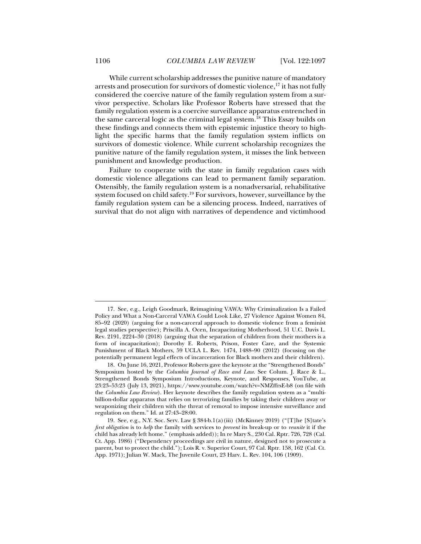While current scholarship addresses the punitive nature of mandatory arrests and prosecution for survivors of domestic violence, $17$  it has not fully considered the coercive nature of the family regulation system from a survivor perspective. Scholars like Professor Roberts have stressed that the family regulation system is a coercive surveillance apparatus entrenched in the same carceral logic as the criminal legal system.18 This Essay builds on these findings and connects them with epistemic injustice theory to highlight the specific harms that the family regulation system inflicts on survivors of domestic violence. While current scholarship recognizes the punitive nature of the family regulation system, it misses the link between punishment and knowledge production.

Failure to cooperate with the state in family regulation cases with domestic violence allegations can lead to permanent family separation. Ostensibly, the family regulation system is a nonadversarial, rehabilitative system focused on child safety.<sup>19</sup> For survivors, however, surveillance by the family regulation system can be a silencing process. Indeed, narratives of survival that do not align with narratives of dependence and victimhood

 <sup>17.</sup> See, e.g., Leigh Goodmark, Reimagining VAWA: Why Criminalization Is a Failed Policy and What a Non-Carceral VAWA Could Look Like, 27 Violence Against Women 84, 85–92 (2020) (arguing for a non-carceral approach to domestic violence from a feminist legal studies perspective); Priscilla A. Ocen, Incapacitating Motherhood, 51 U.C. Davis L. Rev. 2191, 2224–30 (2018) (arguing that the separation of children from their mothers is a form of incapacitation); Dorothy E. Roberts, Prison, Foster Care, and the Systemic Punishment of Black Mothers, 59 UCLA L. Rev. 1474, 1488–90 (2012) (focusing on the potentially permanent legal effects of incarceration for Black mothers and their children).

 <sup>18.</sup> On June 16, 2021, Professor Roberts gave the keynote at the "Strengthened Bonds" Symposium hosted by the *Columbia Journal of Race and Law*. See Colum. J. Race & L., Strengthened Bonds Symposium Introductions, Keynote, and Responses, YouTube, at 23:23–53:23 (July 13, 2021), https://www.youtube.com/watch?v=NMZffrsE-b8 (on file with the *Columbia Law Review*). Her keynote describes the family regulation system as a "multibillion-dollar apparatus that relies on terrorizing families by taking their children away or weaponizing their children with the threat of removal to impose intensive surveillance and regulation on them." Id. at 27:43–28:00.

 <sup>19.</sup> See, e.g., N.Y. Soc. Serv. Law § 384-b.1(a)(iii) (McKinney 2019) ("[T]he [S]tate's *first obligation* is to *help* the family with services to *prevent* its break-up or to *reunite* it if the child has already left home." (emphasis added)); In re Mary S., 230 Cal. Rptr. 726, 728 (Cal. Ct. App. 1986) ("Dependency proceedings are civil in nature, designed not to prosecute a parent, but to protect the child."); Lois R. v. Superior Court, 97 Cal. Rptr. 158, 162 (Cal. Ct. App. 1971); Julian W. Mack, The Juvenile Court, 23 Harv. L. Rev. 104, 106 (1909).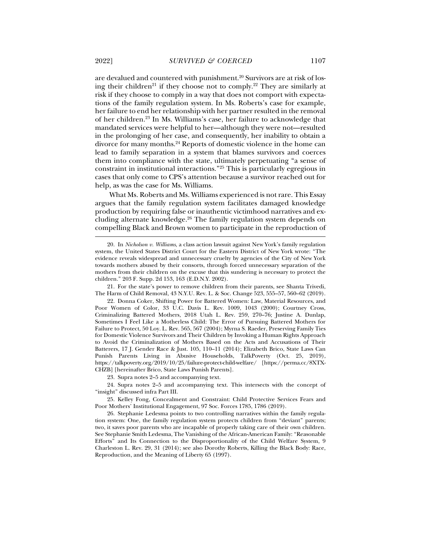are devalued and countered with punishment.<sup>20</sup> Survivors are at risk of losing their children<sup>21</sup> if they choose not to comply.<sup>22</sup> They are similarly at risk if they choose to comply in a way that does not comport with expectations of the family regulation system. In Ms. Roberts's case for example, her failure to end her relationship with her partner resulted in the removal of her children.23 In Ms. Williams's case, her failure to acknowledge that mandated services were helpful to her—although they were not—resulted in the prolonging of her case, and consequently, her inability to obtain a divorce for many months.24 Reports of domestic violence in the home can lead to family separation in a system that blames survivors and coerces them into compliance with the state, ultimately perpetuating "a sense of constraint in institutional interactions."25 This is particularly egregious in cases that only come to CPS's attention because a survivor reached out for help, as was the case for Ms. Williams.

What Ms. Roberts and Ms. Williams experienced is not rare. This Essay argues that the family regulation system facilitates damaged knowledge production by requiring false or inauthentic victimhood narratives and excluding alternate knowledge. $26$  The family regulation system depends on compelling Black and Brown women to participate in the reproduction of

 21. For the state's power to remove children from their parents, see Shanta Trivedi, The Harm of Child Removal, 43 N.Y.U. Rev. L. & Soc. Change 523, 555–57, 560–62 (2019).

 22. Donna Coker, Shifting Power for Battered Women: Law, Material Resources, and Poor Women of Color, 33 U.C. Davis L. Rev. 1009, 1043 (2000); Courtney Cross, Criminalizing Battered Mothers, 2018 Utah L. Rev. 259, 270–76; Justine A. Dunlap, Sometimes I Feel Like a Motherless Child: The Error of Pursuing Battered Mothers for Failure to Protect, 50 Loy. L. Rev. 565, 567 (2004); Myrna S. Raeder, Preserving Family Ties for Domestic Violence Survivors and Their Children by Invoking a Human Rights Approach to Avoid the Criminalization of Mothers Based on the Acts and Accusations of Their Batterers, 17 J. Gender Race & Just. 105, 110–11 (2014); Elizabeth Brico, State Laws Can Punish Parents Living in Abusive Households, TalkPoverty (Oct. 25, 2019), https://talkpoverty.org/2019/10/25/failure-protect-child-welfare/ [https://perma.cc/8XTX-CHZB] [hereinafter Brico, State Laws Punish Parents].

23. Supra notes 2–5 and accompanying text.

 24. Supra notes 2–5 and accompanying text. This intersects with the concept of "insight" discussed infra Part III.

 25. Kelley Fong, Concealment and Constraint: Child Protective Services Fears and Poor Mothers' Institutional Engagement, 97 Soc. Forces 1785, 1786 (2019).

 26. Stephanie Ledesma points to two controlling narratives within the family regulation system: One, the family regulation system protects children from "deviant" parents; two, it saves poor parents who are incapable of properly taking care of their own children. See Stephanie Smith Ledesma, The Vanishing of the African-American Family: "Reasonable Efforts" and Its Connection to the Disproportionality of the Child Welfare System, 9 Charleston L. Rev. 29, 31 (2014); see also Dorothy Roberts, Killing the Black Body: Race, Reproduction, and the Meaning of Liberty 65 (1997).

 <sup>20.</sup> In *Nicholson v. Williams*, a class action lawsuit against New York's family regulation system, the United States District Court for the Eastern District of New York wrote: "The evidence reveals widespread and unnecessary cruelty by agencies of the City of New York towards mothers abused by their consorts, through forced unnecessary separation of the mothers from their children on the excuse that this sundering is necessary to protect the children." 203 F. Supp. 2d 153, 163 (E.D.N.Y. 2002).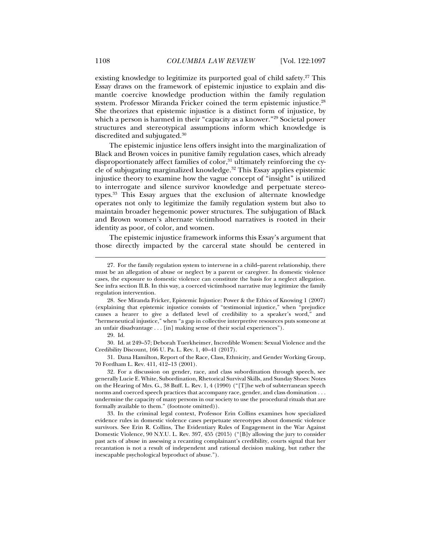existing knowledge to legitimize its purported goal of child safety.<sup>27</sup> This Essay draws on the framework of epistemic injustice to explain and dismantle coercive knowledge production within the family regulation system. Professor Miranda Fricker coined the term epistemic injustice.<sup>28</sup> She theorizes that epistemic injustice is a distinct form of injustice, by which a person is harmed in their "capacity as a knower."29 Societal power structures and stereotypical assumptions inform which knowledge is discredited and subjugated.30

The epistemic injustice lens offers insight into the marginalization of Black and Brown voices in punitive family regulation cases, which already disproportionately affect families of color, $31$  ultimately reinforcing the cycle of subjugating marginalized knowledge.32 This Essay applies epistemic injustice theory to examine how the vague concept of "insight" is utilized to interrogate and silence survivor knowledge and perpetuate stereotypes.33 This Essay argues that the exclusion of alternate knowledge operates not only to legitimize the family regulation system but also to maintain broader hegemonic power structures. The subjugation of Black and Brown women's alternate victimhood narratives is rooted in their identity as poor, of color, and women.

The epistemic injustice framework informs this Essay's argument that those directly impacted by the carceral state should be centered in

j

 31. Dana Hamilton, Report of the Race, Class, Ethnicity, and Gender Working Group, 70 Fordham L. Rev. 411, 412–13 (2001).

 32. For a discussion on gender, race, and class subordination through speech, see generally Lucie E. White, Subordination, Rhetorical Survival Skills, and Sunday Shoes: Notes on the Hearing of Mrs. G., 38 Buff. L. Rev. 1, 4 (1990) ("[T]he web of subterranean speech norms and coerced speech practices that accompany race, gender, and class domination . . . undermine the capacity of many persons in our society to use the procedural rituals that are formally available to them." (footnote omitted)).

 33. In the criminal legal context, Professor Erin Collins examines how specialized evidence rules in domestic violence cases perpetuate stereotypes about domestic violence survivors. See Erin R. Collins, The Evidentiary Rules of Engagement in the War Against Domestic Violence, 90 N.Y.U. L. Rev. 397, 455 (2015) ("[B]y allowing the jury to consider past acts of abuse in assessing a recanting complainant's credibility, courts signal that her recantation is not a result of independent and rational decision making, but rather the inescapable psychological byproduct of abuse.").

 <sup>27.</sup> For the family regulation system to intervene in a child–parent relationship, there must be an allegation of abuse or neglect by a parent or caregiver. In domestic violence cases, the exposure to domestic violence can constitute the basis for a neglect allegation. See infra section II.B. In this way, a coerced victimhood narrative may legitimize the family regulation intervention.

 <sup>28.</sup> See Miranda Fricker, Epistemic Injustice: Power & the Ethics of Knowing 1 (2007) (explaining that epistemic injustice consists of "testimonial injustice," when "prejudice causes a hearer to give a deflated level of credibility to a speaker's word," and "hermeneutical injustice," when "a gap in collective interpretive resources puts someone at an unfair disadvantage . . . [in] making sense of their social experiences").

 <sup>29.</sup> Id.

 <sup>30.</sup> Id. at 249–57; Deborah Tuerkheimer, Incredible Women: Sexual Violence and the Credibility Discount, 166 U. Pa. L. Rev. 1, 40–41 (2017).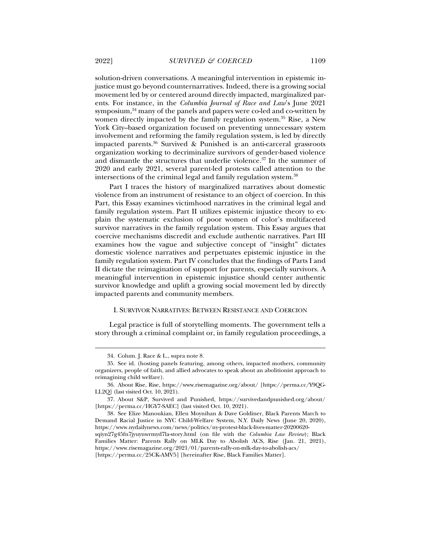solution-driven conversations. A meaningful intervention in epistemic injustice must go beyond counternarratives. Indeed, there is a growing social movement led by or centered around directly impacted, marginalized parents. For instance, in the *Columbia Journal of Race and Law*'s June 2021 symposium,<sup>34</sup> many of the panels and papers were co-led and co-written by women directly impacted by the family regulation system.<sup>35</sup> Rise, a New York City–based organization focused on preventing unnecessary system involvement and reforming the family regulation system, is led by directly impacted parents.36 Survived & Punished is an anti-carceral grassroots organization working to decriminalize survivors of gender-based violence and dismantle the structures that underlie violence.<sup>37</sup> In the summer of 2020 and early 2021, several parent-led protests called attention to the intersections of the criminal legal and family regulation system.<sup>38</sup>

Part I traces the history of marginalized narratives about domestic violence from an instrument of resistance to an object of coercion. In this Part, this Essay examines victimhood narratives in the criminal legal and family regulation system. Part II utilizes epistemic injustice theory to explain the systematic exclusion of poor women of color's multifaceted survivor narratives in the family regulation system. This Essay argues that coercive mechanisms discredit and exclude authentic narratives. Part III examines how the vague and subjective concept of "insight" dictates domestic violence narratives and perpetuates epistemic injustice in the family regulation system. Part IV concludes that the findings of Parts I and II dictate the reimagination of support for parents, especially survivors. A meaningful intervention in epistemic injustice should center authentic survivor knowledge and uplift a growing social movement led by directly impacted parents and community members.

# I. SURVIVOR NARRATIVES: BETWEEN RESISTANCE AND COERCION

Legal practice is full of storytelling moments. The government tells a story through a criminal complaint or, in family regulation proceedings, a

 <sup>34.</sup> Colum. J. Race & L., supra note 8.

 <sup>35.</sup> See id. (hosting panels featuring, among others, impacted mothers, community organizers, people of faith, and allied advocates to speak about an abolitionist approach to reimagining child welfare).

 <sup>36.</sup> About Rise, Rise, https://www.risemagazine.org/about/ [https://perma.cc/Y9QG-LL2Q] (last visited Oct. 10, 2021).

 <sup>37.</sup> About S&P, Survived and Punished, https://survivedandpunished.org/about/ [https://perma.cc/HGY7-SAEC] (last visited Oct. 10, 2021).

 <sup>38.</sup> See Elize Manoukian, Ellen Moynihan & Dave Goldiner, Black Parents March to Demand Racial Justice in NYC Child-Welfare System, N.Y. Daily News (June 20, 2020), https://www.nydailynews.com/news/politics/ny-protest-black-lives-matter-20200620 sqiyn27g45fn7jyuynwrmyd7la-story.html (on file with the *Columbia Law Review*); Black Families Matter: Parents Rally on MLK Day to Abolish ACS, Rise (Jan. 21, 2021), https://www.risemagazine.org/2021/01/parents-rally-on-mlk-day-to-abolish-acs/

<sup>[</sup>https://perma.cc/25CK-AMV5] [hereinafter Rise, Black Families Matter].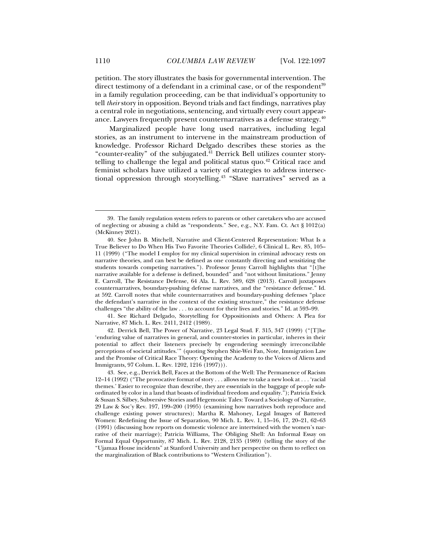petition. The story illustrates the basis for governmental intervention. The direct testimony of a defendant in a criminal case, or of the respondent $39$ in a family regulation proceeding, can be that individual's opportunity to tell *their* story in opposition. Beyond trials and fact findings, narratives play a central role in negotiations, sentencing, and virtually every court appearance. Lawyers frequently present counternarratives as a defense strategy.<sup>40</sup>

Marginalized people have long used narratives, including legal stories, as an instrument to intervene in the mainstream production of knowledge. Professor Richard Delgado describes these stories as the "counter-reality" of the subjugated.<sup>41</sup> Derrick Bell utilizes counter storytelling to challenge the legal and political status quo.<sup>42</sup> Critical race and feminist scholars have utilized a variety of strategies to address intersectional oppression through storytelling.<sup>43</sup> "Slave narratives" served as a

 41. See Richard Delgado, Storytelling for Oppositionists and Others: A Plea for Narrative, 87 Mich. L. Rev. 2411, 2412 (1989).

 42. Derrick Bell, The Power of Narrative, 23 Legal Stud. F. 315, 347 (1999) ("[T]he 'enduring value of narratives in general, and counter-stories in particular, inheres in their potential to affect their listeners precisely by engendering seemingly irreconcilable perceptions of societal attitudes.'" (quoting Stephen Shie-Wei Fan, Note, Immigration Law and the Promise of Critical Race Theory: Opening the Academy to the Voices of Aliens and Immigrants, 97 Colum. L. Rev. 1202, 1216 (1997))).

 <sup>39.</sup> The family regulation system refers to parents or other caretakers who are accused of neglecting or abusing a child as "respondents." See, e.g., N.Y. Fam. Ct. Act § 1012(a) (McKinney 2021).

 <sup>40.</sup> See John B. Mitchell, Narrative and Client-Centered Representation: What Is a True Believer to Do When His Two Favorite Theories Collide?, 6 Clinical L. Rev. 85, 105– 11 (1999) ("The model I employ for my clinical supervision in criminal advocacy rests on narrative theories, and can best be defined as one constantly directing and sensitizing the students towards competing narratives."). Professor Jenny Carroll highlights that "[t]he narrative available for a defense is defined, bounded" and "not without limitations." Jenny E. Carroll, The Resistance Defense, 64 Ala. L. Rev. 589, 628 (2013). Carroll juxtaposes counternarratives, boundary-pushing defense narratives, and the "resistance defense." Id. at 592. Carroll notes that while counternarratives and boundary-pushing defenses "place the defendant's narrative in the context of the existing structure," the resistance defense challenges "the ability of the law . . . to account for their lives and stories." Id. at 593–99.

 <sup>43.</sup> See, e.g., Derrick Bell, Faces at the Bottom of the Well: The Permanence of Racism 12–14 (1992) ("The provocative format of story . . . allows me to take a new look at . . . 'racial themes.' Easier to recognize than describe, they are essentials in the baggage of people subordinated by color in a land that boasts of individual freedom and equality."); Patricia Ewick & Susan S. Silbey, Subversive Stories and Hegemonic Tales: Toward a Sociology of Narrative, 29 Law & Soc'y Rev. 197, 199–200 (1995) (examining how narratives both reproduce and challenge existing power structures); Martha R. Mahoney, Legal Images of Battered Women: Redefining the Issue of Separation, 90 Mich. L. Rev. 1, 15–16, 17, 20–21, 62–63 (1991) (discussing how reports on domestic violence are intertwined with the women's narrative of their marriage); Patricia Williams, The Obliging Shell: An Informal Essay on Formal Equal Opportunity, 87 Mich. L. Rev. 2128, 2135 (1989) (telling the story of the "Ujamaa House incidents" at Stanford University and her perspective on them to reflect on the marginalization of Black contributions to "Western Civilization").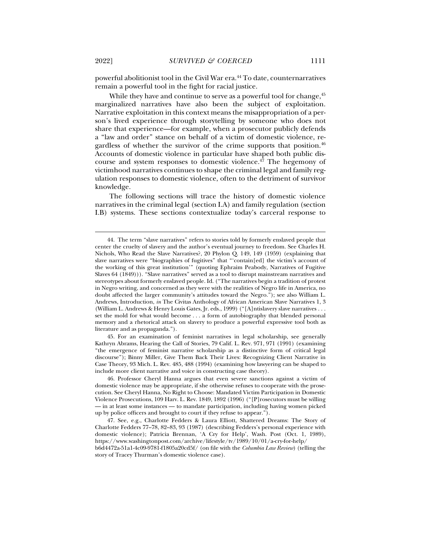powerful abolitionist tool in the Civil War era.44 To date, counternarratives remain a powerful tool in the fight for racial justice.

While they have and continue to serve as a powerful tool for change,  $45$ marginalized narratives have also been the subject of exploitation. Narrative exploitation in this context means the misappropriation of a person's lived experience through storytelling by someone who does not share that experience—for example, when a prosecutor publicly defends a "law and order" stance on behalf of a victim of domestic violence, regardless of whether the survivor of the crime supports that position. $46$ Accounts of domestic violence in particular have shaped both public discourse and system responses to domestic violence. $4\bar{7}$  The hegemony of victimhood narratives continues to shape the criminal legal and family regulation responses to domestic violence, often to the detriment of survivor knowledge.

The following sections will trace the history of domestic violence narratives in the criminal legal (section I.A) and family regulation (section I.B) systems. These sections contextualize today's carceral response to

 45. For an examination of feminist narratives in legal scholarship, see generally Kathryn Abrams, Hearing the Call of Stories, 79 Calif. L. Rev. 971, 971 (1991) (examining "the emergence of feminist narrative scholarship as a distinctive form of critical legal discourse"); Binny Miller, Give Them Back Their Lives: Recognizing Client Narrative in Case Theory, 93 Mich. L. Rev. 485, 488 (1994) (examining how lawyering can be shaped to include more client narrative and voice in constructing case theory).

 <sup>44.</sup> The term "slave narratives" refers to stories told by formerly enslaved people that center the cruelty of slavery and the author's eventual journey to freedom. See Charles H. Nichols, Who Read the Slave Narratives?, 20 Phylon Q. 149, 149 (1959) (explaining that slave narratives were "biographies of fugitives" that "'contain[ed] the victim's account of the working of this great institution'" (quoting Ephraim Peabody, Narratives of Fugitive Slaves 64 (1849))). "Slave narratives" served as a tool to disrupt mainstream narratives and stereotypes about formerly enslaved people. Id. ("The narratives begin a tradition of protest in Negro writing, and concerned as they were with the realities of Negro life in America, no doubt affected the larger community's attitudes toward the Negro."); see also William L. Andrews, Introduction, *in* The Civitas Anthology of African American Slave Narratives 1, 3 (William L. Andrews & Henry Louis Gates, Jr. eds., 1999) ("[A]ntislavery slave narratives . . . set the mold for what would become . . . a form of autobiography that blended personal memory and a rhetorical attack on slavery to produce a powerful expressive tool both as literature and as propaganda.").

 <sup>46.</sup> Professor Cheryl Hanna argues that even severe sanctions against a victim of domestic violence may be appropriate, if she otherwise refuses to cooperate with the prosecution. See Cheryl Hanna, No Right to Choose: Mandated Victim Participation in Domestic Violence Prosecutions, 109 Harv. L. Rev. 1849, 1892 (1996) ("[P]rosecutors must be willing — in at least some instances — to mandate participation, including having women picked up by police officers and brought to court if they refuse to appear.").

 <sup>47.</sup> See, e.g., Charlotte Fedders & Laura Elliott, Shattered Dreams: The Story of Charlotte Fedders 77–78, 82–83, 93 (1987) (describing Fedders's personal experience with domestic violence); Patricia Brennan, 'A Cry for Help', Wash. Post (Oct. 1, 1989), https://www.washingtonpost.com/archive/lifestyle/tv/1989/10/01/a-cry-for-help/ b6d4472a-51a1-4c09-9781-f1805a20cd5f/ (on file with the *Columbia Law Review*) (telling the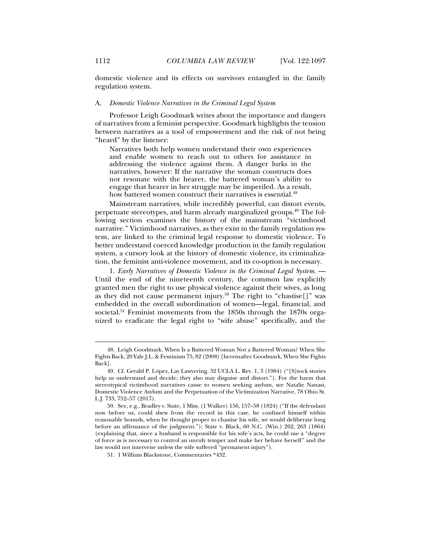domestic violence and its effects on survivors entangled in the family regulation system.

#### A. *Domestic Violence Narratives in the Criminal Legal System*

Professor Leigh Goodmark writes about the importance and dangers of narratives from a feminist perspective. Goodmark highlights the tension between narratives as a tool of empowerment and the risk of not being "heard" by the listener:

Narratives both help women understand their own experiences and enable women to reach out to others for assistance in addressing the violence against them. A danger lurks in the narratives, however: If the narrative the woman constructs does not resonate with the hearer, the battered woman's ability to engage that hearer in her struggle may be imperiled. As a result, how battered women construct their narratives is essential.<sup>48</sup>

Mainstream narratives, while incredibly powerful, can distort events, perpetuate stereotypes, and harm already marginalized groups.<sup>49</sup> The following section examines the history of the mainstream "victimhood narrative." Victimhood narratives, as they exist in the family regulation system, are linked to the criminal legal response to domestic violence. To better understand coerced knowledge production in the family regulation system, a cursory look at the history of domestic violence, its criminalization, the feminist anti-violence movement, and its co-option is necessary.

1. *Early Narratives of Domestic Violence in the Criminal Legal System*. — Until the end of the nineteenth century, the common law explicitly granted men the right to use physical violence against their wives, as long as they did not cause permanent injury.<sup>50</sup> The right to "chastise[]" was embedded in the overall subordination of women—legal, financial, and societal.<sup>51</sup> Feminist movements from the  $1850s$  through the  $1870s$  organized to eradicate the legal right to "wife abuse" specifically, and the

 <sup>48.</sup> Leigh Goodmark, When Is a Battered Woman Not a Battered Woman? When She Fights Back, 20 Yale J.L. & Feminism 75, 82 (2008) [hereinafter Goodmark, When She Fights Back].

 <sup>49.</sup> Cf. Gerald P. López, Lay Lawyering, 32 UCLA L. Rev. 1, 3 (1984) ("[S]tock stories help us understand and decide; they also may disguise and distort."). For the harm that stereotypical victimhood narratives cause to women seeking asylum, see Natalie Nanasi, Domestic Violence Asylum and the Perpetuation of the Victimization Narrative, 78 Ohio St. L.J. 733, 752–57 (2017).

 <sup>50.</sup> See, e.g., Bradley v. State, 1 Miss. (1 Walker) 156, 157–58 (1824) ("If the defendant now before us, could shew from the record in this case, he confined himself within reasonable bounds, when he thought proper to chastise his wife, we would deliberate long before an affirmance of the judgment."); State v. Black, 60 N.C. (Win.) 262, 263 (1864) (explaining that, since a husband is responsible for his wife's acts, he could use a "degree of force as is necessary to control an unruly temper and make her behave herself" and the law would not intervene unless the wife suffered "permanent injury").

 <sup>51. 1</sup> William Blackstone, Commentaries \*432.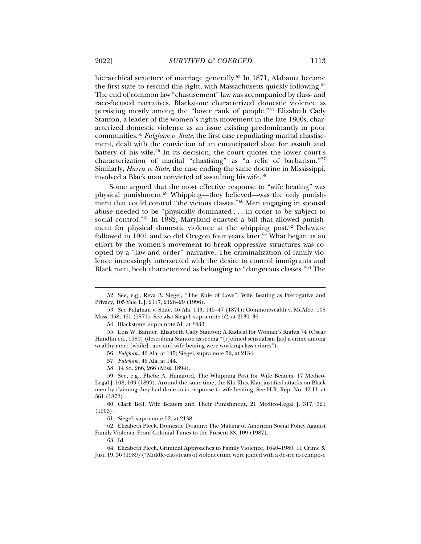hierarchical structure of marriage generally.<sup>52</sup> In 1871, Alabama became the first state to rescind this right, with Massachusetts quickly following.<sup>53</sup> The end of common law "chastisement" law was accompanied by class- and race-focused narratives. Blackstone characterized domestic violence as persisting mostly among the "lower rank of people."54 Elizabeth Cady Stanton, a leader of the women's rights movement in the late 1800s, characterized domestic violence as an issue existing predominantly in poor communities.55 *Fulgham v. State*, the first case repudiating marital chastisement, dealt with the conviction of an emancipated slave for assault and battery of his wife.56 In its decision, the court quotes the lower court's characterization of marital "chastising" as "a relic of barbarism."57 Similarly, *Harris v. State*, the case ending the same doctrine in Mississippi, involved a Black man convicted of assaulting his wife.58

Some argued that the most effective response to "wife beating" was physical punishment.59 Whipping—they believed—was the only punishment that could control "the vicious classes."60 Men engaging in spousal abuse needed to be "physically dominated . . . in order to be subject to social control."<sup>61</sup> In 1882, Maryland enacted a bill that allowed punishment for physical domestic violence at the whipping post. $62$  Delaware followed in 1901 and so did Oregon four years later. $63$  What began as an effort by the women's movement to break oppressive structures was coopted by a "law and order" narrative. The criminalization of family violence increasingly intersected with the desire to control immigrants and Black men, both characterized as belonging to "dangerous classes."64 The

56*. Fulgham*, 46 Ala. at 145; Siegel, supra note 52, at 2134.

58. 14 So. 266, 266 (Miss. 1894).

 <sup>52.</sup> See, e.g., Reva B. Siegel, "The Rule of Love": Wife Beating as Prerogative and Privacy, 105 Yale L.J. 2117, 2128–29 (1996).

 <sup>53.</sup> See Fulgham v. State, 46 Ala. 143, 145–47 (1871); Commonwealth v. McAfee, 108 Mass. 458, 461 (1871). See also Siegel, supra note 52, at 2130–36.

 <sup>54.</sup> Blackstone, supra note 51, at \*433.

 <sup>55.</sup> Lois W. Banner, Elizabeth Cady Stanton: A Radical for Woman's Rights 74 (Oscar Handlin ed., 1980) (describing Stanton as seeing "[r]efined sensualism [as] a crime among wealthy men; [while] rape and wife beating were working-class crimes").

<sup>57</sup>*. Fulgham*, 46 Ala. at 144.

 <sup>59.</sup> See, e.g., Phebe A. Hanaford, The Whipping Post for Wife Beaters, 17 Medico-Legal J. 108, 109 (1899). Around the same time, the Klu Klux Klan justified attacks on Black men by claiming they had done so in response to wife beating. See H.R. Rep. No. 42-11, at 361 (1872).

 <sup>60.</sup> Clark Bell, Wife Beaters and Their Punishment, 21 Medico-Legal J. 317, 321 (1903).

 <sup>61.</sup> Siegel, supra note 52, at 2138.

 <sup>62.</sup> Elizabeth Pleck, Domestic Tyranny: The Making of American Social Policy Against Family Violence From Colonial Times to the Present 88, 109 (1987).

 <sup>63.</sup> Id.

 <sup>64.</sup> Elizabeth Pleck, Criminal Approaches to Family Violence, 1640–1980, 11 Crime & Just. 19, 36 (1989) ("Middle-class fears of violent crime were joined with a desire to reimpose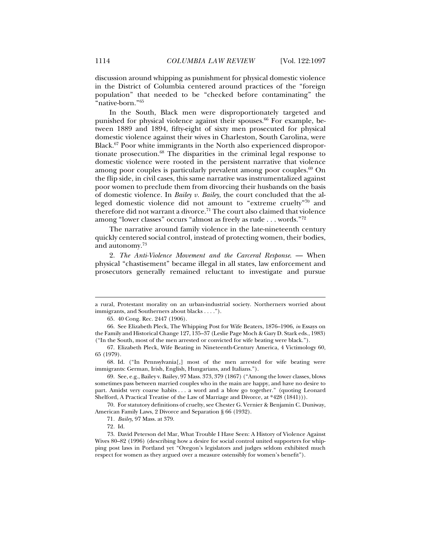discussion around whipping as punishment for physical domestic violence in the District of Columbia centered around practices of the "foreign population" that needed to be "checked before contaminating" the "native-born."65

In the South, Black men were disproportionately targeted and punished for physical violence against their spouses.<sup>66</sup> For example, between 1889 and 1894, fifty-eight of sixty men prosecuted for physical domestic violence against their wives in Charleston, South Carolina, were Black.67 Poor white immigrants in the North also experienced disproportionate prosecution.<sup>68</sup> The disparities in the criminal legal response to domestic violence were rooted in the persistent narrative that violence among poor couples is particularly prevalent among poor couples. $69$  On the flip side, in civil cases, this same narrative was instrumentalized against poor women to preclude them from divorcing their husbands on the basis of domestic violence. In *Bailey v. Bailey*, the court concluded that the alleged domestic violence did not amount to "extreme cruelty"70 and therefore did not warrant a divorce.<sup>71</sup> The court also claimed that violence among "lower classes" occurs "almost as freely as rude . . . words."72

The narrative around family violence in the late-nineteenth century quickly centered social control, instead of protecting women, their bodies, and autonomy.73

2. *The Anti-Violence Movement and the Carceral Response*. — When physical "chastisement" became illegal in all states, law enforcement and prosecutors generally remained reluctant to investigate and pursue

 68. Id. ("In Pennsylvania[,] most of the men arrested for wife beating were immigrants: German, Irish, English, Hungarians, and Italians.").

 69. See, e.g., Bailey v. Bailey, 97 Mass. 373, 379 (1867) ("Among the lower classes, blows sometimes pass between married couples who in the main are happy, and have no desire to part. Amidst very coarse habits . . . a word and a blow go together." (quoting Leonard Shelford, A Practical Treatise of the Law of Marriage and Divorce, at \*428 (1841))).

 70. For statutory definitions of cruelty, see Chester G. Vernier & Benjamin C. Duniway, American Family Laws, 2 Divorce and Separation § 66 (1932).

71*. Bailey*, 97 Mass. at 379.

a rural, Protestant morality on an urban-industrial society. Northerners worried about immigrants, and Southerners about blacks . . . .").

 <sup>65. 40</sup> Cong. Rec. 2447 (1906).

 <sup>66.</sup> See Elizabeth Pleck, The Whipping Post for Wife Beaters, 1876–1906, *in* Essays on the Family and Historical Change 127, 135–37 (Leslie Page Moch & Gary D. Stark eds., 1983) ("In the South, most of the men arrested or convicted for wife beating were black.").

 <sup>67.</sup> Elizabeth Pleck, Wife Beating in Nineteenth-Century America, 4 Victimology 60, 65 (1979).

<sup>72</sup>*.* Id.

 <sup>73.</sup> David Peterson del Mar, What Trouble I Have Seen: A History of Violence Against Wives 80–82 (1996) (describing how a desire for social control united supporters for whipping post laws in Portland yet "Oregon's legislators and judges seldom exhibited much respect for women as they argued over a measure ostensibly for women's benefit").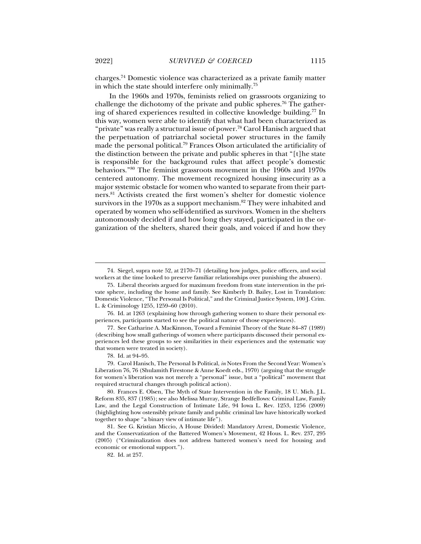charges.74 Domestic violence was characterized as a private family matter in which the state should interfere only minimally.75

In the 1960s and 1970s, feminists relied on grassroots organizing to challenge the dichotomy of the private and public spheres.<sup>76</sup> The gathering of shared experiences resulted in collective knowledge building.<sup>77</sup> In this way, women were able to identify that what had been characterized as "private" was really a structural issue of power.<sup>78</sup> Carol Hanisch argued that the perpetuation of patriarchal societal power structures in the family made the personal political.79 Frances Olson articulated the artificiality of the distinction between the private and public spheres in that "[t]he state is responsible for the background rules that affect people's domestic behaviors."80 The feminist grassroots movement in the 1960s and 1970s centered autonomy. The movement recognized housing insecurity as a major systemic obstacle for women who wanted to separate from their partners.81 Activists created the first women's shelter for domestic violence survivors in the 1970s as a support mechanism.<sup>82</sup> They were inhabited and operated by women who self-identified as survivors. Women in the shelters autonomously decided if and how long they stayed, participated in the organization of the shelters, shared their goals, and voiced if and how they

 <sup>74.</sup> Siegel, supra note 52, at 2170–71 (detailing how judges, police officers, and social workers at the time looked to preserve familiar relationships over punishing the abusers).

 <sup>75.</sup> Liberal theorists argued for maximum freedom from state intervention in the private sphere, including the home and family. See Kimberly D. Bailey, Lost in Translation: Domestic Violence, "The Personal Is Political," and the Criminal Justice System, 100 J. Crim. L. & Criminology 1255, 1259–60 (2010).

 <sup>76.</sup> Id. at 1263 (explaining how through gathering women to share their personal experiences, participants started to see the political nature of those experiences).

 <sup>77.</sup> See Catharine A. MacKinnon, Toward a Feminist Theory of the State 84–87 (1989) (describing how small gatherings of women where participants discussed their personal experiences led these groups to see similarities in their experiences and the systematic way that women were treated in society).

 <sup>78.</sup> Id. at 94–95.

 <sup>79.</sup> Carol Hanisch, The Personal Is Political, *in* Notes From the Second Year: Women's Liberation 76, 76 (Shulamith Firestone & Anne Koedt eds., 1970) (arguing that the struggle for women's liberation was not merely a "personal" issue, but a "political" movement that required structural changes through political action).

 <sup>80.</sup> Frances E. Olsen, The Myth of State Intervention in the Family, 18 U. Mich. J.L. Reform 835, 837 (1985); see also Melissa Murray, Strange Bedfellows: Criminal Law, Family Law, and the Legal Construction of Intimate Life, 94 Iowa L. Rev. 1253, 1256 (2009) (highlighting how ostensibly private family and public criminal law have historically worked together to shape "a binary view of intimate life").

 <sup>81.</sup> See G. Kristian Miccio, A House Divided: Mandatory Arrest, Domestic Violence, and the Conservatization of the Battered Women's Movement, 42 Hous. L. Rev. 237, 295 (2005) ("Criminalization does not address battered women's need for housing and economic or emotional support.").

 <sup>82.</sup> Id. at 257.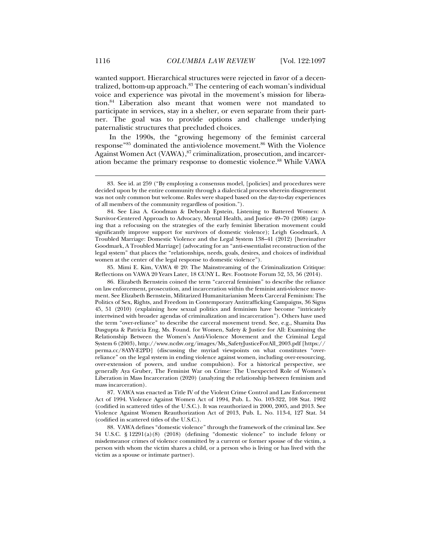wanted support. Hierarchical structures were rejected in favor of a decentralized, bottom-up approach.<sup>83</sup> The centering of each woman's individual voice and experience was pivotal in the movement's mission for liberation.84 Liberation also meant that women were not mandated to participate in services, stay in a shelter, or even separate from their partner. The goal was to provide options and challenge underlying paternalistic structures that precluded choices.

In the 1990s, the "growing hegemony of the feminist carceral response"85 dominated the anti-violence movement.86 With the Violence Against Women Act (VAWA),<sup>87</sup> criminalization, prosecution, and incarceration became the primary response to domestic violence.88 While VAWA

 85. Mimi E. Kim, VAWA @ 20: The Mainstreaming of the Criminalization Critique: Reflections on VAWA 20 Years Later, 18 CUNY L. Rev. Footnote Forum 52, 53, 56 (2014).

 86. Elizabeth Bernstein coined the term "carceral feminism" to describe the reliance on law enforcement, prosecution, and incarceration within the feminist anti-violence movement. See Elizabeth Bernstein, Militarized Humanitarianism Meets Carceral Feminism: The Politics of Sex, Rights, and Freedom in Contemporary Antitrafficking Campaigns, 36 Signs 45, 51 (2010) (explaining how sexual politics and feminism have become "intricately intertwined with broader agendas of criminalization and incarceration"). Others have used the term "over-reliance" to describe the carceral movement trend. See, e.g., Shamita Das Dasgupta & Patricia Eng, Ms. Found. for Women, Safety & Justice for All: Examining the Relationship Between the Women's Anti-Violence Movement and the Criminal Legal System 6 (2003), http://www.ncdsv.org/images/Ms\_SafetyJusticeForAll\_2003.pdf [https:// perma.cc/8AYY-E2PD] (discussing the myriad viewpoints on what constitutes "overreliance" on the legal system in ending violence against women, including over-resourcing, over-extension of powers, and undue compulsion). For a historical perspective, see generally Aya Gruber, The Feminist War on Crime: The Unexpected Role of Women's Liberation in Mass Incarceration (2020) (analyzing the relationship between feminism and mass incarceration).

 87. VAWA was enacted as Title IV of the Violent Crime Control and Law Enforcement Act of 1994. Violence Against Women Act of 1994, Pub. L. No. 103-322, 108 Stat. 1902 (codified in scattered titles of the U.S.C.). It was reauthorized in 2000, 2005, and 2013. See Violence Against Women Reauthorization Act of 2013, Pub. L. No. 113-4, 127 Stat. 54 (codified in scattered titles of the U.S.C.).

 88. VAWA defines "domestic violence" through the framework of the criminal law. See 34 U.S.C. § 12291(a)(8) (2018) (defining "domestic violence" to include felony or misdemeanor crimes of violence committed by a current or former spouse of the victim, a person with whom the victim shares a child, or a person who is living or has lived with the victim as a spouse or intimate partner).

 <sup>83.</sup> See id. at 259 ("By employing a consensus model, [policies] and procedures were decided upon by the entire community through a dialectical process wherein disagreement was not only common but welcome. Rules were shaped based on the day-to-day experiences of all members of the community regardless of position.").

 <sup>84.</sup> See Lisa A. Goodman & Deborah Epstein, Listening to Battered Women: A Survivor-Centered Approach to Advocacy, Mental Health, and Justice 49–70 (2008) (arguing that a refocusing on the strategies of the early feminist liberation movement could significantly improve support for survivors of domestic violence); Leigh Goodmark, A Troubled Marriage: Domestic Violence and the Legal System 138–41 (2012) [hereinafter Goodmark, A Troubled Marriage] (advocating for an "anti-essentialist reconstruction of the legal system" that places the "relationships, needs, goals, desires, and choices of individual women at the center of the legal response to domestic violence").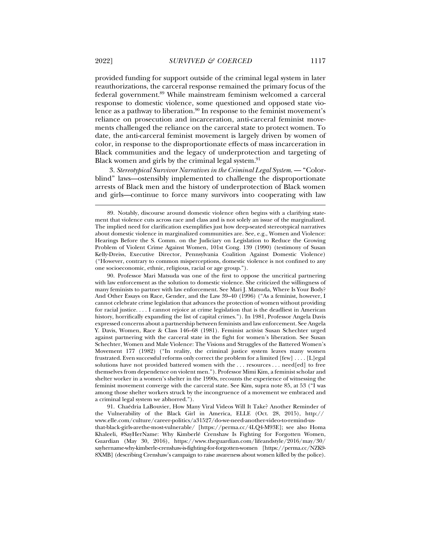provided funding for support outside of the criminal legal system in later reauthorizations, the carceral response remained the primary focus of the federal government.89 While mainstream feminism welcomed a carceral response to domestic violence, some questioned and opposed state violence as a pathway to liberation. $90$  In response to the feminist movement's reliance on prosecution and incarceration, anti-carceral feminist movements challenged the reliance on the carceral state to protect women. To date, the anti-carceral feminist movement is largely driven by women of color, in response to the disproportionate effects of mass incarceration in Black communities and the legacy of underprotection and targeting of Black women and girls by the criminal legal system.<sup>91</sup>

3. *Stereotypical Survivor Narratives in the Criminal Legal System*. — "Colorblind" laws—ostensibly implemented to challenge the disproportionate arrests of Black men and the history of underprotection of Black women and girls—continue to force many survivors into cooperating with law

 <sup>89.</sup> Notably, discourse around domestic violence often begins with a clarifying statement that violence cuts across race and class and is not solely an issue of the marginalized. The implied need for clarification exemplifies just how deep-seated stereotypical narratives about domestic violence in marginalized communities are. See, e.g., Women and Violence: Hearings Before the S. Comm. on the Judiciary on Legislation to Reduce the Growing Problem of Violent Crime Against Women, 101st Cong. 139 (1990) (testimony of Susan Kelly-Dreiss, Executive Director, Pennsylvania Coalition Against Domestic Violence) ("However, contrary to common misperceptions, domestic violence is not confined to any one socioeconomic, ethnic, religious, racial or age group.").

 <sup>90.</sup> Professor Mari Matsuda was one of the first to oppose the uncritical partnering with law enforcement as the solution to domestic violence. She criticized the willingness of many feminists to partner with law enforcement. See Mari J. Matsuda, Where Is Your Body? And Other Essays on Race, Gender, and the Law 39–40 (1996) ("As a feminist, however, I cannot celebrate crime legislation that advances the protection of women without providing for racial justice. . . . I cannot rejoice at crime legislation that is the deadliest in American history, horrifically expanding the list of capital crimes."). In 1981, Professor Angela Davis expressed concerns about a partnership between feminists and law enforcement. See Angela Y. Davis, Women, Race & Class 146–68 (1981). Feminist activist Susan Schechter urged against partnering with the carceral state in the fight for women's liberation. See Susan Schechter, Women and Male Violence: The Visions and Struggles of the Battered Women's Movement 177 (1982) ("In reality, the criminal justice system leaves many women frustrated. Even successful reforms only correct the problem for a limited [few] . . . . [L]egal solutions have not provided battered women with the . . . resources . . . need[ed] to free themselves from dependence on violent men."). Professor Mimi Kim, a feminist scholar and shelter worker in a women's shelter in the 1990s, recounts the experience of witnessing the feminist movement converge with the carceral state. See Kim, supra note 85, at 53 ("I was among those shelter workers struck by the incongruence of a movement we embraced and a criminal legal system we abhorred.").

 <sup>91.</sup> Chaédria LaBouvier, How Many Viral Videos Will It Take? Another Reminder of the Vulnerability of the Black Girl in America, ELLE (Oct. 28, 2015), http:// www.elle.com/culture/career-politics/a31527/do-we-need-another-video-to-remind-usthat-black-girls-arethe-most-vulnerable/ [https://perma.cc/4LQ4-M93E]; see also Homa Khaleeli, #SayHerName: Why Kimberlé Crenshaw Is Fighting for Forgotten Women, Guardian (May 30, 2016), https://www.theguardian.com/lifeandstyle/2016/may/30/ sayhername-why-kimberle-crenshaw-is-fighting-for-forgotten-women [https://perma.cc/NZK9- 8XMB] (describing Crenshaw's campaign to raise awareness about women killed by the police).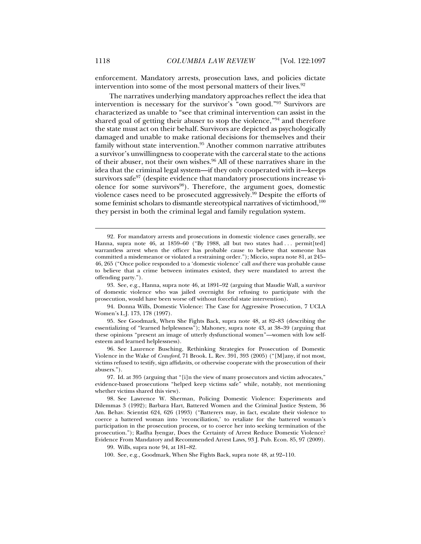enforcement. Mandatory arrests, prosecution laws, and policies dictate intervention into some of the most personal matters of their lives.<sup>92</sup>

The narratives underlying mandatory approaches reflect the idea that intervention is necessary for the survivor's "own good."93 Survivors are characterized as unable to "see that criminal intervention can assist in the shared goal of getting their abuser to stop the violence,"94 and therefore the state must act on their behalf. Survivors are depicted as psychologically damaged and unable to make rational decisions for themselves and their family without state intervention.<sup>95</sup> Another common narrative attributes a survivor's unwillingness to cooperate with the carceral state to the actions of their abuser, not their own wishes.<sup>96</sup> All of these narratives share in the idea that the criminal legal system—if they only cooperated with it—keeps survivors safe $97$  (despite evidence that mandatory prosecutions increase violence for some survivors $98$ ). Therefore, the argument goes, domestic violence cases need to be prosecuted aggressively.<sup>99</sup> Despite the efforts of some feminist scholars to dismantle stereotypical narratives of victimhood,<sup>100</sup> they persist in both the criminal legal and family regulation system.

 94. Donna Wills, Domestic Violence: The Case for Aggressive Prosecution, 7 UCLA Women's L.J. 173, 178 (1997).

 95. See Goodmark, When She Fights Back, supra note 48, at 82–83 (describing the essentializing of "learned helplessness"); Mahoney, supra note 43, at 38–39 (arguing that these opinions "present an image of utterly dysfunctional women"—women with low selfesteem and learned helplessness).

 96. See Laurence Busching, Rethinking Strategies for Prosecution of Domestic Violence in the Wake of *Crawford*, 71 Brook. L. Rev. 391, 393 (2005) ("[M]any, if not most, victims refused to testify, sign affidavits, or otherwise cooperate with the prosecution of their abusers.").

100. See, e.g., Goodmark, When She Fights Back, supra note 48, at 92–110.

 <sup>92.</sup> For mandatory arrests and prosecutions in domestic violence cases generally, see Hanna, supra note 46, at 1859-60 ("By 1988, all but two states had ... permit[ted] warrantless arrest when the officer has probable cause to believe that someone has committed a misdemeanor or violated a restraining order."); Miccio, supra note 81, at 245– 46, 265 ("Once police responded to a 'domestic violence' call *and* there was probable cause to believe that a crime between intimates existed, they were mandated to arrest the offending party.").

 <sup>93.</sup> See, e.g., Hanna, supra note 46, at 1891–92 (arguing that Maudie Wall, a survivor of domestic violence who was jailed overnight for refusing to participate with the prosecution, would have been worse off without forceful state intervention).

 <sup>97.</sup> Id. at 395 (arguing that "[i]n the view of many prosecutors and victim advocates," evidence-based prosecutions "helped keep victims safe" while, notably, not mentioning whether victims shared this view).

 <sup>98.</sup> See Lawrence W. Sherman, Policing Domestic Violence: Experiments and Dilemmas 3 (1992); Barbara Hart, Battered Women and the Criminal Justice System, 36 Am. Behav. Scientist 624, 626 (1993) ("Batterers may, in fact, escalate their violence to coerce a battered woman into 'reconciliation,' to retaliate for the battered woman's participation in the prosecution process, or to coerce her into seeking termination of the prosecution."); Radha Iyengar, Does the Certainty of Arrest Reduce Domestic Violence? Evidence From Mandatory and Recommended Arrest Laws, 93 J. Pub. Econ. 85, 97 (2009).

 <sup>99.</sup> Wills, supra note 94, at 181–82.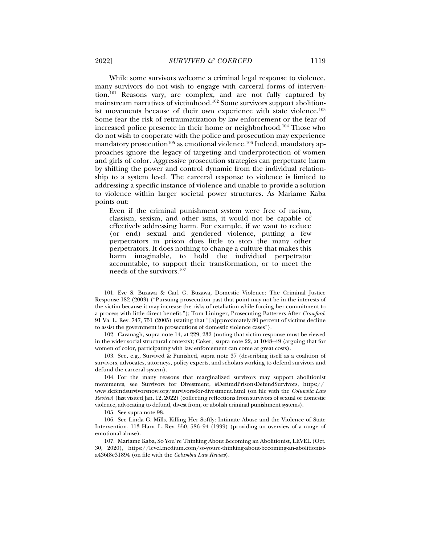While some survivors welcome a criminal legal response to violence, many survivors do not wish to engage with carceral forms of intervention.101 Reasons vary, are complex, and are not fully captured by mainstream narratives of victimhood.102 Some survivors support abolitionist movements because of their own experience with state violence.<sup>103</sup> Some fear the risk of retraumatization by law enforcement or the fear of increased police presence in their home or neighborhood.104 Those who do not wish to cooperate with the police and prosecution may experience mandatory prosecution<sup>105</sup> as emotional violence.<sup>106</sup> Indeed, mandatory approaches ignore the legacy of targeting and underprotection of women and girls of color. Aggressive prosecution strategies can perpetuate harm by shifting the power and control dynamic from the individual relationship to a system level. The carceral response to violence is limited to addressing a specific instance of violence and unable to provide a solution to violence within larger societal power structures. As Mariame Kaba points out:

Even if the criminal punishment system were free of racism, classism, sexism, and other isms, it would not be capable of effectively addressing harm. For example, if we want to reduce (or end) sexual and gendered violence, putting a few perpetrators in prison does little to stop the many other perpetrators. It does nothing to change a culture that makes this harm imaginable, to hold the individual perpetrator accountable, to support their transformation, or to meet the needs of the survivors.107

 103. See, e.g., Survived & Punished, supra note 37 (describing itself as a coalition of survivors, advocates, attorneys, policy experts, and scholars working to defend survivors and defund the carceral system).

 104. For the many reasons that marginalized survivors may support abolitionist movements, see Survivors for Divestment, #DefundPrisonsDefendSurvivors, https:// www.defendsurvivorsnow.org/survivors-for-divestment.html (on file with the *Columbia Law Review*) (last visited Jan. 12, 2022) (collecting reflections from survivors of sexual or domestic violence, advocating to defund, divest from, or abolish criminal punishment systems).

105. See supra note 98.

 106. See Linda G. Mills, Killing Her Softly: Intimate Abuse and the Violence of State Intervention, 113 Harv. L. Rev. 550, 586–94 (1999) (providing an overview of a range of emotional abuse).

 107. Mariame Kaba, So You're Thinking About Becoming an Abolitionist, LEVEL (Oct. 30, 2020), https://level.medium.com/so-youre-thinking-about-becoming-an-abolitionista436f8e31894 (on file with the *Columbia Law Review*).

 <sup>101.</sup> Eve S. Buzawa & Carl G. Buzawa, Domestic Violence: The Criminal Justice Response 182 (2003) ("Pursuing prosecution past that point may not be in the interests of the victim because it may increase the risks of retaliation while forcing her commitment to a process with little direct benefit."); Tom Lininger, Prosecuting Batterers After *Crawford*, 91 Va. L. Rev. 747, 751 (2005) (stating that "[a]pproximately 80 percent of victims decline to assist the government in prosecutions of domestic violence cases").

 <sup>102.</sup> Cavanagh, supra note 14, at 229, 232 (noting that victim response must be viewed in the wider social structural contexts); Coker, supra note 22, at 1048–49 (arguing that for women of color, participating with law enforcement can come at great costs).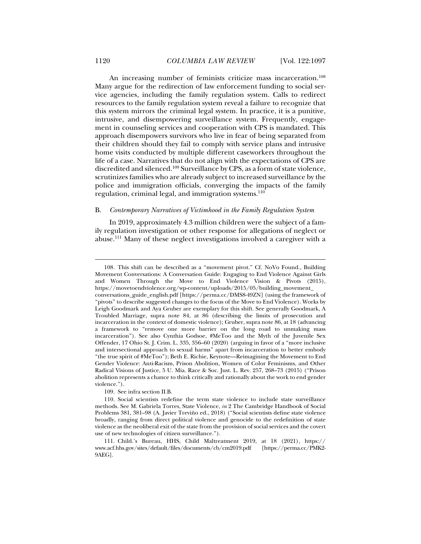An increasing number of feminists criticize mass incarceration.<sup>108</sup> Many argue for the redirection of law enforcement funding to social service agencies, including the family regulation system. Calls to redirect resources to the family regulation system reveal a failure to recognize that this system mirrors the criminal legal system. In practice, it is a punitive, intrusive, and disempowering surveillance system. Frequently, engagement in counseling services and cooperation with CPS is mandated. This approach disempowers survivors who live in fear of being separated from their children should they fail to comply with service plans and intrusive home visits conducted by multiple different caseworkers throughout the life of a case. Narratives that do not align with the expectations of CPS are discredited and silenced.109 Surveillance by CPS, as a form of state violence, scrutinizes families who are already subject to increased surveillance by the police and immigration officials, converging the impacts of the family regulation, criminal legal, and immigration systems.110

#### B. *Contemporary Narratives of Victimhood in the Family Regulation System*

In 2019, approximately 4.3 million children were the subject of a family regulation investigation or other response for allegations of neglect or abuse.111 Many of these neglect investigations involved a caregiver with a

109. See infra section II.B.

 <sup>108.</sup> This shift can be described as a "movement pivot." Cf. NoVo Found., Building Movement Conversations: A Conversation Guide: Engaging to End Violence Against Girls and Women Through the Move to End Violence Vision & Pivots (2015), https://movetoendviolence.org/wp-content/uploads/2015/05/building\_movement\_ conversations\_guide\_english.pdf [https://perma.cc/DMS8-49ZN] (using the framework of "pivots" to describe suggested changes to the focus of the Move to End Violence). Works by Leigh Goodmark and Aya Gruber are exemplary for this shift. See generally Goodmark, A Troubled Marriage, supra note 84, at 86 (describing the limits of prosecution and incarceration in the context of domestic violence); Gruber, supra note 86, at 18 (advancing a framework to "remove one more barrier on the long road to unmaking mass incarceration"). See also Cynthia Godsoe, #MeToo and the Myth of the Juvenile Sex Offender, 17 Ohio St. J. Crim. L. 335, 356–60 (2020) (arguing in favor of a "more inclusive and intersectional approach to sexual harms" apart from incarceration to better embody "the true spirit of #MeToo"); Beth E. Richie, Keynote—Reimagining the Movement to End Gender Violence: Anti-Racism, Prison Abolition, Women of Color Feminisms, and Other Radical Visions of Justice, 5 U. Mia. Race & Soc. Just. L. Rev. 257, 268–73 (2015) ("Prison abolition represents a chance to think critically and rationally about the work to end gender violence.").

 <sup>110.</sup> Social scientists redefine the term state violence to include state surveillance methods. See M. Gabriela Torres, State Violence, *in* 2 The Cambridge Handbook of Social Problems 381, 381–98 (A. Javier Treviño ed., 2018) ("Social scientists define state violence broadly, ranging from direct political violence and genocide to the redefinition of state violence as the neoliberal exit of the state from the provision of social services and the covert use of new technologies of citizen surveillance.").

 <sup>111.</sup> Child.'s Bureau, HHS, Child Maltreatment 2019, at 18 (2021), https:// www.acf.hhs.gov/sites/default/files/documents/cb/cm2019.pdf [https://perma.cc/PMK2- 9AEG].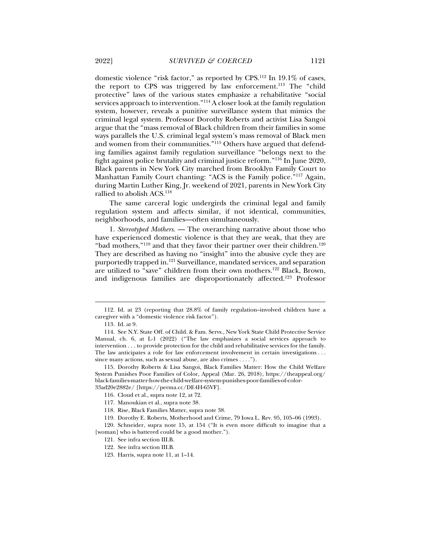domestic violence "risk factor," as reported by CPS.112 In 19.1% of cases, the report to CPS was triggered by law enforcement.<sup>113</sup> The "child protective" laws of the various states emphasize a rehabilitative "social services approach to intervention."114 A closer look at the family regulation system, however, reveals a punitive surveillance system that mimics the criminal legal system. Professor Dorothy Roberts and activist Lisa Sangoi argue that the "mass removal of Black children from their families in some ways parallels the U.S. criminal legal system's mass removal of Black men and women from their communities."<sup>115</sup> Others have argued that defending families against family regulation surveillance "belongs next to the fight against police brutality and criminal justice reform."116 In June 2020, Black parents in New York City marched from Brooklyn Family Court to Manhattan Family Court chanting: "ACS is the Family police."117 Again, during Martin Luther King, Jr. weekend of 2021, parents in New York City rallied to abolish ACS.<sup>118</sup>

The same carceral logic undergirds the criminal legal and family regulation system and affects similar, if not identical, communities, neighborhoods, and families—often simultaneously.

1. *Stereotyped Mothers*. — The overarching narrative about those who have experienced domestic violence is that they are weak, that they are "bad mothers," $^{119}$  and that they favor their partner over their children. $^{120}$ They are described as having no "insight" into the abusive cycle they are purportedly trapped in.121 Surveillance, mandated services, and separation are utilized to "save" children from their own mothers.122 Black, Brown, and indigenous families are disproportionately affected.123 Professor

 <sup>112.</sup> Id. at 23 (reporting that 28.8% of family regulation–involved children have a caregiver with a "domestic violence risk factor").

 <sup>113.</sup> Id. at 9.

 <sup>114.</sup> See N.Y. State Off. of Child. & Fam. Servs., New York State Child Protective Service Manual, ch. 6, at L-1 (2022) ("The law emphasizes a social services approach to intervention . . . to provide protection for the child and rehabilitative services for the family. The law anticipates a role for law enforcement involvement in certain investigations . . . since many actions, such as sexual abuse, are also crimes . . . .").

 <sup>115.</sup> Dorothy Roberts & Lisa Sangoi, Black Families Matter: How the Child Welfare System Punishes Poor Families of Color, Appeal (Mar. 26, 2018), https://theappeal.org/ black-families-matter-how-the-child-welfare-system-punishes-poor-families-of-color-33ad20e2882e/ [https://perma.cc/DE4H-65VF].

 <sup>116.</sup> Cloud et al., supra note 12, at 72.

 <sup>117.</sup> Manoukian et al., supra note 38.

 <sup>118.</sup> Rise, Black Families Matter, supra note 38.

 <sup>119.</sup> Dorothy E. Roberts, Motherhood and Crime, 79 Iowa L. Rev. 95, 105–06 (1993).

 <sup>120.</sup> Schneider, supra note 15, at 154 ("It is even more difficult to imagine that a [woman] who is battered could be a good mother.").

 <sup>121.</sup> See infra section III.B.

 <sup>122.</sup> See infra section III.B.

 <sup>123.</sup> Harris, supra note 11, at 1–14.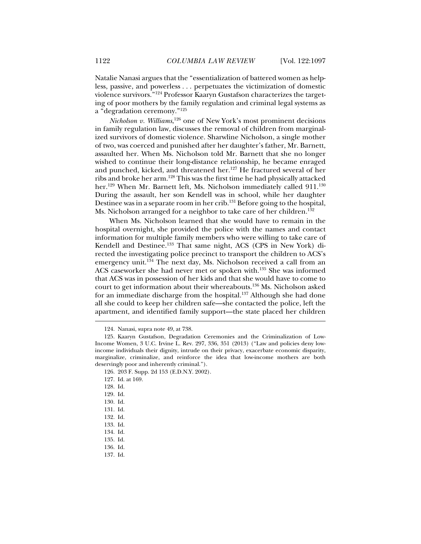Natalie Nanasi argues that the "essentialization of battered women as helpless, passive, and powerless . . . perpetuates the victimization of domestic violence survivors."124 Professor Kaaryn Gustafson characterizes the targeting of poor mothers by the family regulation and criminal legal systems as a "degradation ceremony."125

*Nicholson v. Williams*, 126 one of New York's most prominent decisions in family regulation law, discusses the removal of children from marginalized survivors of domestic violence. Sharwline Nicholson, a single mother of two, was coerced and punished after her daughter's father, Mr. Barnett, assaulted her. When Ms. Nicholson told Mr. Barnett that she no longer wished to continue their long-distance relationship, he became enraged and punched, kicked, and threatened her.<sup>127</sup> He fractured several of her ribs and broke her arm.128 This was the first time he had physically attacked her.<sup>129</sup> When Mr. Barnett left, Ms. Nicholson immediately called 911.<sup>130</sup> During the assault, her son Kendell was in school, while her daughter Destinee was in a separate room in her crib.<sup>131</sup> Before going to the hospital, Ms. Nicholson arranged for a neighbor to take care of her children.<sup>132</sup>

When Ms. Nicholson learned that she would have to remain in the hospital overnight, she provided the police with the names and contact information for multiple family members who were willing to take care of Kendell and Destinee.<sup>133</sup> That same night, ACS (CPS in New York) directed the investigating police precinct to transport the children to ACS's emergency unit.<sup>134</sup> The next day, Ms. Nicholson received a call from an ACS caseworker she had never met or spoken with.135 She was informed that ACS was in possession of her kids and that she would have to come to court to get information about their whereabouts.136 Ms. Nicholson asked for an immediate discharge from the hospital.<sup>137</sup> Although she had done all she could to keep her children safe—she contacted the police, left the apartment, and identified family support—the state placed her children

 <sup>124.</sup> Nanasi, supra note 49, at 738.

 <sup>125.</sup> Kaaryn Gustafson, Degradation Ceremonies and the Criminalization of Low-Income Women, 3 U.C. Irvine L. Rev. 297, 336, 351 (2013) ("Law and policies deny lowincome individuals their dignity, intrude on their privacy, exacerbate economic disparity, marginalize, criminalize, and reinforce the idea that low-income mothers are both deservingly poor and inherently criminal.").

 <sup>126. 203</sup> F. Supp. 2d 153 (E.D.N.Y. 2002).

 <sup>127.</sup> Id. at 169.

 <sup>128.</sup> Id.

 <sup>129.</sup> Id.

 <sup>130.</sup> Id.

 <sup>131.</sup> Id.

 <sup>132.</sup> Id.

 <sup>133.</sup> Id.

 <sup>134.</sup> Id.

 <sup>135.</sup> Id.

 <sup>136.</sup> Id.

 <sup>137.</sup> Id.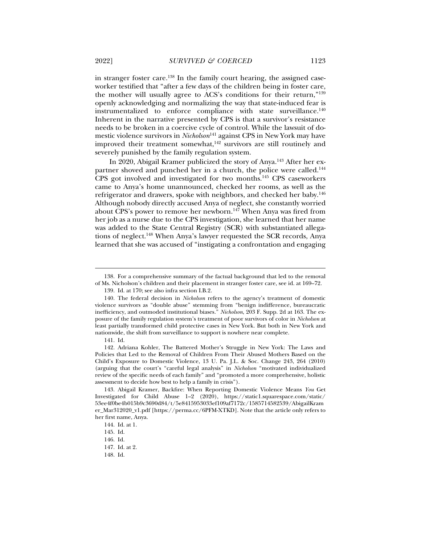in stranger foster care.138 In the family court hearing, the assigned caseworker testified that "after a few days of the children being in foster care, the mother will usually agree to ACS's conditions for their return,"139 openly acknowledging and normalizing the way that state-induced fear is instrumentalized to enforce compliance with state surveillance.<sup>140</sup> Inherent in the narrative presented by CPS is that a survivor's resistance needs to be broken in a coercive cycle of control. While the lawsuit of domestic violence survivors in *Nicholson*141 against CPS in New York may have improved their treatment somewhat, $142$  survivors are still routinely and severely punished by the family regulation system.

In 2020, Abigail Kramer publicized the story of Anya.143 After her expartner shoved and punched her in a church, the police were called.<sup>144</sup> CPS got involved and investigated for two months.145 CPS caseworkers came to Anya's home unannounced, checked her rooms, as well as the refrigerator and drawers, spoke with neighbors, and checked her baby.146 Although nobody directly accused Anya of neglect, she constantly worried about CPS's power to remove her newborn.<sup>147</sup> When Anya was fired from her job as a nurse due to the CPS investigation, she learned that her name was added to the State Central Registry (SCR) with substantiated allegations of neglect.<sup>148</sup> When Anya's lawyer requested the SCR records, Anya learned that she was accused of "instigating a confrontation and engaging

 <sup>138.</sup> For a comprehensive summary of the factual background that led to the removal of Ms. Nicholson's children and their placement in stranger foster care, see id. at 169–72.

 <sup>139.</sup> Id. at 170; see also infra section I.B.2.

 <sup>140.</sup> The federal decision in *Nicholson* refers to the agency's treatment of domestic violence survivors as "double abuse" stemming from "benign indifference, bureaucratic inefficiency, and outmoded institutional biases." *Nicholson*, 203 F. Supp. 2d at 163. The exposure of the family regulation system's treatment of poor survivors of color in *Nicholson* at least partially transformed child protective cases in New York. But both in New York and nationwide, the shift from surveillance to support is nowhere near complete.

 <sup>141.</sup> Id.

 <sup>142.</sup> Adriana Kohler, The Battered Mother's Struggle in New York: The Laws and Policies that Led to the Removal of Children From Their Abused Mothers Based on the Child's Exposure to Domestic Violence, 13 U. Pa. J.L. & Soc. Change 243, 264 (2010) (arguing that the court's "careful legal analysis" in *Nicholson* "motivated individualized review of the specific needs of each family" and "promoted a more comprehensive, holistic assessment to decide how best to help a family in crisis").

 <sup>143.</sup> Abigail Kramer, Backfire: When Reporting Domestic Violence Means *You* Get Investigated for Child Abuse 1–2 (2020), https://static1.squarespace.com/static/ 53ee4f0be4b015b9c3690d84/t/5e8415953033ef109af7172c/1585714582539/AbigailKram er\_Mar312020\_v1.pdf [https://perma.cc/6PFM-XTKD]. Note that the article only refers to her first name, Anya.

 <sup>144.</sup> Id. at 1.

 <sup>145.</sup> Id.

 <sup>146.</sup> Id.

 <sup>147.</sup> Id. at 2.

 <sup>148.</sup> Id.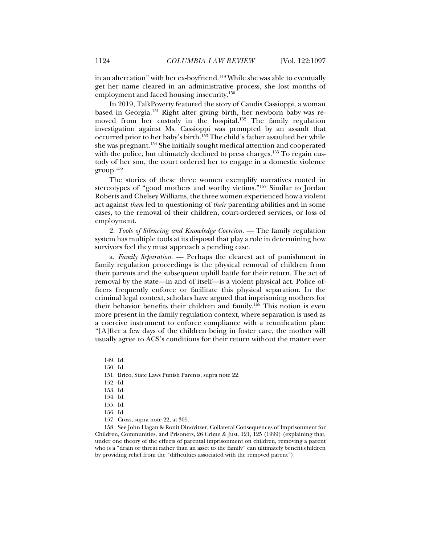in an altercation" with her ex-boyfriend.<sup>149</sup> While she was able to eventually get her name cleared in an administrative process, she lost months of employment and faced housing insecurity.<sup>150</sup>

In 2019, TalkPoverty featured the story of Candis Cassioppi, a woman based in Georgia.151 Right after giving birth, her newborn baby was removed from her custody in the hospital.<sup>152</sup> The family regulation investigation against Ms. Cassioppi was prompted by an assault that occurred prior to her baby's birth.<sup>153</sup> The child's father assaulted her while she was pregnant.154 She initially sought medical attention and cooperated with the police, but ultimately declined to press charges.<sup>155</sup> To regain custody of her son, the court ordered her to engage in a domestic violence group.156

The stories of these three women exemplify narratives rooted in stereotypes of "good mothers and worthy victims."157 Similar to Jordan Roberts and Chelsey Williams, the three women experienced how a violent act against *them* led to questioning of *their* parenting abilities and in some cases, to the removal of their children, court-ordered services, or loss of employment.

2. *Tools of Silencing and Knowledge Coercion*. — The family regulation system has multiple tools at its disposal that play a role in determining how survivors feel they must approach a pending case.

a. *Family Separation*. — Perhaps the clearest act of punishment in family regulation proceedings is the physical removal of children from their parents and the subsequent uphill battle for their return. The act of removal by the state—in and of itself—is a violent physical act. Police officers frequently enforce or facilitate this physical separation. In the criminal legal context, scholars have argued that imprisoning mothers for their behavior benefits their children and family.158 This notion is even more present in the family regulation context, where separation is used as a coercive instrument to enforce compliance with a reunification plan: "[A]fter a few days of the children being in foster care, the mother will usually agree to ACS's conditions for their return without the matter ever

j

157. Cross, supra note 22, at 305.

 158. See John Hagan & Ronit Dinovitzer, Collateral Consequences of Imprisonment for Children, Communities, and Prisoners, 26 Crime & Just. 121, 125 (1999) (explaining that, under one theory of the effects of parental imprisonment on children, removing a parent who is a "drain or threat rather than an asset to the family" can ultimately benefit children by providing relief from the "difficulties associated with the removed parent").

 <sup>149.</sup> Id.

 <sup>150.</sup> Id.

 <sup>151.</sup> Brico, State Laws Punish Parents, supra note 22.

 <sup>152.</sup> Id.

 <sup>153.</sup> Id.

 <sup>154.</sup> Id.

 <sup>155.</sup> Id.

 <sup>156.</sup> Id.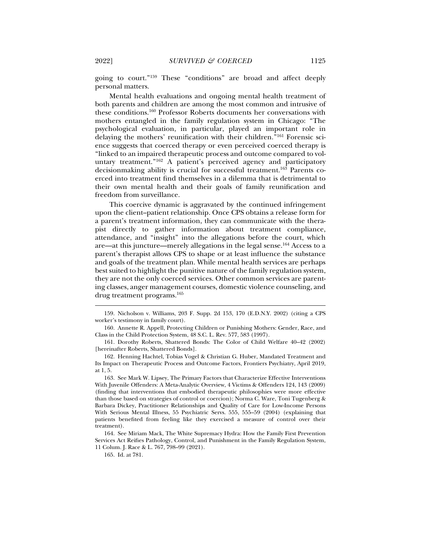going to court."159 These "conditions" are broad and affect deeply personal matters.

Mental health evaluations and ongoing mental health treatment of both parents and children are among the most common and intrusive of these conditions.160 Professor Roberts documents her conversations with mothers entangled in the family regulation system in Chicago: "The psychological evaluation, in particular, played an important role in delaying the mothers' reunification with their children."161 Forensic science suggests that coerced therapy or even perceived coerced therapy is "linked to an impaired therapeutic process and outcome compared to voluntary treatment."<sup>162</sup> A patient's perceived agency and participatory decisionmaking ability is crucial for successful treatment.163 Parents coerced into treatment find themselves in a dilemma that is detrimental to their own mental health and their goals of family reunification and freedom from surveillance.

This coercive dynamic is aggravated by the continued infringement upon the client–patient relationship. Once CPS obtains a release form for a parent's treatment information, they can communicate with the therapist directly to gather information about treatment compliance, attendance, and "insight" into the allegations before the court, which are—at this juncture—merely allegations in the legal sense.164 Access to a parent's therapist allows CPS to shape or at least influence the substance and goals of the treatment plan. While mental health services are perhaps best suited to highlight the punitive nature of the family regulation system, they are not the only coerced services. Other common services are parenting classes, anger management courses, domestic violence counseling, and drug treatment programs.165

 <sup>159.</sup> Nicholson v. Williams, 203 F. Supp. 2d 153, 170 (E.D.N.Y. 2002) (citing a CPS worker's testimony in family court).

 <sup>160.</sup> Annette R. Appell, Protecting Children or Punishing Mothers: Gender, Race, and Class in the Child Protection System, 48 S.C. L. Rev. 577, 583 (1997).

 <sup>161.</sup> Dorothy Roberts, Shattered Bonds: The Color of Child Welfare 40–42 (2002) [hereinafter Roberts, Shattered Bonds].

 <sup>162.</sup> Henning Hachtel, Tobias Vogel & Christian G. Huber, Mandated Treatment and Its Impact on Therapeutic Process and Outcome Factors, Frontiers Psychiatry, April 2019, at 1, 5.

 <sup>163.</sup> See Mark W. Lipsey, The Primary Factors that Characterize Effective Interventions With Juvenile Offenders: A Meta-Analytic Overview, 4 Victims & Offenders 124, 143 (2009) (finding that interventions that embodied therapeutic philosophies were more effective than those based on strategies of control or coercion); Norma C. Ware, Toni Tugenberg & Barbara Dickey, Practitioner Relationships and Quality of Care for Low-Income Persons With Serious Mental Illness, 55 Psychiatric Servs. 555, 555–59 (2004) (explaining that patients benefited from feeling like they exercised a measure of control over their treatment).

 <sup>164.</sup> See Miriam Mack, The White Supremacy Hydra: How the Family First Prevention Services Act Reifies Pathology, Control, and Punishment in the Family Regulation System, 11 Colum. J. Race & L. 767, 798–99 (2021).

 <sup>165.</sup> Id. at 781.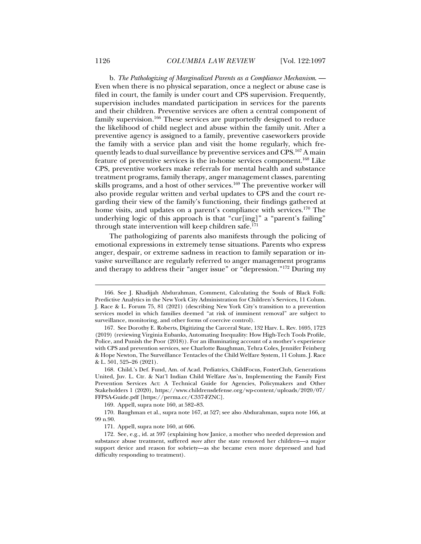b. *The Pathologizing of Marginalized Parents as a Compliance Mechanism*. — Even when there is no physical separation, once a neglect or abuse case is filed in court, the family is under court and CPS supervision. Frequently, supervision includes mandated participation in services for the parents and their children. Preventive services are often a central component of family supervision.166 These services are purportedly designed to reduce the likelihood of child neglect and abuse within the family unit. After a preventive agency is assigned to a family, preventive caseworkers provide the family with a service plan and visit the home regularly, which frequently leads to dual surveillance by preventive services and CPS.167 A main feature of preventive services is the in-home services component.168 Like CPS, preventive workers make referrals for mental health and substance treatment programs, family therapy, anger management classes, parenting skills programs, and a host of other services.<sup>169</sup> The preventive worker will also provide regular written and verbal updates to CPS and the court regarding their view of the family's functioning, their findings gathered at home visits, and updates on a parent's compliance with services.<sup>170</sup> The underlying logic of this approach is that "cur[ing]" a "parent's failing" through state intervention will keep children safe.171

The pathologizing of parents also manifests through the policing of emotional expressions in extremely tense situations. Parents who express anger, despair, or extreme sadness in reaction to family separation or invasive surveillance are regularly referred to anger management programs and therapy to address their "anger issue" or "depression."172 During my

169. Appell, supra note 160, at 582–83.

 170. Baughman et al., supra note 167, at 527; see also Abdurahman, supra note 166, at 99 n.90.

 <sup>166.</sup> See J. Khadijah Abdurahman, Comment, Calculating the Souls of Black Folk: Predictive Analytics in the New York City Administration for Children's Services, 11 Colum. J. Race & L. Forum 75, 81 (2021) (describing New York City's transition to a prevention services model in which families deemed "at risk of imminent removal" are subject to surveillance, monitoring, and other forms of coercive control).

 <sup>167.</sup> See Dorothy E. Roberts, Digitizing the Carceral State, 132 Harv. L. Rev. 1695, 1723 (2019) (reviewing Virginia Eubanks, Automating Inequality: How High-Tech Tools Profile, Police, and Punish the Poor (2018)). For an illuminating account of a mother's experience with CPS and prevention services, see Charlotte Baughman, Tehra Coles, Jennifer Feinberg & Hope Newton, The Surveillance Tentacles of the Child Welfare System, 11 Colum. J. Race & L. 501, 525–26 (2021).

 <sup>168.</sup> Child.'s Def. Fund, Am. of Acad. Pediatrics, ChildFocus, FosterClub, Generations United, Juv. L. Ctr. & Nat'l Indian Child Welfare Ass'n, Implementing the Family First Prevention Services Act: A Technical Guide for Agencies, Policymakers and Other Stakeholders 1 (2020), https://www.childrensdefense.org/wp-content/uploads/2020/07/ FFPSA-Guide.pdf [https://perma.cc/C337-FZNC].

 <sup>171.</sup> Appell, supra note 160, at 606.

 <sup>172.</sup> See, e.g., id. at 597 (explaining how Janice, a mother who needed depression and substance abuse treatment, suffered *more* after the state removed her children—a major support device and reason for sobriety—as she became even more depressed and had difficulty responding to treatment).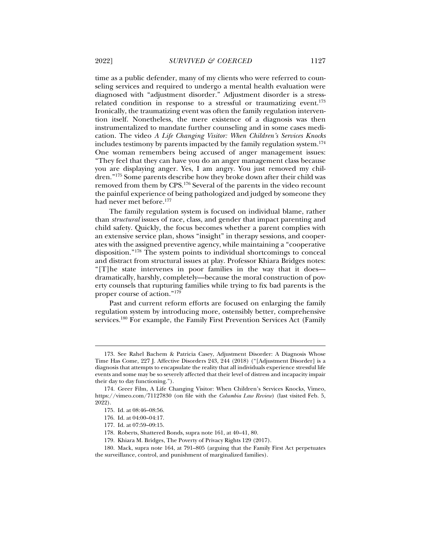time as a public defender, many of my clients who were referred to counseling services and required to undergo a mental health evaluation were diagnosed with "adjustment disorder." Adjustment disorder is a stressrelated condition in response to a stressful or traumatizing event. $173$ Ironically, the traumatizing event was often the family regulation intervention itself. Nonetheless, the mere existence of a diagnosis was then instrumentalized to mandate further counseling and in some cases medication. The video *A Life Changing Visitor: When Children's Services Knocks* includes testimony by parents impacted by the family regulation system.174 One woman remembers being accused of anger management issues: "They feel that they can have you do an anger management class because you are displaying anger. Yes, I am angry. You just removed my children."175 Some parents describe how they broke down after their child was removed from them by CPS.176 Several of the parents in the video recount the painful experience of being pathologized and judged by someone they

The family regulation system is focused on individual blame, rather than *structural* issues of race, class, and gender that impact parenting and child safety. Quickly, the focus becomes whether a parent complies with an extensive service plan, shows "insight" in therapy sessions, and cooperates with the assigned preventive agency, while maintaining a "cooperative disposition."178 The system points to individual shortcomings to conceal and distract from structural issues at play. Professor Khiara Bridges notes: "[T]he state intervenes in poor families in the way that it does dramatically, harshly, completely—because the moral construction of poverty counsels that rupturing families while trying to fix bad parents is the proper course of action."179

Past and current reform efforts are focused on enlarging the family regulation system by introducing more, ostensibly better, comprehensive services.180 For example, the Family First Prevention Services Act (Family

j

had never met before.<sup>177</sup>

 <sup>173.</sup> See Rahel Bachem & Patricia Casey, Adjustment Disorder: A Diagnosis Whose Time Has Come, 227 J. Affective Disorders 243, 244 (2018) ("[Adjustment Disorder] is a diagnosis that attempts to encapsulate the reality that all individuals experience stressful life events and some may be so severely affected that their level of distress and incapacity impair their day to day functioning.").

 <sup>174.</sup> Greer Film, A Life Changing Visitor: When Children's Services Knocks, Vimeo, https://vimeo.com/71127830 (on file with the *Columbia Law Review*) (last visited Feb. 5, 2022).

 <sup>175.</sup> Id. at 08:46–08:56.

 <sup>176.</sup> Id. at 04:00–04:17.

 <sup>177.</sup> Id. at 07:59–09:15.

 <sup>178.</sup> Roberts, Shattered Bonds, supra note 161, at 40–41, 80.

 <sup>179.</sup> Khiara M. Bridges, The Poverty of Privacy Rights 129 (2017).

 <sup>180.</sup> Mack, supra note 164, at 791–805 (arguing that the Family First Act perpetuates the surveillance, control, and punishment of marginalized families).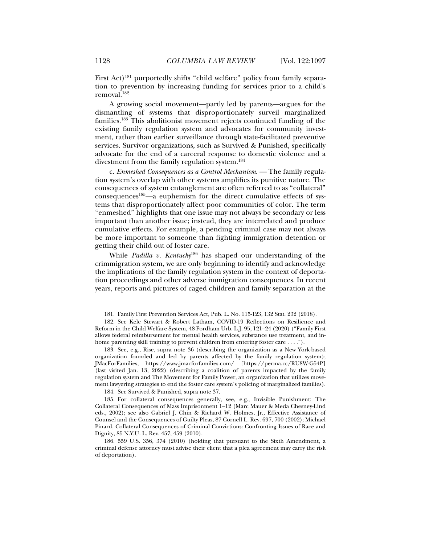First Act)<sup>181</sup> purportedly shifts "child welfare" policy from family separation to prevention by increasing funding for services prior to a child's removal.182

A growing social movement—partly led by parents—argues for the dismantling of systems that disproportionately surveil marginalized families.183 This abolitionist movement rejects continued funding of the existing family regulation system and advocates for community investment, rather than earlier surveillance through state-facilitated preventive services. Survivor organizations, such as Survived & Punished, specifically advocate for the end of a carceral response to domestic violence and a divestment from the family regulation system.184

c. *Enmeshed Consequences as a Control Mechanism*. — The family regulation system's overlap with other systems amplifies its punitive nature. The consequences of system entanglement are often referred to as "collateral" consequences<sup>185</sup>—a euphemism for the direct cumulative effects of systems that disproportionately affect poor communities of color. The term "enmeshed" highlights that one issue may not always be secondary or less important than another issue; instead, they are interrelated and produce cumulative effects. For example, a pending criminal case may not always be more important to someone than fighting immigration detention or getting their child out of foster care.

While *Padilla v. Kentucky*186 has shaped our understanding of the crimmigration system, we are only beginning to identify and acknowledge the implications of the family regulation system in the context of deportation proceedings and other adverse immigration consequences. In recent years, reports and pictures of caged children and family separation at the

184. See Survived & Punished, supra note 37.

 <sup>181.</sup> Family First Prevention Services Act, Pub. L. No. 115-123, 132 Stat. 232 (2018).

 <sup>182.</sup> See Kele Stewart & Robert Latham, COVID-19 Reflections on Resilience and Reform in the Child Welfare System, 48 Fordham Urb. L.J. 95, 121–24 (2020) ("Family First allows federal reimbursement for mental health services, substance use treatment, and inhome parenting skill training to prevent children from entering foster care . . . .").

 <sup>183.</sup> See, e.g., Rise, supra note 36 (describing the organization as a New York-based organization founded and led by parents affected by the family regulation system); JMacForFamilies, https://www.jmacforfamilies.com/ [https://perma.cc/RU8W-G54P] (last visited Jan. 13, 2022) (describing a coalition of parents impacted by the family regulation system and The Movement for Family Power, an organization that utilizes movement lawyering strategies to end the foster care system's policing of marginalized families).

 <sup>185.</sup> For collateral consequences generally, see, e.g., Invisible Punishment: The Collateral Consequences of Mass Imprisonment 1–12 (Marc Mauer & Meda Chesney-Lind eds., 2002); see also Gabriel J. Chin & Richard W. Holmes, Jr., Effective Assistance of Counsel and the Consequences of Guilty Pleas, 87 Cornell L. Rev. 697, 700 (2002); Michael Pinard, Collateral Consequences of Criminal Convictions: Confronting Issues of Race and Dignity, 85 N.Y.U. L. Rev. 457, 459 (2010).

 <sup>186. 559</sup> U.S. 356, 374 (2010) (holding that pursuant to the Sixth Amendment, a criminal defense attorney must advise their client that a plea agreement may carry the risk of deportation).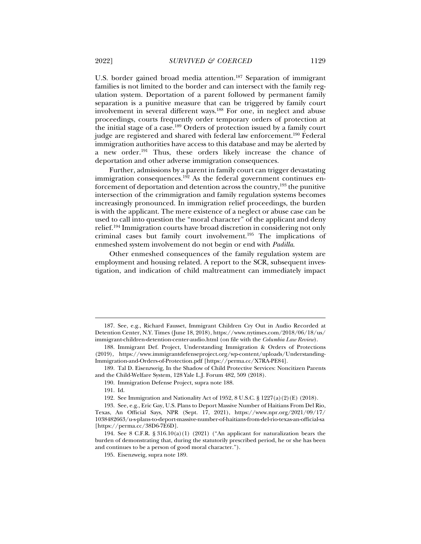U.S. border gained broad media attention.<sup>187</sup> Separation of immigrant families is not limited to the border and can intersect with the family regulation system. Deportation of a parent followed by permanent family separation is a punitive measure that can be triggered by family court involvement in several different ways.188 For one, in neglect and abuse proceedings, courts frequently order temporary orders of protection at the initial stage of a case.189 Orders of protection issued by a family court judge are registered and shared with federal law enforcement.190 Federal immigration authorities have access to this database and may be alerted by a new order.191 Thus, these orders likely increase the chance of deportation and other adverse immigration consequences.

Further, admissions by a parent in family court can trigger devastating immigration consequences.<sup>192</sup> As the federal government continues enforcement of deportation and detention across the country,  $193$  the punitive intersection of the crimmigration and family regulation systems becomes increasingly pronounced. In immigration relief proceedings, the burden is with the applicant. The mere existence of a neglect or abuse case can be used to call into question the "moral character" of the applicant and deny relief.194 Immigration courts have broad discretion in considering not only criminal cases but family court involvement.195 The implications of enmeshed system involvement do not begin or end with *Padilla*.

Other enmeshed consequences of the family regulation system are employment and housing related. A report to the SCR, subsequent investigation, and indication of child maltreatment can immediately impact

190. Immigration Defense Project, supra note 188.

 <sup>187.</sup> See, e.g., Richard Fausset, Immigrant Children Cry Out in Audio Recorded at Detention Center, N.Y. Times (June 18, 2018), https://www.nytimes.com/2018/06/18/us/ immigrant-children-detention-center-audio.html (on file with the *Columbia Law Review*).

 <sup>188.</sup> Immigrant Def. Project, Understanding Immigration & Orders of Protections (2019), https://www.immigrantdefenseproject.org/wp-content/uploads/Understanding-Immigration-and-Orders-of-Protection.pdf [https://perma.cc/X7RA-PE84].

 <sup>189.</sup> Tal D. Eisenzweig, In the Shadow of Child Protective Services: Noncitizen Parents and the Child-Welfare System, 128 Yale L.J. Forum 482, 509 (2018).

 <sup>191.</sup> Id.

 <sup>192.</sup> See Immigration and Nationality Act of 1952, 8 U.S.C. § 1227(a)(2)(E) (2018).

 <sup>193.</sup> See, e.g., Eric Gay, U.S. Plans to Deport Massive Number of Haitians From Del Rio, Texas, An Official Says, NPR (Sept. 17, 2021), https://www.npr.org/2021/09/17/ 1038482663/u-s-plans-to-deport-massive-number-of-haitians-from-del-rio-texas-an-official-sa [https://perma.cc/38D6-7E6D].

 <sup>194.</sup> See 8 C.F.R. § 316.10(a)(1) (2021) ("An applicant for naturalization bears the burden of demonstrating that, during the statutorily prescribed period, he or she has been and continues to be a person of good moral character.").

 <sup>195.</sup> Eisenzweig, supra note 189.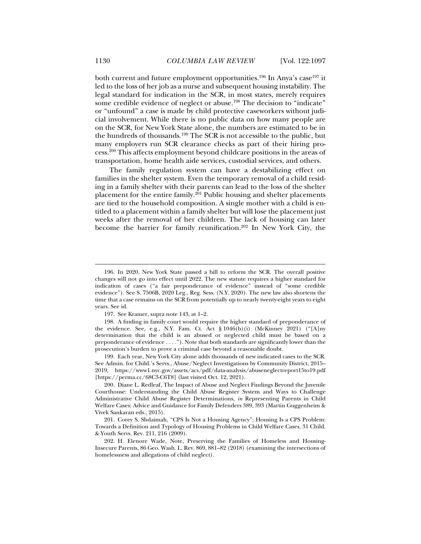both current and future employment opportunities.<sup>196</sup> In Anya's case<sup>197</sup> it led to the loss of her job as a nurse and subsequent housing instability. The legal standard for indication in the SCR, in most states, merely requires some credible evidence of neglect or abuse.<sup>198</sup> The decision to "indicate" or "unfound" a case is made by child protective caseworkers without judicial involvement. While there is no public data on how many people are on the SCR, for New York State alone, the numbers are estimated to be in the hundreds of thousands.<sup>199</sup> The SCR is not accessible to the public, but many employers run SCR clearance checks as part of their hiring process.200 This affects employment beyond childcare positions in the areas of transportation, home health aide services, custodial services, and others.

The family regulation system can have a destabilizing effect on families in the shelter system. Even the temporary removal of a child residing in a family shelter with their parents can lead to the loss of the shelter placement for the entire family.<sup>201</sup> Public housing and shelter placements are tied to the household composition. A single mother with a child is entitled to a placement within a family shelter but will lose the placement just weeks after the removal of her children. The lack of housing can later become the barrier for family reunification.<sup>202</sup> In New York City, the

 <sup>196.</sup> In 2020, New York State passed a bill to reform the SCR. The overall positive changes will not go into effect until 2022. The new statute requires a higher standard for indication of cases ("a fair preponderance of evidence" instead of "some credible evidence"). See S. 7506B, 2020 Leg., Reg. Sess. (N.Y. 2020). The new law also shortens the time that a case remains on the SCR from potentially up to nearly twenty-eight years to eight years. See id.

 <sup>197.</sup> See Kramer, supra note 143, at 1–2.

 <sup>198.</sup> A finding in family court would require the higher standard of preponderance of the evidence. See, e.g., N.Y. Fam. Ct. Act § 1046(b)(i) (McKinney 2021) ("[A]ny determination that the child is an abused or neglected child must be based on a preponderance of evidence . . . ."). Note that both standards are significantly lower than the prosecution's burden to prove a criminal case beyond a reasonable doubt.

 <sup>199.</sup> Each year, New York City alone adds thousands of new indicated cases to the SCR. See Admin. for Child.'s Servs., Abuse/Neglect Investigations by Community District, 2015– 2019, https://www1.nyc.gov/assets/acs/pdf/data-analysis/abuseneglectreport15to19.pdf [https://perma.cc/68C3-C6T8] (last visited Oct. 12, 2021).

 <sup>200.</sup> Diane L. Redleaf, The Impact of Abuse and Neglect Findings Beyond the Juvenile Courthouse: Understanding the Child Abuse Register System and Ways to Challenge Administrative Child Abuse Register Determinations, *in* Representing Parents in Child Welfare Cases: Advice and Guidance for Family Defenders 389, 393 (Martin Guggenheim & Vivek Sankaran eds., 2015).

 <sup>201.</sup> Corey S. Shdaimah, "CPS Is Not a Housing Agency"; Housing Is a CPS Problem: Towards a Definition and Typology of Housing Problems in Child Welfare Cases, 31 Child. & Youth Servs. Rev. 211, 216 (2009).

 <sup>202.</sup> H. Elenore Wade, Note, Preserving the Families of Homeless and Housing-Insecure Parents, 86 Geo. Wash. L. Rev. 869, 881–82 (2018) (examining the intersections of homelessness and allegations of child neglect).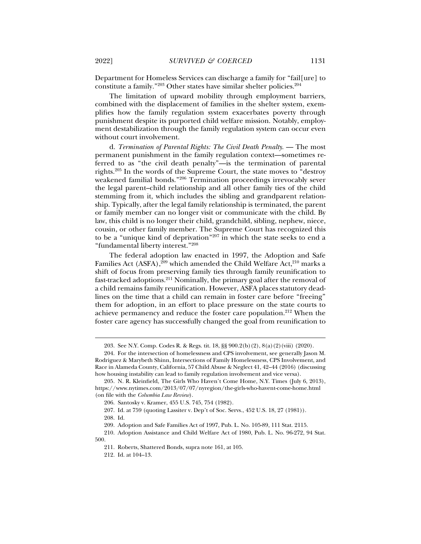Department for Homeless Services can discharge a family for "fail[ure] to constitute a family."203 Other states have similar shelter policies.204

The limitation of upward mobility through employment barriers, combined with the displacement of families in the shelter system, exemplifies how the family regulation system exacerbates poverty through punishment despite its purported child welfare mission. Notably, employment destabilization through the family regulation system can occur even without court involvement.

d. *Termination of Parental Rights: The Civil Death Penalty*. — The most permanent punishment in the family regulation context—sometimes referred to as "the civil death penalty"—is the termination of parental rights.205 In the words of the Supreme Court, the state moves to "destroy weakened familial bonds."206 Termination proceedings irrevocably sever the legal parent–child relationship and all other family ties of the child stemming from it, which includes the sibling and grandparent relationship. Typically, after the legal family relationship is terminated, the parent or family member can no longer visit or communicate with the child. By law, this child is no longer their child, grandchild, sibling, nephew, niece, cousin, or other family member. The Supreme Court has recognized this to be a "unique kind of deprivation"207 in which the state seeks to end a "fundamental liberty interest."208

The federal adoption law enacted in 1997, the Adoption and Safe Families Act  $(ASFA)$ ,  $^{209}$  which amended the Child Welfare Act,  $^{210}$  marks a shift of focus from preserving family ties through family reunification to fast-tracked adoptions.211 Nominally, the primary goal after the removal of a child remains family reunification. However, ASFA places statutory deadlines on the time that a child can remain in foster care before "freeing" them for adoption, in an effort to place pressure on the state courts to achieve permanency and reduce the foster care population.212 When the foster care agency has successfully changed the goal from reunification to

 <sup>203.</sup> See N.Y. Comp. Codes R. & Regs. tit. 18, §§ 900.2(b)(2), 8(a)(2)(viii) (2020).

 <sup>204.</sup> For the intersection of homelessness and CPS involvement, see generally Jason M. Rodriguez & Marybeth Shinn, Intersections of Family Homelessness, CPS Involvement, and Race in Alameda County, California, 57 Child Abuse & Neglect 41, 42–44 (2016) (discussing how housing instability can lead to family regulation involvement and vice versa).

 <sup>205.</sup> N. R. Kleinfield, The Girls Who Haven't Come Home, N.Y. Times (July 6, 2013), https://www.nytimes.com/2013/07/07/nyregion/the-girls-who-havent-come-home.html (on file with the *Columbia Law Review*).

 <sup>206.</sup> Santosky v. Kramer, 455 U.S. 745, 754 (1982).

 <sup>207.</sup> Id. at 759 (quoting Lassiter v. Dep't of Soc. Servs., 452 U.S. 18, 27 (1981)).

 <sup>208.</sup> Id.

 <sup>209.</sup> Adoption and Safe Families Act of 1997, Pub. L. No. 105-89, 111 Stat. 2115.

 <sup>210.</sup> Adoption Assistance and Child Welfare Act of 1980, Pub. L. No. 96-272, 94 Stat. 500.

 <sup>211.</sup> Roberts, Shattered Bonds, supra note 161, at 105.

 <sup>212.</sup> Id. at 104–13.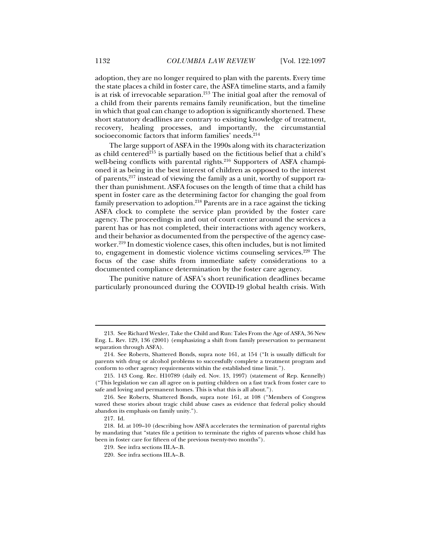adoption, they are no longer required to plan with the parents. Every time the state places a child in foster care, the ASFA timeline starts, and a family is at risk of irrevocable separation.<sup>213</sup> The initial goal after the removal of a child from their parents remains family reunification, but the timeline in which that goal can change to adoption is significantly shortened. These short statutory deadlines are contrary to existing knowledge of treatment, recovery, healing processes, and importantly, the circumstantial socioeconomic factors that inform families' needs.<sup>214</sup>

The large support of ASFA in the 1990s along with its characterization as child centered<sup>215</sup> is partially based on the fictitious belief that a child's well-being conflicts with parental rights.<sup>216</sup> Supporters of ASFA championed it as being in the best interest of children as opposed to the interest of parents,217 instead of viewing the family as a unit, worthy of support rather than punishment. ASFA focuses on the length of time that a child has spent in foster care as the determining factor for changing the goal from family preservation to adoption.<sup>218</sup> Parents are in a race against the ticking ASFA clock to complete the service plan provided by the foster care agency. The proceedings in and out of court center around the services a parent has or has not completed, their interactions with agency workers, and their behavior as documented from the perspective of the agency caseworker.<sup>219</sup> In domestic violence cases, this often includes, but is not limited to, engagement in domestic violence victims counseling services.220 The focus of the case shifts from immediate safety considerations to a documented compliance determination by the foster care agency.

The punitive nature of ASFA's short reunification deadlines became particularly pronounced during the COVID-19 global health crisis. With

 <sup>213.</sup> See Richard Wexler, Take the Child and Run: Tales From the Age of ASFA, 36 New Eng. L. Rev. 129, 136 (2001) (emphasizing a shift from family preservation to permanent separation through ASFA).

 <sup>214.</sup> See Roberts, Shattered Bonds, supra note 161, at 154 ("It is usually difficult for parents with drug or alcohol problems to successfully complete a treatment program and conform to other agency requirements within the established time limit.").

 <sup>215. 143</sup> Cong. Rec. H10789 (daily ed. Nov. 13, 1997) (statement of Rep. Kennelly) ("This legislation we can all agree on is putting children on a fast track from foster care to safe and loving and permanent homes. This is what this is all about.").

 <sup>216.</sup> See Roberts, Shattered Bonds, supra note 161, at 108 ("Members of Congress waved these stories about tragic child abuse cases as evidence that federal policy should abandon its emphasis on family unity.").

 <sup>217.</sup> Id.

 <sup>218.</sup> Id. at 109–10 (describing how ASFA accelerates the termination of parental rights by mandating that "states file a petition to terminate the rights of parents whose child has been in foster care for fifteen of the previous twenty-two months").

 <sup>219.</sup> See infra sections III.A–.B.

 <sup>220.</sup> See infra sections III.A–.B.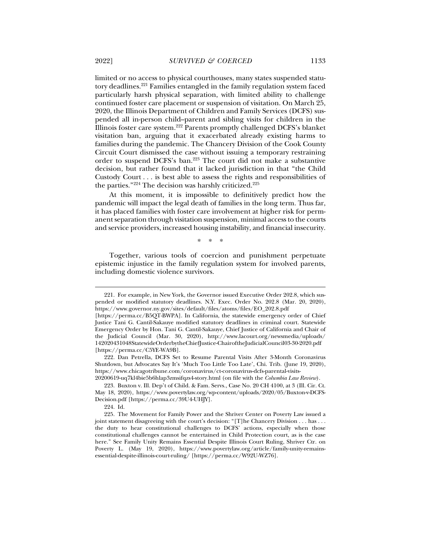limited or no access to physical courthouses, many states suspended statutory deadlines.221 Families entangled in the family regulation system faced particularly harsh physical separation, with limited ability to challenge continued foster care placement or suspension of visitation. On March 25, 2020, the Illinois Department of Children and Family Services (DCFS) suspended all in-person child--parent and sibling visits for children in the Illinois foster care system.222 Parents promptly challenged DCFS's blanket visitation ban, arguing that it exacerbated already existing harms to families during the pandemic. The Chancery Division of the Cook County Circuit Court dismissed the case without issuing a temporary restraining order to suspend DCFS's ban.223 The court did not make a substantive decision, but rather found that it lacked jurisdiction in that "the Child Custody Court . . . is best able to assess the rights and responsibilities of

At this moment, it is impossible to definitively predict how the pandemic will impact the legal death of families in the long term. Thus far, it has placed families with foster care involvement at higher risk for permanent separation through visitation suspension, minimal access to the courts and service providers, increased housing instability, and financial insecurity.

the parties."<sup>224</sup> The decision was harshly criticized.<sup>225</sup>

\* \* \*

Together, various tools of coercion and punishment perpetuate epistemic injustice in the family regulation system for involved parents, including domestic violence survivors.

20200619-uq7kl4bie5b6hlap3zmsifqzs4-story.html (on file with the *Columbia Law Review*).

 <sup>221.</sup> For example, in New York, the Governor issued Executive Order 202.8, which suspended or modified statutory deadlines. N.Y. Exec. Order No. 202.8 (Mar. 20, 2020), https://www.governor.ny.gov/sites/default/files/atoms/files/EO\_202.8.pdf

<sup>[</sup>https://perma.cc/B5QT-BWPA]. In California, the statewide emergency order of Chief Justice Tani G. Cantil-Sakauye modified statutory deadlines in criminal court. Statewide Emergency Order by Hon. Tani G. Cantil-Sakauye, Chief Justice of California and Chair of the Judicial Council (Mar. 30, 2020), http://www.lacourt.org/newsmedia/uploads/ 142020431048StatewideOrderbytheChiefJustice-ChairoftheJudicialCouncil03-30-2020.pdf [https://perma.cc/C5YE-WA9B].

 <sup>222.</sup> Dan Petrella, DCFS Set to Resume Parental Visits After 3-Month Coronavirus Shutdown, but Advocates Say It's 'Much Too Little Too Late', Chi. Trib. (June 19, 2020), https://www.chicagotribune.com/coronavirus/ct-coronavirus-dcfs-parental-visits-

 <sup>223.</sup> Buxton v. Ill. Dep't of Child. & Fam. Servs., Case No. 20 CH 4100, at 3 (Ill. Cir. Ct. May 18, 2020), https://www.povertylaw.org/wp-content/uploads/2020/05/Buxton-v-DCFS-Decision.pdf [https://perma.cc/39U4-UHJY].

 <sup>224.</sup> Id.

 <sup>225.</sup> The Movement for Family Power and the Shriver Center on Poverty Law issued a joint statement disagreeing with the court's decision: "[T]he Chancery Division . . . has . . . the duty to hear constitutional challenges to DCFS' actions, especially when those constitutional challenges cannot be entertained in Child Protection court, as is the case here." See Family Unity Remains Essential Despite Illinois Court Ruling, Shriver Ctr. on Poverty L. (May 19, 2020), https://www.povertylaw.org/article/family-unity-remainsessential-despite-illinois-court-ruling/ [https://perma.cc/W92U-WZ76].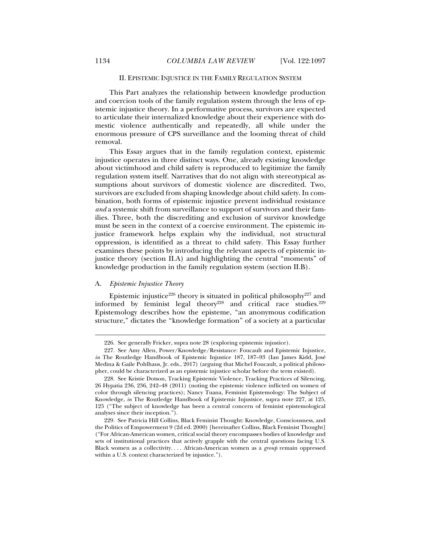# II. EPISTEMIC INJUSTICE IN THE FAMILY REGULATION SYSTEM

This Part analyzes the relationship between knowledge production and coercion tools of the family regulation system through the lens of epistemic injustice theory. In a performative process, survivors are expected to articulate their internalized knowledge about their experience with domestic violence authentically and repeatedly, all while under the enormous pressure of CPS surveillance and the looming threat of child removal.

This Essay argues that in the family regulation context, epistemic injustice operates in three distinct ways. One, already existing knowledge about victimhood and child safety is reproduced to legitimize the family regulation system itself. Narratives that do not align with stereotypical assumptions about survivors of domestic violence are discredited. Two, survivors are excluded from shaping knowledge about child safety. In combination, both forms of epistemic injustice prevent individual resistance *and* a systemic shift from surveillance to support of survivors and their families. Three, both the discrediting and exclusion of survivor knowledge must be seen in the context of a coercive environment. The epistemic injustice framework helps explain why the individual, not structural oppression, is identified as a threat to child safety. This Essay further examines these points by introducing the relevant aspects of epistemic injustice theory (section II.A) and highlighting the central "moments" of knowledge production in the family regulation system (section II.B).

# A. *Epistemic Injustice Theory*

j

Epistemic injustice<sup>226</sup> theory is situated in political philosophy<sup>227</sup> and informed by feminist legal theory<sup>228</sup> and critical race studies.<sup>229</sup> Epistemology describes how the episteme, "an anonymous codification structure," dictates the "knowledge formation" of a society at a particular

 <sup>226.</sup> See generally Fricker, supra note 28 (exploring epistemic injustice).

 <sup>227.</sup> See Amy Allen, Power/Knowledge/Resistance: Foucault and Epistemic Injustice, *in* The Routledge Handbook of Epistemic Injustice 187, 187–93 (Ian James Kidd, José Medina & Gaile Pohlhaus, Jr. eds., 2017) (arguing that Michel Foucault, a political philosopher, could be characterized as an epistemic injustice scholar before the term existed).

 <sup>228.</sup> See Kristie Dotson, Tracking Epistemic Violence, Tracking Practices of Silencing, 26 Hypatia 236, 236, 242–48 (2011) (noting the epistemic violence inflicted on women of color through silencing practices); Nancy Tuana, Feminist Epistemology: The Subject of Knowledge, *in* The Routledge Handbook of Epistemic Injustsice, supra note 227, at 125, 125 ("The subject of knowledge has been a central concern of feminist epistemological analyses since their inception.").

 <sup>229.</sup> See Patricia Hill Collins, Black Feminist Thought: Knowledge, Consciousness, and the Politics of Empowerment 9 (2d ed. 2000) [hereinafter Collins, Black Feminist Thought] ("For African-American women, critical social theory encompasses bodies of knowledge and sets of institutional practices that actively grapple with the central questions facing U.S. Black women as a collectivity. . . . African-American women as a *group* remain oppressed within a U.S. context characterized by injustice.").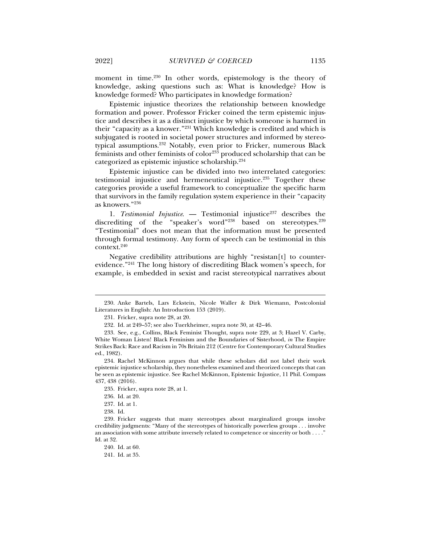moment in time.<sup>230</sup> In other words, epistemology is the theory of knowledge, asking questions such as: What is knowledge? How is knowledge formed? Who participates in knowledge formation?

Epistemic injustice theorizes the relationship between knowledge formation and power. Professor Fricker coined the term epistemic injustice and describes it as a distinct injustice by which someone is harmed in their "capacity as a knower."231 Which knowledge is credited and which is subjugated is rooted in societal power structures and informed by stereotypical assumptions.232 Notably, even prior to Fricker, numerous Black feminists and other feminists of  $color<sup>233</sup>$  produced scholarship that can be categorized as epistemic injustice scholarship.234

Epistemic injustice can be divided into two interrelated categories: testimonial injustice and hermeneutical injustice.235 Together these categories provide a useful framework to conceptualize the specific harm that survivors in the family regulation system experience in their "capacity as knowers."236

1. Testimonial Injustice. — Testimonial injustice<sup>237</sup> describes the discrediting of the "speaker's word"<sup>238</sup> based on stereotypes.<sup>239</sup> "Testimonial" does not mean that the information must be presented through formal testimony. Any form of speech can be testimonial in this context.240

Negative credibility attributions are highly "resistan[t] to counterevidence."241 The long history of discrediting Black women's speech, for example, is embedded in sexist and racist stereotypical narratives about

 <sup>230.</sup> Anke Bartels, Lars Eckstein, Nicole Waller & Dirk Wiemann, Postcolonial Literatures in English: An Introduction 153 (2019).

 <sup>231.</sup> Fricker, supra note 28, at 20.

 <sup>232.</sup> Id. at 249–57; see also Tuerkheimer, supra note 30, at 42–46.

 <sup>233.</sup> See, e.g., Collins, Black Feminist Thought, supra note 229, at 3; Hazel V. Carby, White Woman Listen! Black Feminism and the Boundaries of Sisterhood, *in* The Empire Strikes Back: Race and Racism in 70s Britain 212 (Centre for Contemporary Cultural Studies ed., 1982).

 <sup>234.</sup> Rachel McKinnon argues that while these scholars did not label their work epistemic injustice scholarship, they nonetheless examined and theorized concepts that can be seen as epistemic injustice. See Rachel McKinnon, Epistemic Injustice, 11 Phil. Compass 437, 438 (2016).

 <sup>235.</sup> Fricker, supra note 28, at 1.

 <sup>236.</sup> Id. at 20.

 <sup>237.</sup> Id. at 1.

 <sup>238.</sup> Id.

 <sup>239.</sup> Fricker suggests that many stereotypes about marginalized groups involve credibility judgments: "Many of the stereotypes of historically powerless groups . . . involve an association with some attribute inversely related to competence or sincerity or both . . . ." Id. at 32.

 <sup>240.</sup> Id. at 60.

 <sup>241.</sup> Id. at 35.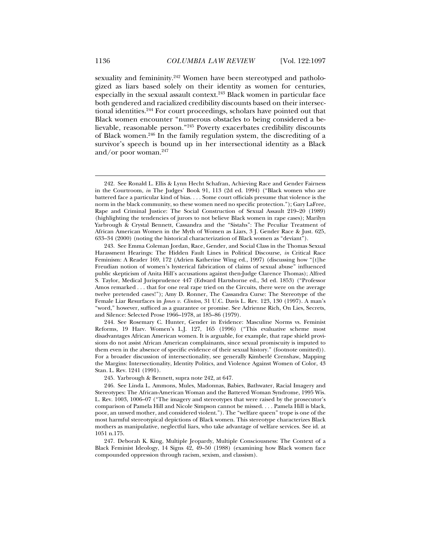sexuality and femininity.<sup>242</sup> Women have been stereotyped and pathologized as liars based solely on their identity as women for centuries, especially in the sexual assault context.<sup>243</sup> Black women in particular face both gendered and racialized credibility discounts based on their intersectional identities.244 For court proceedings, scholars have pointed out that Black women encounter "numerous obstacles to being considered a believable, reasonable person."245 Poverty exacerbates credibility discounts of Black women.246 In the family regulation system, the discrediting of a survivor's speech is bound up in her intersectional identity as a Black and/or poor woman. $247$ 

 244. See Rosemary C. Hunter, Gender in Evidence: Masculine Norms vs. Feminist Reforms, 19 Harv. Women's L.J. 127, 165 (1996) ("This evaluative scheme most disadvantages African American women. It is arguable, for example, that rape shield provisions do not assist African American complainants, since sexual promiscuity is imputed to them even in the absence of specific evidence of their sexual history." (footnote omitted)). For a broader discussion of intersectionality, see generally Kimberlé Crenshaw, Mapping the Margins: Intersectionality, Identity Politics, and Violence Against Women of Color, 43 Stan. L. Rev. 1241 (1991).

245. Yarbrough & Bennett, supra note 242, at 647.

 246. See Linda L. Ammons, Mules, Madonnas, Babies, Bathwater, Racial Imagery and Stereotypes: The African-American Woman and the Battered Woman Syndrome, 1995 Wis. L. Rev. 1003, 1006–07 ("The imagery and stereotypes that were raised by the prosecutor's comparison of Pamela Hill and Nicole Simpson cannot be missed. . . . Pamela Hill is black, poor, an unwed mother, and considered violent."). The "welfare queen" trope is one of the most harmful stereotypical depictions of Black women. This stereotype characterizes Black mothers as manipulative, neglectful liars, who take advantage of welfare services. See id. at 1051 n.175.

 247. Deborah K. King, Multiple Jeopardy, Multiple Consciousness: The Context of a Black Feminist Ideology, 14 Signs 42, 49–50 (1988) (examining how Black women face compounded oppression through racism, sexism, and classism).

 <sup>242.</sup> See Ronald L. Ellis & Lynn Hecht Schafran, Achieving Race and Gender Fairness in the Courtroom, *in* The Judges' Book 91, 113 (2d ed. 1994) ("Black women who are battered face a particular kind of bias. . . . Some court officials presume that violence is the norm in the black community, so these women need no specific protection."); Gary LaFree, Rape and Criminal Justice: The Social Construction of Sexual Assault 219–20 (1989) (highlighting the tendencies of jurors to not believe Black women in rape cases); Marilyn Yarbrough & Crystal Bennett, Cassandra and the "Sistahs": The Peculiar Treatment of African American Women in the Myth of Women as Liars, 3 J. Gender Race & Just. 625, 633–34 (2000) (noting the historical characterization of Black women as "deviant").

 <sup>243.</sup> See Emma Coleman Jordan, Race, Gender, and Social Class in the Thomas Sexual Harassment Hearings: The Hidden Fault Lines in Political Discourse, *in* Critical Race Feminism: A Reader 169, 172 (Adrien Katherine Wing ed., 1997) (discussing how "[t]he Freudian notion of women's hysterical fabrication of claims of sexual abuse" influenced public skepticism of Anita Hill's accusations against then-Judge Clarence Thomas); Alfred S. Taylor, Medical Jurisprudence 447 (Edward Hartshorne ed., 3d ed. 1853) ("Professor Amos remarked . . . that for one real rape tried on the Circuits, there were on the average twelve pretended cases!"); Amy D. Ronner, The Cassandra Curse: The Stereotype of the Female Liar Resurfaces in *Jones v. Clinton*, 31 U.C. Davis L. Rev. 123, 130 (1997). A man's "word," however, sufficed as a guarantee or promise. See Adrienne Rich, On Lies, Secrets, and Silence: Selected Prose 1966–1978, at 185–86 (1979).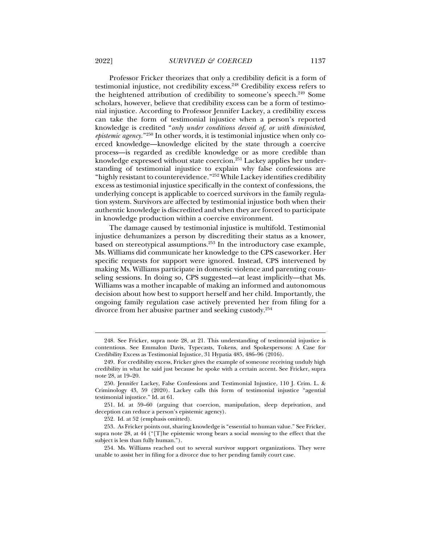Professor Fricker theorizes that only a credibility deficit is a form of testimonial injustice, not credibility excess.<sup>248</sup> Credibility excess refers to the heightened attribution of credibility to someone's speech.<sup>249</sup> Some scholars, however, believe that credibility excess can be a form of testimonial injustice. According to Professor Jennifer Lackey, a credibility excess can take the form of testimonial injustice when a person's reported knowledge is credited "*only under conditions devoid of, or with diminished, epistemic agency.*"250 In other words, it is testimonial injustice when only coerced knowledge—knowledge elicited by the state through a coercive process—is regarded as credible knowledge or as more credible than knowledge expressed without state coercion.251 Lackey applies her understanding of testimonial injustice to explain why false confessions are "highly resistant to counterevidence."<sup>252</sup> While Lackey identifies credibility excess as testimonial injustice specifically in the context of confessions, the underlying concept is applicable to coerced survivors in the family regulation system. Survivors are affected by testimonial injustice both when their authentic knowledge is discredited and when they are forced to participate in knowledge production within a coercive environment.

The damage caused by testimonial injustice is multifold. Testimonial injustice dehumanizes a person by discrediting their status as a knower, based on stereotypical assumptions.253 In the introductory case example, Ms. Williams did communicate her knowledge to the CPS caseworker. Her specific requests for support were ignored. Instead, CPS intervened by making Ms. Williams participate in domestic violence and parenting counseling sessions. In doing so, CPS suggested—at least implicitly—that Ms. Williams was a mother incapable of making an informed and autonomous decision about how best to support herself and her child. Importantly, the ongoing family regulation case actively prevented her from filing for a divorce from her abusive partner and seeking custody.254

 <sup>248.</sup> See Fricker, supra note 28, at 21. This understanding of testimonial injustice is contentious. See Emmalon Davis, Typecasts, Tokens, and Spokespersons: A Case for Credibility Excess as Testimonial Injustice, 31 Hypatia 485, 486–96 (2016).

 <sup>249.</sup> For credibility excess, Fricker gives the example of someone receiving unduly high credibility in what he said just because he spoke with a certain accent. See Fricker, supra note 28, at 19–20.

 <sup>250.</sup> Jennifer Lackey, False Confessions and Testimonial Injustice, 110 J. Crim. L. & Criminology 43, 59 (2020). Lackey calls this form of testimonial injustice "agential testimonial injustice." Id. at 61.

 <sup>251.</sup> Id. at 59–60 (arguing that coercion, manipulation, sleep deprivation, and deception can reduce a person's epistemic agency).

 <sup>252.</sup> Id. at 52 (emphasis omitted).

 <sup>253.</sup> As Fricker points out, sharing knowledge is "essential to human value." See Fricker, supra note 28, at 44 ("[T]he epistemic wrong bears a social *meaning* to the effect that the subject is less than fully human.").

 <sup>254.</sup> Ms. Williams reached out to several survivor support organizations. They were unable to assist her in filing for a divorce due to her pending family court case.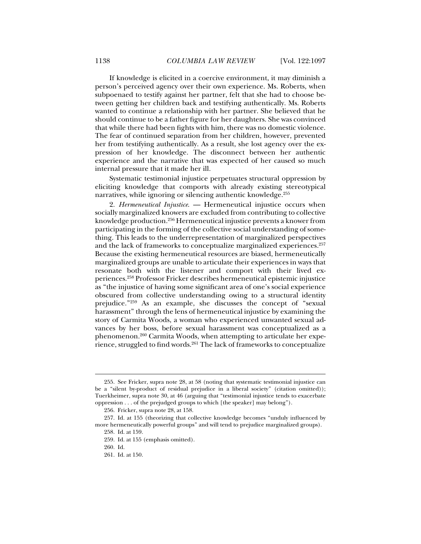If knowledge is elicited in a coercive environment, it may diminish a person's perceived agency over their own experience. Ms. Roberts, when subpoenaed to testify against her partner, felt that she had to choose between getting her children back and testifying authentically. Ms. Roberts wanted to continue a relationship with her partner. She believed that he should continue to be a father figure for her daughters. She was convinced that while there had been fights with him, there was no domestic violence. The fear of continued separation from her children, however, prevented her from testifying authentically. As a result, she lost agency over the expression of her knowledge. The disconnect between her authentic experience and the narrative that was expected of her caused so much internal pressure that it made her ill.

Systematic testimonial injustice perpetuates structural oppression by eliciting knowledge that comports with already existing stereotypical narratives, while ignoring or silencing authentic knowledge.<sup>255</sup>

2. *Hermeneutical Injustice*. — Hermeneutical injustice occurs when socially marginalized knowers are excluded from contributing to collective knowledge production.256 Hermeneutical injustice prevents a knower from participating in the forming of the collective social understanding of something. This leads to the underrepresentation of marginalized perspectives and the lack of frameworks to conceptualize marginalized experiences.<sup>257</sup> Because the existing hermeneutical resources are biased, hermeneutically marginalized groups are unable to articulate their experiences in ways that resonate both with the listener and comport with their lived experiences.258 Professor Fricker describes hermeneutical epistemic injustice as "the injustice of having some significant area of one's social experience obscured from collective understanding owing to a structural identity prejudice."259 As an example, she discusses the concept of "sexual harassment" through the lens of hermeneutical injustice by examining the story of Carmita Woods, a woman who experienced unwanted sexual advances by her boss, before sexual harassment was conceptualized as a phenomenon.260 Carmita Woods, when attempting to articulate her experience, struggled to find words.<sup>261</sup> The lack of frameworks to conceptualize

 <sup>255.</sup> See Fricker, supra note 28, at 58 (noting that systematic testimonial injustice can be a "silent by-product of residual prejudice in a liberal society" (citation omitted)); Tuerkheimer, supra note 30, at 46 (arguing that "testimonial injustice tends to exacerbate oppression . . . of the prejudged groups to which [the speaker] may belong").

 <sup>256.</sup> Fricker, supra note 28, at 158.

 <sup>257.</sup> Id. at 155 (theorizing that collective knowledge becomes "unduly influenced by more hermeneutically powerful groups" and will tend to prejudice marginalized groups).

 <sup>258.</sup> Id. at 159. 259. Id. at 155 (emphasis omitted).

 <sup>260.</sup> Id.

 <sup>261.</sup> Id. at 150.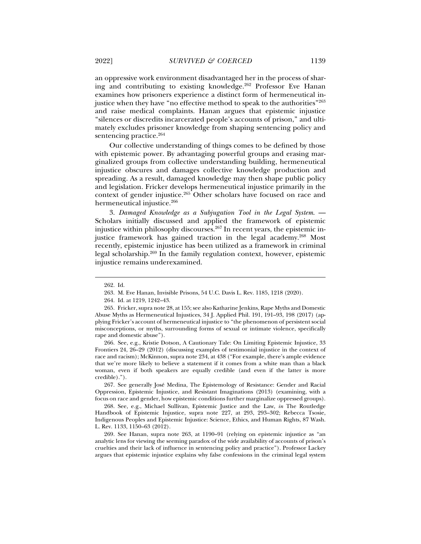an oppressive work environment disadvantaged her in the process of sharing and contributing to existing knowledge.<sup>262</sup> Professor Eve Hanan examines how prisoners experience a distinct form of hermeneutical injustice when they have "no effective method to speak to the authorities"<sup>263</sup> and raise medical complaints. Hanan argues that epistemic injustice "silences or discredits incarcerated people's accounts of prison," and ultimately excludes prisoner knowledge from shaping sentencing policy and sentencing practice.<sup>264</sup>

Our collective understanding of things comes to be defined by those with epistemic power. By advantaging powerful groups and erasing marginalized groups from collective understanding building, hermeneutical injustice obscures and damages collective knowledge production and spreading. As a result, damaged knowledge may then shape public policy and legislation. Fricker develops hermeneutical injustice primarily in the context of gender injustice.<sup>265</sup> Other scholars have focused on race and hermeneutical injustice.<sup>266</sup>

3. *Damaged Knowledge as a Subjugation Tool in the Legal System*. — Scholars initially discussed and applied the framework of epistemic injustice within philosophy discourses.<sup>267</sup> In recent years, the epistemic injustice framework has gained traction in the legal academy.<sup>268</sup> Most recently, epistemic injustice has been utilized as a framework in criminal legal scholarship.269 In the family regulation context, however, epistemic injustice remains underexamined.

j

 266. See, e.g., Kristie Dotson, A Cautionary Tale: On Limiting Epistemic Injustice, 33 Frontiers 24, 26–29 (2012) (discussing examples of testimonial injustice in the context of race and racism); McKinnon, supra note 234, at 438 ("For example, there's ample evidence that we're more likely to believe a statement if it comes from a white man than a black woman, even if both speakers are equally credible (and even if the latter is more credible).").

 267. See generally José Medina, The Epistemology of Resistance: Gender and Racial Oppression, Epistemic Injustice, and Resistant Imaginations (2013) (examining, with a focus on race and gender, how epistemic conditions further marginalize oppressed groups).

 268. See, e.g., Michael Sullivan, Epistemic Justice and the Law, *in* The Routledge Handbook of Epistemic Injustice, supra note 227, at 293, 293–302; Rebecca Tsosie, Indigenous Peoples and Epistemic Injustice: Science, Ethics, and Human Rights, 87 Wash. L. Rev. 1133, 1150–63 (2012).

 269. See Hanan, supra note 263, at 1190–91 (relying on epistemic injustice as "an analytic lens for viewing the seeming paradox of the wide availability of accounts of prison's cruelties and their lack of influence in sentencing policy and practice"). Professor Lackey argues that epistemic injustice explains why false confessions in the criminal legal system

 <sup>262.</sup> Id.

 <sup>263.</sup> M. Eve Hanan, Invisible Prisons, 54 U.C. Davis L. Rev. 1185, 1218 (2020).

 <sup>264.</sup> Id. at 1219, 1242–43.

 <sup>265.</sup> Fricker, supra note 28, at 155; see also Katharine Jenkins, Rape Myths and Domestic Abuse Myths as Hermeneutical Injustices, 34 J. Applied Phil. 191, 191–93, 198 (2017) (applying Fricker's account of hermeneutical injustice to "the phenomenon of persistent social misconceptions, or myths, surrounding forms of sexual or intimate violence, specifically rape and domestic abuse").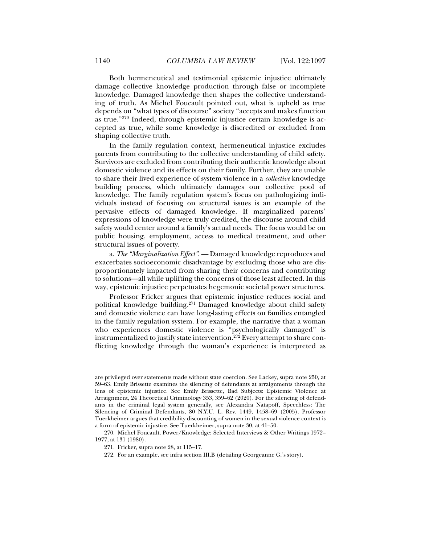Both hermeneutical and testimonial epistemic injustice ultimately damage collective knowledge production through false or incomplete knowledge. Damaged knowledge then shapes the collective understanding of truth. As Michel Foucault pointed out, what is upheld as true depends on "what types of discourse" society "accepts and makes function as true."270 Indeed, through epistemic injustice certain knowledge is accepted as true, while some knowledge is discredited or excluded from shaping collective truth.

In the family regulation context, hermeneutical injustice excludes parents from contributing to the collective understanding of child safety. Survivors are excluded from contributing their authentic knowledge about domestic violence and its effects on their family. Further, they are unable to share their lived experience of system violence in a *collective* knowledge building process, which ultimately damages our collective pool of knowledge. The family regulation system's focus on pathologizing individuals instead of focusing on structural issues is an example of the pervasive effects of damaged knowledge. If marginalized parents' expressions of knowledge were truly credited, the discourse around child safety would center around a family's actual needs. The focus would be on public housing, employment, access to medical treatment, and other structural issues of poverty.

a. *The "Marginalization Effect"*. — Damaged knowledge reproduces and exacerbates socioeconomic disadvantage by excluding those who are disproportionately impacted from sharing their concerns and contributing to solutions—all while uplifting the concerns of those least affected. In this way, epistemic injustice perpetuates hegemonic societal power structures.

Professor Fricker argues that epistemic injustice reduces social and political knowledge building.271 Damaged knowledge about child safety and domestic violence can have long-lasting effects on families entangled in the family regulation system. For example, the narrative that a woman who experiences domestic violence is "psychologically damaged" is instrumentalized to justify state intervention.<sup>272</sup> Every attempt to share conflicting knowledge through the woman's experience is interpreted as

272. For an example, see infra section III.B (detailing Georgeanne G.'s story).

are privileged over statements made without state coercion. See Lackey, supra note 250, at 59–63. Emily Brissette examines the silencing of defendants at arraignments through the lens of epistemic injustice. See Emily Brissette, Bad Subjects: Epistemic Violence at Arraignment, 24 Theoretical Criminology 353, 359–62 (2020). For the silencing of defendants in the criminal legal system generally, see Alexandra Natapoff, Speechless: The Silencing of Criminal Defendants, 80 N.Y.U. L. Rev. 1449, 1458–69 (2005). Professor Tuerkheimer argues that credibility discounting of women in the sexual violence context is a form of epistemic injustice. See Tuerkheimer, supra note 30, at 41–50.

 <sup>270.</sup> Michel Foucault, Power/Knowledge: Selected Interviews & Other Writings 1972– 1977, at 131 (1980).

 <sup>271.</sup> Fricker, supra note 28, at 115–17.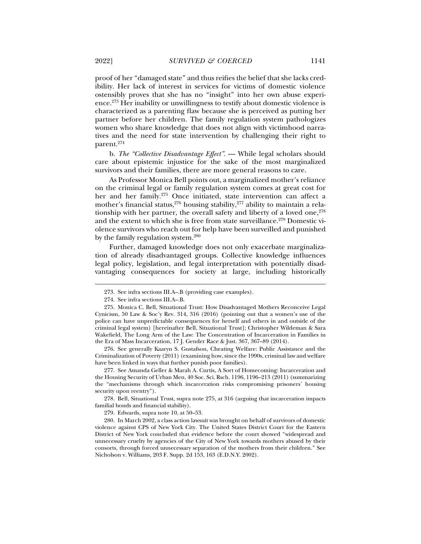proof of her "damaged state" and thus reifies the belief that she lacks credibility. Her lack of interest in services for victims of domestic violence ostensibly proves that she has no "insight" into her own abuse experience.273 Her inability or unwillingness to testify about domestic violence is characterized as a parenting flaw because she is perceived as putting her partner before her children. The family regulation system pathologizes women who share knowledge that does not align with victimhood narratives and the need for state intervention by challenging their right to parent.274

b. *The "Collective Disadvantage Effect"*. — While legal scholars should care about epistemic injustice for the sake of the most marginalized survivors and their families, there are more general reasons to care.

As Professor Monica Bell points out, a marginalized mother's reliance on the criminal legal or family regulation system comes at great cost for her and her family.275 Once initiated, state intervention can affect a mother's financial status,  $276$  housing stability,  $277$  ability to maintain a relationship with her partner, the overall safety and liberty of a loved one, $278$ and the extent to which she is free from state surveillance.<sup>279</sup> Domestic violence survivors who reach out for help have been surveilled and punished by the family regulation system.280

Further, damaged knowledge does not only exacerbate marginalization of already disadvantaged groups. Collective knowledge influences legal policy, legislation, and legal interpretation with potentially disadvantaging consequences for society at large, including historically

j

 276. See generally Kaaryn S. Gustafson, Cheating Welfare: Public Assistance and the Criminalization of Poverty (2011) (examining how, since the 1990s, criminal law and welfare have been linked in ways that further punish poor families).

 277. See Amanda Geller & Marah A. Curtis, A Sort of Homecoming: Incarceration and the Housing Security of Urban Men, 40 Soc. Sci. Rsch. 1196, 1196–213 (2011) (summarizing the "mechanisms through which incarceration risks compromising prisoners' housing security upon reentry").

 278. Bell, Situational Trust, supra note 275, at 316 (arguing that incarceration impacts familial bonds and financial stability).

279. Edwards, supra note 10, at 50–53.

 280. In March 2002, a class action lawsuit was brought on behalf of survivors of domestic violence against CPS of New York City. The United States District Court for the Eastern District of New York concluded that evidence before the court showed "widespread and unnecessary cruelty by agencies of the City of New York towards mothers abused by their consorts, through forced unnecessary separation of the mothers from their children." See Nicholson v. Williams, 203 F. Supp. 2d 153, 163 (E.D.N.Y. 2002).

 <sup>273.</sup> See infra sections III.A–.B (providing case examples).

 <sup>274.</sup> See infra sections III.A–.B.

 <sup>275.</sup> Monica C. Bell, Situational Trust: How Disadvantaged Mothers Reconceive Legal Cynicism, 50 Law & Soc'y Rev. 314, 316 (2016) (pointing out that a women's use of the police can have unpredictable consequences for herself and others in and outside of the criminal legal system) [hereinafter Bell, Situational Trust]; Christopher Wildeman & Sara Wakefield, The Long Arm of the Law: The Concentration of Incarceration in Families in the Era of Mass Incarceration, 17 J. Gender Race & Just. 367, 367–89 (2014).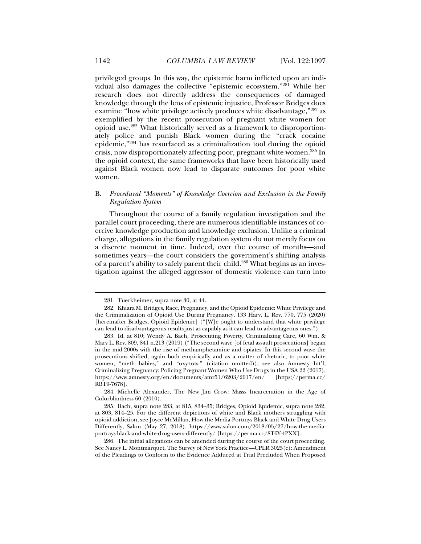privileged groups. In this way, the epistemic harm inflicted upon an individual also damages the collective "epistemic ecosystem."281 While her research does not directly address the consequences of damaged knowledge through the lens of epistemic injustice, Professor Bridges does examine "how white privilege actively produces white disadvantage,"282 as exemplified by the recent prosecution of pregnant white women for opioid use.283 What historically served as a framework to disproportionately police and punish Black women during the "crack cocaine epidemic,"284 has resurfaced as a criminalization tool during the opioid crisis, now disproportionately affecting poor, pregnant white women.285 In the opioid context, the same frameworks that have been historically used against Black women now lead to disparate outcomes for poor white women.

# B. *Procedural "Moments" of Knowledge Coercion and Exclusion in the Family Regulation System*

Throughout the course of a family regulation investigation and the parallel court proceeding, there are numerous identifiable instances of coercive knowledge production and knowledge exclusion. Unlike a criminal charge, allegations in the family regulation system do not merely focus on a discrete moment in time. Indeed, over the course of months—and sometimes years—the court considers the government's shifting analysis of a parent's ability to safely parent their child.286 What begins as an investigation against the alleged aggressor of domestic violence can turn into

 <sup>281.</sup> Tuerkheimer, supra note 30, at 44.

 <sup>282.</sup> Khiara M. Bridges, Race, Pregnancy, and the Opioid Epidemic: White Privilege and the Criminalization of Opioid Use During Pregnancy, 133 Harv. L. Rev. 770, 775 (2020) [hereinafter Bridges, Opioid Epidemic] ("[W]e ought to understand that white privilege can lead to disadvantageous results just as capably as it can lead to advantageous ones.").

 <sup>283.</sup> Id. at 810; Wendy A. Bach, Prosecuting Poverty, Criminalizing Care, 60 Wm. & Mary L. Rev. 809, 841 n.213 (2019) ("The second wave [of fetal assault prosecutions] began in the mid-2000s with the rise of methamphetamine and opiates. In this second wave the prosecutions shifted, again both empirically and as a matter of rhetoric, to poor white women, "meth babies," and "oxy-tots." (citation omitted)); see also Amnesty Int'l, Criminalizing Pregnancy: Policing Pregnant Women Who Use Drugs in the USA 22 (2017), https://www.amnesty.org/en/documents/amr51/6203/2017/en/ RBT9-7678].

 <sup>284.</sup> Michelle Alexander, The New Jim Crow: Masss Incarceration in the Age of Colorblindness 60 (2010).

 <sup>285.</sup> Bach, supra note 283, at 815, 834–35; Bridges, Opioid Epidemic, supra note 282, at 803, 814–25. For the different depictions of white and Black mothers struggling with opioid addiction, see Joyce McMillan, How the Media Portrays Black and White Drug Users Differently, Salon (May 27, 2018), https://www.salon.com/2018/05/27/how-the-mediaportrays-black-and-white-drug-users-differently/ [https://perma.cc/8T6Y-4PXX].

 <sup>286.</sup> The initial allegations can be amended during the course of the court proceeding. See Nancy L. Montmarquet, The Survey of New York Practice—CPLR 3025(c): Amendment of the Pleadings to Conform to the Evidence Adduced at Trial Precluded When Proposed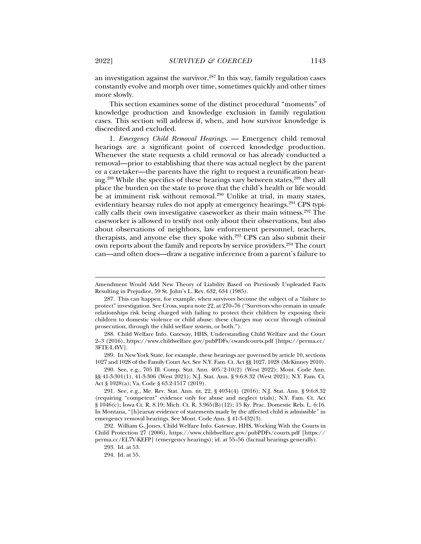an investigation against the survivor.<sup>287</sup> In this way, family regulation cases constantly evolve and morph over time, sometimes quickly and other times more slowly.

This section examines some of the distinct procedural "moments" of knowledge production and knowledge exclusion in family regulation cases. This section will address if, when, and how survivor knowledge is discredited and excluded.

1. *Emergency Child Removal Hearings*. — Emergency child removal hearings are a significant point of coerced knowledge production. Whenever the state requests a child removal or has already conducted a removal—prior to establishing that there was actual neglect by the parent or a caretaker—the parents have the right to request a reunification hearing.288 While the specifics of these hearings vary between states,289 they all place the burden on the state to prove that the child's health or life would be at imminent risk without removal.<sup>290</sup> Unlike at trial, in many states, evidentiary hearsay rules do not apply at emergency hearings.<sup>291</sup> CPS typically calls their own investigative caseworker as their main witness.<sup>292</sup> The caseworker is allowed to testify not only about their observations, but also about observations of neighbors, law enforcement personnel, teachers, therapists, and anyone else they spoke with.293 CPS can also submit their own reports about the family and reports by service providers.<sup>294</sup> The court can—and often does—draw a negative inference from a parent's failure to

Amendment Would Add New Theory of Liability Based on Previously Unpleaded Facts Resulting in Prejudice, 59 St. John's L. Rev. 632, 634 (1985).

 <sup>287.</sup> This can happen, for example, when survivors become the subject of a "failure to protect" investigation. See Cross, supra note 22, at 270–76 ("Survivors who remain in unsafe relationships risk being charged with failing to protect their children by exposing their children to domestic violence or child abuse: these charges may occur through criminal prosecution, through the child welfare system, or both.").

 <sup>288.</sup> Child Welfare Info. Gateway, HHS, Understanding Child Welfare and the Court 2–3 (2016), https://www.childwelfare.gov/pubPDFs/cwandcourts.pdf [https://perma.cc/ 3FTE-L4YV].

 <sup>289.</sup> In New York State, for example, these hearings are governed by article 10, sections 1027 and 1028 of the Family Court Act. See N.Y. Fam. Ct. Act §§ 1027, 1028 (McKinney 2010).

 <sup>290.</sup> See, e.g., 705 Ill. Comp. Stat. Ann. 405/2-10(2) (West 2022); Mont. Code Ann. §§ 41-3-301(1), 41-3-306 (West 2021); N.J. Stat. Ann. § 9:6:8.32 (West 2021); N.Y. Fam. Ct. Act § 1028(a); Va. Code § 63.2-1517 (2019).

 <sup>291.</sup> See, e.g., Me. Rev. Stat. Ann. tit. 22, § 4034(4) (2016); N.J. Stat. Ann. § 9:6:8.32 (requiring "competent" evidence only for abuse and neglect trials); N.Y. Fam. Ct. Act § 1046(c); Iowa Ct. R. 8.19; Mich. Ct. R. 3.965(B)(12); 15 Ky. Prac. Domestic Rels. L. 6:16. In Montana, "[h]earsay evidence of statements made by the affected child is admissible" in emergency removal hearings. See Mont. Code Ann. § 41-3-432(3).

 <sup>292.</sup> William G. Jones, Child Welfare Info. Gateway, HHS, Working With the Courts in Child Protection 27 (2006), https://www.childwelfare.gov/pubPDFs/courts.pdf [https:// perma.cc/EL7V-KEFP] (emergency hearings); id. at 55–56 (factual hearings generally).

 <sup>293.</sup> Id. at 53.

 <sup>294.</sup> Id. at 55.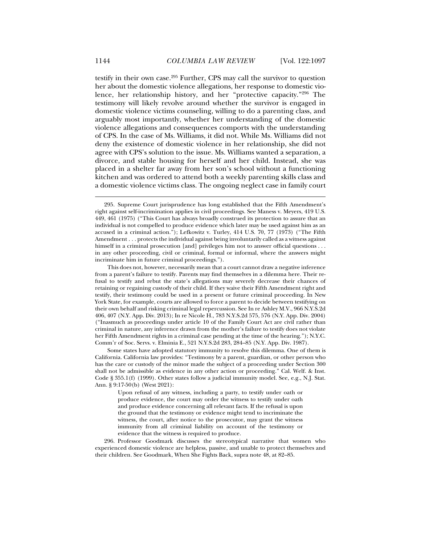testify in their own case.295 Further, CPS may call the survivor to question her about the domestic violence allegations, her response to domestic violence, her relationship history, and her "protective capacity."296 The testimony will likely revolve around whether the survivor is engaged in domestic violence victims counseling, willing to do a parenting class, and arguably most importantly, whether her understanding of the domestic violence allegations and consequences comports with the understanding of CPS. In the case of Ms. Williams, it did not. While Ms. Williams did not deny the existence of domestic violence in her relationship, she did not agree with CPS's solution to the issue. Ms. Williams wanted a separation, a divorce, and stable housing for herself and her child. Instead, she was placed in a shelter far away from her son's school without a functioning kitchen and was ordered to attend both a weekly parenting skills class and a domestic violence victims class. The ongoing neglect case in family court

 <sup>295.</sup> Supreme Court jurisprudence has long established that the Fifth Amendment's right against self-incrimination applies in civil proceedings. See Maness v. Meyers, 419 U.S. 449, 461 (1975) ("This Court has always broadly construed its protection to assure that an individual is not compelled to produce evidence which later may be used against him as an accused in a criminal action."); Lefkowitz v. Turley, 414 U.S. 70, 77 (1973) ("The Fifth Amendment . . . protects the individual against being involuntarily called as a witness against himself in a criminal prosecution [and] privileges him not to answer official questions . . . in any other proceeding, civil or criminal, formal or informal, where the answers might incriminate him in future criminal proceedings.").

This does not, however, necessarily mean that a court cannot draw a negative inference from a parent's failure to testify. Parents may find themselves in a dilemma here. Their refusal to testify and rebut the state's allegations may severely decrease their chances of retaining or regaining custody of their child. If they waive their Fifth Amendment right and testify, their testimony could be used in a present or future criminal proceeding. In New York State, for example, courts are allowed to force a parent to decide between testifying on their own behalf and risking criminal legal repercussion. See In re Ashley M.V., 966 N.Y.S.2d 406, 407 (N.Y. App. Div. 2013); In re Nicole H., 783 N.Y.S.2d 575, 576 (N.Y. App. Div. 2004) ("Inasmuch as proceedings under article 10 of the Family Court Act are civil rather than criminal in nature, any inference drawn from the mother's failure to testify does not violate her Fifth Amendment rights in a criminal case pending at the time of the hearing."); N.Y.C. Comm'r of Soc. Servs. v. Elminia E., 521 N.Y.S.2d 283, 284–85 (N.Y. App. Div. 1987).

Some states have adopted statutory immunity to resolve this dilemma. One of them is California. California law provides: "Testimony by a parent, guardian, or other person who has the care or custody of the minor made the subject of a proceeding under Section 300 shall not be admissible as evidence in any other action or proceeding." Cal. Welf. & Inst. Code § 355.1(f) (1999). Other states follow a judicial immunity model. See, e.g., N.J. Stat. Ann. § 9:17-50(b) (West 2021):

Upon refusal of any witness, including a party, to testify under oath or produce evidence, the court may order the witness to testify under oath and produce evidence concerning all relevant facts. If the refusal is upon the ground that the testimony or evidence might tend to incriminate the witness, the court, after notice to the prosecutor, may grant the witness immunity from all criminal liability on account of the testimony or evidence that the witness is required to produce.

 <sup>296.</sup> Professor Goodmark discusses the stereotypical narrative that women who experienced domestic violence are helpless, passive, and unable to protect themselves and their children. See Goodmark, When She Fights Back, supra note 48, at 82–85.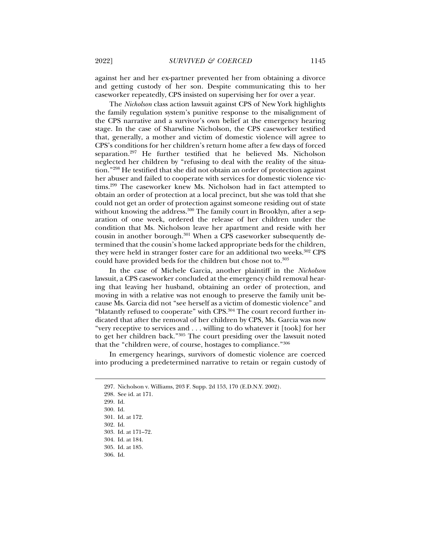against her and her ex-partner prevented her from obtaining a divorce and getting custody of her son. Despite communicating this to her caseworker repeatedly, CPS insisted on supervising her for over a year.

The *Nicholson* class action lawsuit against CPS of New York highlights the family regulation system's punitive response to the misalignment of the CPS narrative and a survivor's own belief at the emergency hearing stage. In the case of Sharwline Nicholson, the CPS caseworker testified that, generally, a mother and victim of domestic violence will agree to CPS's conditions for her children's return home after a few days of forced separation.297 He further testified that he believed Ms. Nicholson neglected her children by "refusing to deal with the reality of the situation."298 He testified that she did not obtain an order of protection against her abuser and failed to cooperate with services for domestic violence victims.<sup>299</sup> The caseworker knew Ms. Nicholson had in fact attempted to obtain an order of protection at a local precinct, but she was told that she could not get an order of protection against someone residing out of state without knowing the address.<sup>300</sup> The family court in Brooklyn, after a separation of one week, ordered the release of her children under the condition that Ms. Nicholson leave her apartment and reside with her cousin in another borough.<sup>301</sup> When a CPS caseworker subsequently determined that the cousin's home lacked appropriate beds for the children, they were held in stranger foster care for an additional two weeks.<sup>302</sup> CPS could have provided beds for the children but chose not to.<sup>303</sup>

In the case of Michele Garcia, another plaintiff in the *Nicholson*  lawsuit, a CPS caseworker concluded at the emergency child removal hearing that leaving her husband, obtaining an order of protection, and moving in with a relative was not enough to preserve the family unit because Ms. Garcia did not "see herself as a victim of domestic violence" and "blatantly refused to cooperate" with CPS.<sup>304</sup> The court record further indicated that after the removal of her children by CPS, Ms. Garcia was now "very receptive to services and . . . willing to do whatever it [took] for her to get her children back."305 The court presiding over the lawsuit noted that the "children were, of course, hostages to compliance."306

In emergency hearings, survivors of domestic violence are coerced into producing a predetermined narrative to retain or regain custody of

j

306. Id.

 <sup>297.</sup> Nicholson v. Williams, 203 F. Supp. 2d 153, 170 (E.D.N.Y. 2002).

 <sup>298.</sup> See id. at 171.

 <sup>299.</sup> Id.

 <sup>300.</sup> Id.

 <sup>301.</sup> Id. at 172.

 <sup>302.</sup> Id.

 <sup>303.</sup> Id. at 171–72.

 <sup>304.</sup> Id. at 184.

 <sup>305.</sup> Id. at 185.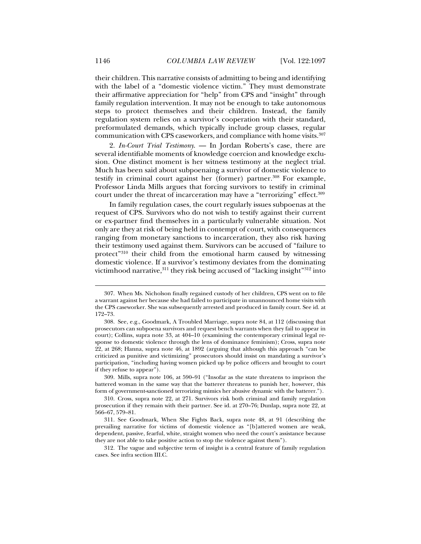their children. This narrative consists of admitting to being and identifying with the label of a "domestic violence victim." They must demonstrate their affirmative appreciation for "help" from CPS and "insight" through family regulation intervention. It may not be enough to take autonomous steps to protect themselves and their children. Instead, the family regulation system relies on a survivor's cooperation with their standard, preformulated demands, which typically include group classes, regular communication with CPS caseworkers, and compliance with home visits.307

2. *In-Court Trial Testimony*. — In Jordan Roberts's case, there are several identifiable moments of knowledge coercion and knowledge exclusion. One distinct moment is her witness testimony at the neglect trial. Much has been said about subpoenaing a survivor of domestic violence to testify in criminal court against her (former) partner.<sup>308</sup> For example, Professor Linda Mills argues that forcing survivors to testify in criminal court under the threat of incarceration may have a "terrorizing" effect.<sup>309</sup>

In family regulation cases, the court regularly issues subpoenas at the request of CPS. Survivors who do not wish to testify against their current or ex-partner find themselves in a particularly vulnerable situation. Not only are they at risk of being held in contempt of court, with consequences ranging from monetary sanctions to incarceration, they also risk having their testimony used against them. Survivors can be accused of "failure to protect"310 their child from the emotional harm caused by witnessing domestic violence. If a survivor's testimony deviates from the dominating victimhood narrative,  $311$  they risk being accused of "lacking insight"  $312$  into

 <sup>307.</sup> When Ms. Nicholson finally regained custody of her children, CPS went on to file a warrant against her because she had failed to participate in unannounced home visits with the CPS caseworker. She was subsequently arrested and produced in family court. See id. at 172–73.

 <sup>308.</sup> See, e.g., Goodmark, A Troubled Marriage, supra note 84, at 112 (discussing that prosecutors can subpoena survivors and request bench warrants when they fail to appear in court); Collins, supra note 33, at 404–10 (examining the contemporary criminal legal response to domestic violence through the lens of dominance feminism); Cross, supra note 22, at 268; Hanna, supra note 46, at 1892 (arguing that although this approach "can be criticized as punitive and victimizing" prosecutors should insist on mandating a survivor's participation, "including having women picked up by police officers and brought to court if they refuse to appear").

 <sup>309.</sup> Mills, supra note 106, at 590–91 ("Insofar as the state threatens to imprison the battered woman in the same way that the batterer threatens to punish her, however, this form of government-sanctioned terrorizing mimics her abusive dynamic with the batterer.").

 <sup>310.</sup> Cross, supra note 22, at 271. Survivors risk both criminal and family regulation prosecution if they remain with their partner. See id. at 270–76; Dunlap, supra note 22, at 566–67, 579–81.

 <sup>311.</sup> See Goodmark, When She Fights Back, supra note 48, at 91 (describing the prevailing narrative for victims of domestic violence as "[b]attered women are weak, dependent, passive, fearful, white, straight women who need the court's assistance because they are not able to take positive action to stop the violence against them").

 <sup>312.</sup> The vague and subjective term of insight is a central feature of family regulation cases. See infra section III.C.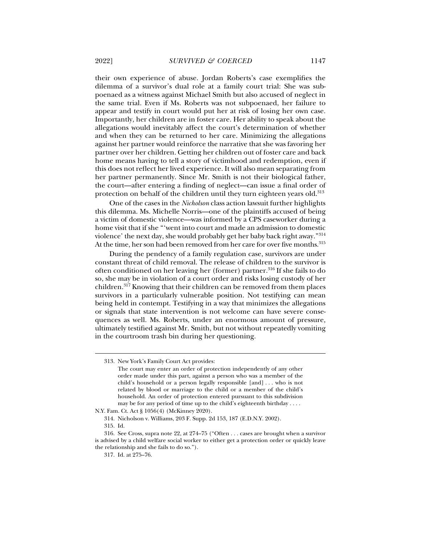their own experience of abuse. Jordan Roberts's case exemplifies the dilemma of a survivor's dual role at a family court trial: She was subpoenaed as a witness against Michael Smith but also accused of neglect in the same trial. Even if Ms. Roberts was not subpoenaed, her failure to appear and testify in court would put her at risk of losing her own case. Importantly, her children are in foster care. Her ability to speak about the allegations would inevitably affect the court's determination of whether and when they can be returned to her care. Minimizing the allegations against her partner would reinforce the narrative that she was favoring her partner over her children. Getting her children out of foster care and back home means having to tell a story of victimhood and redemption, even if this does not reflect her lived experience. It will also mean separating from her partner permanently. Since Mr. Smith is not their biological father, the court—after entering a finding of neglect—can issue a final order of protection on behalf of the children until they turn eighteen years old.<sup>313</sup>

One of the cases in the *Nicholson* class action lawsuit further highlights this dilemma. Ms. Michelle Norris—one of the plaintiffs accused of being a victim of domestic violence—was informed by a CPS caseworker during a home visit that if she "'went into court and made an admission to domestic violence' the next day, she would probably get her baby back right away."314 At the time, her son had been removed from her care for over five months.<sup>315</sup>

During the pendency of a family regulation case, survivors are under constant threat of child removal. The release of children to the survivor is often conditioned on her leaving her (former) partner.316 If she fails to do so, she may be in violation of a court order and risks losing custody of her children.317 Knowing that their children can be removed from them places survivors in a particularly vulnerable position. Not testifying can mean being held in contempt. Testifying in a way that minimizes the allegations or signals that state intervention is not welcome can have severe consequences as well. Ms. Roberts, under an enormous amount of pressure, ultimately testified against Mr. Smith, but not without repeatedly vomiting in the courtroom trash bin during her questioning.

 <sup>313.</sup> New York's Family Court Act provides:

The court may enter an order of protection independently of any other order made under this part, against a person who was a member of the child's household or a person legally responsible [and] . . . who is not related by blood or marriage to the child or a member of the child's household. An order of protection entered pursuant to this subdivision may be for any period of time up to the child's eighteenth birthday . . . .

N.Y. Fam. Ct. Act § 1056(4) (McKinney 2020).

 <sup>314.</sup> Nicholson v. Williams, 203 F. Supp. 2d 153, 187 (E.D.N.Y. 2002).

 <sup>315.</sup> Id.

 <sup>316.</sup> See Cross, supra note 22, at 274–75 ("Often . . . cases are brought when a survivor is advised by a child welfare social worker to either get a protection order or quickly leave the relationship and she fails to do so.").

 <sup>317.</sup> Id. at 275–76.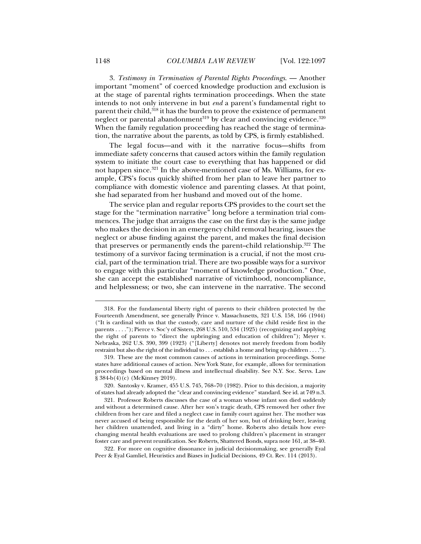3. *Testimony in Termination of Parental Rights Proceedings*. — Another important "moment" of coerced knowledge production and exclusion is at the stage of parental rights termination proceedings. When the state intends to not only intervene in but *end* a parent's fundamental right to parent their child,<sup>318</sup> it has the burden to prove the existence of permanent neglect or parental abandonment<sup>319</sup> by clear and convincing evidence.<sup>320</sup> When the family regulation proceeding has reached the stage of termination, the narrative about the parents, as told by CPS, is firmly established.

The legal focus—and with it the narrative focus—shifts from immediate safety concerns that caused actors within the family regulation system to initiate the court case to everything that has happened or did not happen since.<sup>321</sup> In the above-mentioned case of Ms. Williams, for example, CPS's focus quickly shifted from her plan to leave her partner to compliance with domestic violence and parenting classes. At that point, she had separated from her husband and moved out of the home.

The service plan and regular reports CPS provides to the court set the stage for the "termination narrative" long before a termination trial commences. The judge that arraigns the case on the first day is the same judge who makes the decision in an emergency child removal hearing, issues the neglect or abuse finding against the parent, and makes the final decision that preserves or permanently ends the parent--child relationship.322 The testimony of a survivor facing termination is a crucial, if not the most crucial, part of the termination trial. There are two possible ways for a survivor to engage with this particular "moment of knowledge production." One, she can accept the established narrative of victimhood, noncompliance, and helplessness; or two, she can intervene in the narrative. The second

 <sup>318.</sup> For the fundamental liberty right of parents to their children protected by the Fourteenth Amendment, see generally Prince v. Massachusetts, 321 U.S. 158, 166 (1944) ("It is cardinal with us that the custody, care and nurture of the child reside first in the parents . . . ."); Pierce v. Soc'y of Sisters, 268 U.S. 510, 534 (1925) (recognizing and applying the right of parents to "direct the upbringing and education of children"); Meyer v. Nebraska, 262 U.S. 390, 399 (1923) ("[Liberty] denotes not merely freedom from bodily restraint but also the right of the individual to . . . establish a home and bring up children . . . .").

 <sup>319.</sup> These are the most common causes of actions in termination proceedings. Some states have additional causes of action. New York State, for example, allows for termination proceedings based on mental illness and intellectual disability. See N.Y. Soc. Servs. Law § 384-b(4)(c) (McKinney 2019).

 <sup>320.</sup> Santosky v. Kramer, 455 U.S. 745, 768–70 (1982). Prior to this decision, a majority of states had already adopted the "clear and convincing evidence" standard. See id. at 749 n.3.

 <sup>321.</sup> Professor Roberts discusses the case of a woman whose infant son died suddenly and without a determined cause. After her son's tragic death, CPS removed her other five children from her care and filed a neglect case in family court against her. The mother was never accused of being responsible for the death of her son, but of drinking beer, leaving her children unattended, and living in a "dirty" home. Roberts also details how everchanging mental health evaluations are used to prolong children's placement in stranger foster care and prevent reunification. See Roberts, Shattered Bonds, supra note 161, at 38–40.

 <sup>322.</sup> For more on cognitive dissonance in judicial decisionmaking, see generally Eyal Peer & Eyal Gamliel, Heuristics and Biases in Judicial Decisions, 49 Ct. Rev. 114 (2013).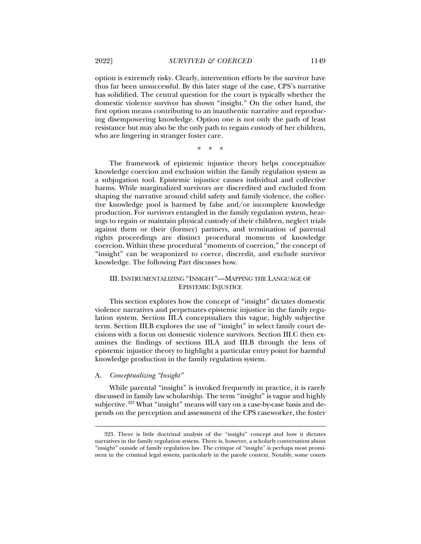option is extremely risky. Clearly, intervention efforts by the survivor have thus far been unsuccessful. By this later stage of the case, CPS's narrative has solidified. The central question for the court is typically whether the domestic violence survivor has shown "insight." On the other hand, the first option means contributing to an inauthentic narrative and reproducing disempowering knowledge. Option one is not only the path of least resistance but may also be the only path to regain custody of her children, who are lingering in stranger foster care.

\* \* \*

The framework of epistemic injustice theory helps conceptualize knowledge coercion and exclusion within the family regulation system as a subjugation tool. Epistemic injustice causes individual and collective harms. While marginalized survivors are discredited and excluded from shaping the narrative around child safety and family violence, the collective knowledge pool is harmed by false and/or incomplete knowledge production. For survivors entangled in the family regulation system, hearings to regain or maintain physical custody of their children, neglect trials against them or their (former) partners, and termination of parental rights proceedings are distinct procedural moments of knowledge coercion. Within these procedural "moments of coercion," the concept of "insight" can be weaponized to coerce, discredit, and exclude survivor knowledge. The following Part discusses how.

# III. INSTRUMENTALIZING "INSIGHT"—MAPPING THE LANGUAGE OF EPISTEMIC INJUSTICE

This section explores how the concept of "insight" dictates domestic violence narratives and perpetuates epistemic injustice in the family regulation system. Section III.A conceptualizes this vague, highly subjective term. Section III.B explores the use of "insight" in select family court decisions with a focus on domestic violence survivors. Section III.C then examines the findings of sections III.A and III.B through the lens of epistemic injustice theory to highlight a particular entry point for harmful knowledge production in the family regulation system.

# A. *Conceptualizing "Insight"*

j

While parental "insight" is invoked frequently in practice, it is rarely discussed in family law scholarship. The term "insight" is vague and highly subjective.<sup>323</sup> What "insight" means will vary on a case-by-case basis and depends on the perception and assessment of the CPS caseworker, the foster

 <sup>323.</sup> There is little doctrinal analysis of the "insight" concept and how it dictates narratives in the family regulation system. There is, however, a scholarly conversation about "insight" outside of family regulation law. The critique of "insight" is perhaps most prominent in the criminal legal system, particularly in the parole context. Notably, some courts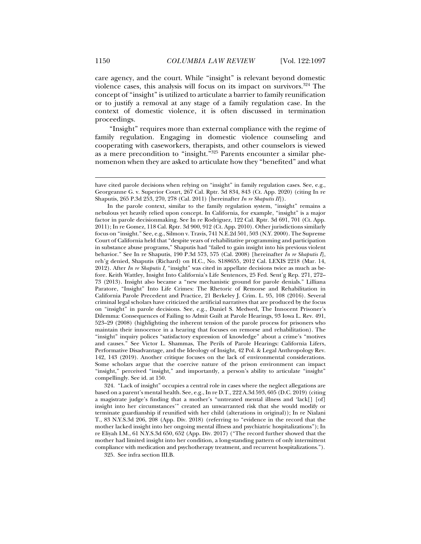care agency, and the court. While "insight" is relevant beyond domestic violence cases, this analysis will focus on its impact on survivors.324 The concept of "insight" is utilized to articulate a barrier to family reunification or to justify a removal at any stage of a family regulation case. In the context of domestic violence, it is often discussed in termination proceedings.

"Insight" requires more than external compliance with the regime of family regulation. Engaging in domestic violence counseling and cooperating with caseworkers, therapists, and other counselors is viewed as a mere precondition to "insight."325 Parents encounter a similar phenomenon when they are asked to articulate how they "benefited" and what

 324. "Lack of insight" occupies a central role in cases where the neglect allegations are based on a parent's mental health. See, e.g., In re D.T., 222 A.3d 593, 605 (D.C. 2019) (citing a magistrate judge's finding that a mother's "untreated mental illness and 'lack[] [of] insight into her circumstances'" created an unwarranted risk that she would modify or terminate guardianship if reunified with her child (alterations in original)); In re Nialani T., 83 N.Y.S.3d 206, 208 (App. Div. 2018) (referring to "evidence in the record that the mother lacked insight into her ongoing mental illness and psychiatric hospitalizations"); In re Eliyah I.M., 61 N.Y.S.3d 650, 652 (App. Div. 2017) ("The record further showed that the mother had limited insight into her condition, a long-standing pattern of only intermittent compliance with medication and psychotherapy treatment, and recurrent hospitalizations.").

325. See infra section III.B.

have cited parole decisions when relying on "insight" in family regulation cases. See, e.g., Georgeanne G. v. Superior Court, 267 Cal. Rptr. 3d 834, 843 (Ct. App. 2020) (citing In re Shaputis, 265 P.3d 253, 270, 278 (Cal. 2011) [hereinafter *In re Shaputis II*]).

In the parole context, similar to the family regulation system, "insight" remains a nebulous yet heavily relied upon concept. In California, for example, "insight" is a major factor in parole decisionmaking. See In re Rodriguez, 122 Cal. Rptr. 3d 691, 701 (Ct. App. 2011); In re Gomez, 118 Cal. Rptr. 3d 900, 912 (Ct. App. 2010). Other jurisdictions similarly focus on "insight." See, e.g., Silmon v. Travis, 741 N.E.2d 501, 503 (N.Y. 2000). The Supreme Court of California held that "despite years of rehabilitative programming and participation in substance abuse programs," Shaputis had "failed to gain insight into his previous violent behavior." See In re Shaputis, 190 P.3d 573, 575 (Cal. 2008) [hereinafter *In re Shaputis I*], reh'g denied, Shaputis (Richard) on H.C., No. S188655, 2012 Cal. LEXIS 2218 (Mar. 14, 2012). After *In re Shaputis I*, "insight" was cited in appellate decisions twice as much as before. Keith Wattley, Insight Into California's Life Sentences, 25 Fed. Sent'g Rep. 271, 272– 73 (2013). Insight also became a "new mechanistic ground for parole denials." Lilliana Paratore, "Insight" Into Life Crimes: The Rhetoric of Remorse and Rehabilitation in California Parole Precedent and Practice, 21 Berkeley J. Crim. L. 95, 108 (2016). Several criminal legal scholars have criticized the artificial narratives that are produced by the focus on "insight" in parole decisions. See, e.g., Daniel S. Medwed, The Innocent Prisoner's Dilemma: Consequences of Failing to Admit Guilt at Parole Hearings, 93 Iowa L. Rev. 491, 523–29 (2008) (highlighting the inherent tension of the parole process for prisoners who maintain their innocence in a hearing that focuses on remorse and rehabilitation). The "insight" inquiry polices "satisfactory expression of knowledge" about a crime's "motives and causes." See Victor L. Shammas, The Perils of Parole Hearings: California Lifers, Performative Disadvantage, and the Ideology of Insight, 42 Pol. & Legal Anthropology Rev. 142, 143 (2019). Another critique focuses on the lack of environmental considerations. Some scholars argue that the coercive nature of the prison environment can impact "insight," perceived "insight," and importantly, a person's ability to articulate "insight" compellingly. See id. at 150.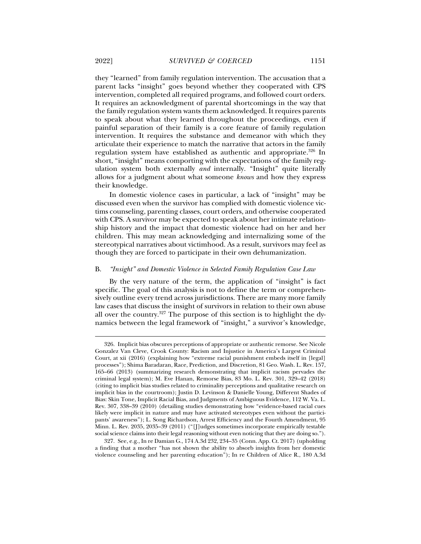they "learned" from family regulation intervention. The accusation that a parent lacks "insight" goes beyond whether they cooperated with CPS intervention, completed all required programs, and followed court orders. It requires an acknowledgment of parental shortcomings in the way that the family regulation system wants them acknowledged. It requires parents to speak about what they learned throughout the proceedings, even if painful separation of their family is a core feature of family regulation intervention. It requires the substance and demeanor with which they articulate their experience to match the narrative that actors in the family regulation system have established as authentic and appropriate.<sup>326</sup> In short, "insight" means comporting with the expectations of the family regulation system both externally *and* internally. "Insight" quite literally allows for a judgment about what someone *knows* and how they express their knowledge.

In domestic violence cases in particular, a lack of "insight" may be discussed even when the survivor has complied with domestic violence victims counseling, parenting classes, court orders, and otherwise cooperated with CPS. A survivor may be expected to speak about her intimate relationship history and the impact that domestic violence had on her and her children. This may mean acknowledging and internalizing some of the stereotypical narratives about victimhood. As a result, survivors may feel as though they are forced to participate in their own dehumanization.

# B. *"Insight" and Domestic Violence in Selected Family Regulation Case Law*

By the very nature of the term, the application of "insight" is fact specific. The goal of this analysis is not to define the term or comprehensively outline every trend across jurisdictions. There are many more family law cases that discuss the insight of survivors in relation to their own abuse all over the country.<sup>327</sup> The purpose of this section is to highlight the dynamics between the legal framework of "insight," a survivor's knowledge,

 <sup>326.</sup> Implicit bias obscures perceptions of appropriate or authentic remorse. See Nicole Gonzalez Van Cleve, Crook County: Racism and Injustice in America's Largest Criminal Court, at xii (2016) (explaining how "extreme racial punishment embeds itself in [legal] processes"); Shima Baradaran, Race, Prediction, and Discretion, 81 Geo. Wash. L. Rev. 157, 165–66 (2013) (summarizing research demonstrating that implicit racism pervades the criminal legal system); M. Eve Hanan, Remorse Bias, 83 Mo. L. Rev. 301, 329–42 (2018) (citing to implicit bias studies related to criminality perceptions and qualitative research on implicit bias in the courtroom); Justin D. Levinson & Danielle Young, Different Shades of Bias: Skin Tone, Implicit Racial Bias, and Judgments of Ambiguous Evidence, 112 W. Va. L. Rev. 307, 338–39 (2010) (detailing studies demonstrating how "evidence-based racial cues likely were implicit in nature and may have activated stereotypes even without the participants' awareness"); L. Song Richardson, Arrest Efficiency and the Fourth Amendment, 95 Minn. L. Rev. 2035, 2035–39 (2011) ("[J]udges sometimes incorporate empirically testable social science claims into their legal reasoning without even noticing that they are doing so.").

 <sup>327.</sup> See, e.g., In re Damian G., 174 A.3d 232, 234–35 (Conn. App. Ct. 2017) (upholding a finding that a mother "has not shown the ability to absorb insights from her domestic violence counseling and her parenting education"); In re Children of Alice R., 180 A.3d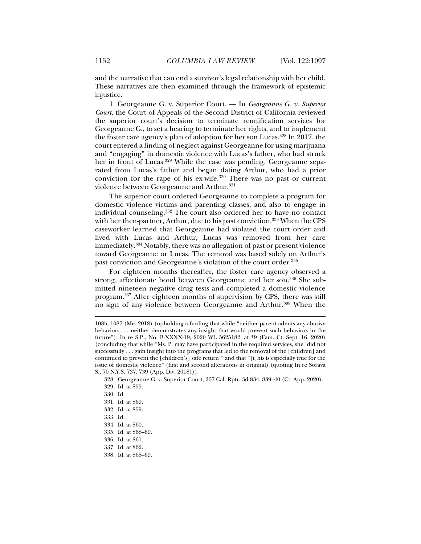and the narrative that can end a survivor's legal relationship with her child. These narratives are then examined through the framework of epistemic injustice.

1. Georgeanne G. v. Superior Court. — In *Georgeanne G. v. Superior Court*, the Court of Appeals of the Second District of California reviewed the superior court's decision to terminate reunification services for Georgeanne G., to set a hearing to terminate her rights, and to implement the foster care agency's plan of adoption for her son Lucas.<sup>328</sup> In 2017, the court entered a finding of neglect against Georgeanne for using marijuana and "engaging" in domestic violence with Lucas's father, who had struck her in front of Lucas.<sup>329</sup> While the case was pending, Georgeanne separated from Lucas's father and began dating Arthur, who had a prior conviction for the rape of his ex-wife.330 There was no past or current violence between Georgeanne and Arthur.<sup>331</sup>

The superior court ordered Georgeanne to complete a program for domestic violence victims and parenting classes, and also to engage in individual counseling.332 The court also ordered her to have no contact with her then-partner, Arthur, due to his past conviction.<sup>333</sup> When the CPS caseworker learned that Georgeanne had violated the court order and lived with Lucas and Arthur, Lucas was removed from her care immediately.334 Notably, there was no allegation of past or present violence toward Georgeanne or Lucas. The removal was based solely on Arthur's past conviction and Georgeanne's violation of the court order.335

For eighteen months thereafter, the foster care agency observed a strong, affectionate bond between Georgeanne and her son.336 She submitted nineteen negative drug tests and completed a domestic violence program.337 After eighteen months of supervision by CPS, there was still no sign of any violence between Georgeanne and Arthur.338 When the

j

336. Id. at 861.

<sup>1085, 1087 (</sup>Me. 2018) (upholding a finding that while "neither parent admits any abusive behaviors . . . neither demonstrates any insight that would prevent such behaviors in the future"); In re S.P., No. B-XXXX-19, 2020 WL 5625182, at \*9 (Fam. Ct. Sept. 16, 2020) (concluding that while "Ms. P. may have participated in the required services, she 'did not successfully . . . gain insight into the programs that led to the removal of the [children] and continued to prevent the [children's] safe return'" and that "[t]his is especially true for the issue of domestic violence" (first and second alterations in original) (quoting In re Soraya S., 70 N.Y.S. 737, 739 (App. Div. 2018))).

 <sup>328.</sup> Georgeanne G. v. Superior Court, 267 Cal. Rptr. 3d 834, 839–40 (Ct. App. 2020).

 <sup>329.</sup> Id. at 859.

 <sup>330.</sup> Id.

 <sup>331.</sup> Id. at 869.

 <sup>332.</sup> Id. at 859.

 <sup>333.</sup> Id.

 <sup>334.</sup> Id. at 860.

 <sup>335.</sup> Id. at 868–69.

 <sup>337.</sup> Id. at 862.

 <sup>338.</sup> Id. at 868–69.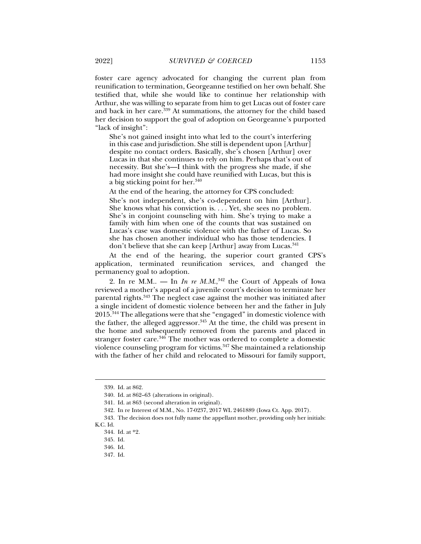foster care agency advocated for changing the current plan from reunification to termination, Georgeanne testified on her own behalf. She testified that, while she would like to continue her relationship with Arthur, she was willing to separate from him to get Lucas out of foster care and back in her care.339 At summations, the attorney for the child based her decision to support the goal of adoption on Georgeanne's purported "lack of insight":

She's not gained insight into what led to the court's interfering in this case and jurisdiction. She still is dependent upon [Arthur] despite no contact orders. Basically, she's chosen [Arthur] over Lucas in that she continues to rely on him. Perhaps that's out of necessity. But she's—I think with the progress she made, if she had more insight she could have reunified with Lucas, but this is a big sticking point for her.<sup>340</sup>

At the end of the hearing, the attorney for CPS concluded:

She's not independent, she's co-dependent on him [Arthur]. She knows what his conviction is. . . . Yet, she sees no problem. She's in conjoint counseling with him. She's trying to make a family with him when one of the counts that was sustained on Lucas's case was domestic violence with the father of Lucas. So she has chosen another individual who has those tendencies. I don't believe that she can keep [Arthur] away from Lucas.<sup>341</sup>

At the end of the hearing, the superior court granted CPS's application, terminated reunification services, and changed the permanency goal to adoption.

2. In re M.M.. — In *In re M.M.*<sup>342</sup> the Court of Appeals of Iowa reviewed a mother's appeal of a juvenile court's decision to terminate her parental rights.<sup>343</sup> The neglect case against the mother was initiated after a single incident of domestic violence between her and the father in July 2015.344 The allegations were that she "engaged" in domestic violence with the father, the alleged aggressor.<sup>345</sup> At the time, the child was present in the home and subsequently removed from the parents and placed in stranger foster care.<sup>346</sup> The mother was ordered to complete a domestic violence counseling program for victims.<sup>347</sup> She maintained a relationship with the father of her child and relocated to Missouri for family support,

j

347. Id.

 <sup>339.</sup> Id. at 862.

 <sup>340.</sup> Id. at 862–63 (alterations in original).

 <sup>341.</sup> Id. at 863 (second alteration in original).

 <sup>342.</sup> In re Interest of M.M., No. 17-0237, 2017 WL 2461889 (Iowa Ct. App. 2017).

 <sup>343.</sup> The decision does not fully name the appellant mother, providing only her initials: K.C. Id.

 <sup>344.</sup> Id. at \*2.

 <sup>345.</sup> Id.

 <sup>346.</sup> Id.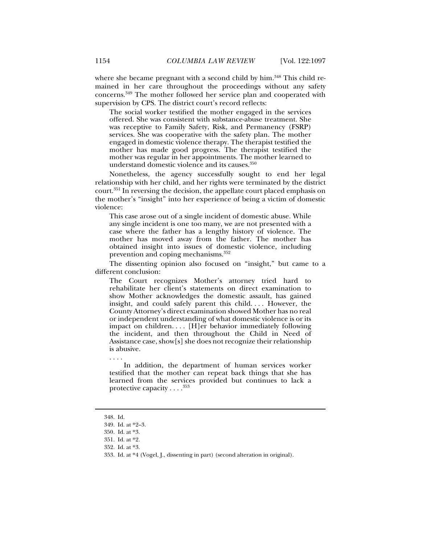where she became pregnant with a second child by him.<sup>348</sup> This child remained in her care throughout the proceedings without any safety concerns.349 The mother followed her service plan and cooperated with supervision by CPS. The district court's record reflects:

The social worker testified the mother engaged in the services offered. She was consistent with substance-abuse treatment. She was receptive to Family Safety, Risk, and Permanency (FSRP) services. She was cooperative with the safety plan. The mother engaged in domestic violence therapy. The therapist testified the mother has made good progress. The therapist testified the mother was regular in her appointments. The mother learned to understand domestic violence and its causes.350

Nonetheless, the agency successfully sought to end her legal relationship with her child, and her rights were terminated by the district court.351 In reversing the decision, the appellate court placed emphasis on the mother's "insight" into her experience of being a victim of domestic violence:

This case arose out of a single incident of domestic abuse. While any single incident is one too many, we are not presented with a case where the father has a lengthy history of violence. The mother has moved away from the father. The mother has obtained insight into issues of domestic violence, including prevention and coping mechanisms.<sup>352</sup>

The dissenting opinion also focused on "insight," but came to a different conclusion:

The Court recognizes Mother's attorney tried hard to rehabilitate her client's statements on direct examination to show Mother acknowledges the domestic assault, has gained insight, and could safely parent this child. . . . However, the County Attorney's direct examination showed Mother has no real or independent understanding of what domestic violence is or its impact on children. . . . [H]er behavior immediately following the incident, and then throughout the Child in Need of Assistance case, show[s] she does not recognize their relationship is abusive.

In addition, the department of human services worker testified that the mother can repeat back things that she has learned from the services provided but continues to lack a protective capacity  $\dots$ .<sup>353</sup>

j

. . . .

 <sup>348.</sup> Id.

 <sup>349.</sup> Id. at \*2–3.

<sup>350</sup>*.* Id. at \*3.

 <sup>351.</sup> Id. at \*2.

 <sup>352.</sup> Id. at \*3.

 <sup>353.</sup> Id. at \*4 (Vogel, J., dissenting in part) (second alteration in original).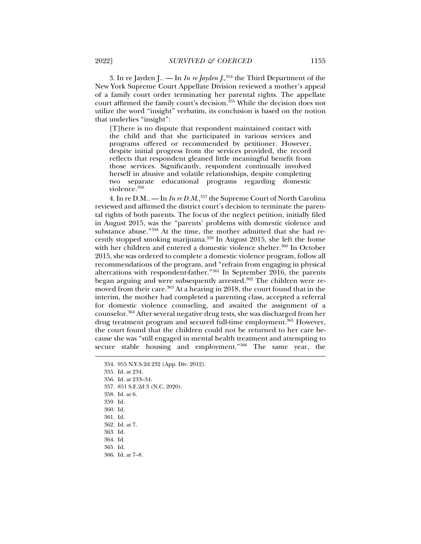3. In re Jayden J.*.* — In *In re Jayden J*.,354 the Third Department of the New York Supreme Court Appellate Division reviewed a mother's appeal of a family court order terminating her parental rights. The appellate court affirmed the family court's decision.<sup>355</sup> While the decision does not utilize the word "insight" verbatim, its conclusion is based on the notion that underlies "insight":

[T]here is no dispute that respondent maintained contact with the child and that she participated in various services and programs offered or recommended by petitioner. However, despite initial progress from the services provided, the record reflects that respondent gleaned little meaningful benefit from those services. Significantly, respondent continually involved herself in abusive and volatile relationships, despite completing two separate educational programs regarding domestic violence.356

4. In re D.M.. — In *In re D.M.*,<sup>357</sup> the Supreme Court of North Carolina reviewed and affirmed the district court's decision to terminate the parental rights of both parents. The focus of the neglect petition, initially filed in August 2015, was the "parents' problems with domestic violence and substance abuse."358 At the time, the mother admitted that she had recently stopped smoking marijuana.<sup>359</sup> In August 2015, she left the home with her children and entered a domestic violence shelter.<sup>360</sup> In October 2015, she was ordered to complete a domestic violence program, follow all recommendations of the program, and "refrain from engaging in physical altercations with respondent-father."361 In September 2016, the parents began arguing and were subsequently arrested.362 The children were removed from their care.<sup>363</sup> At a hearing in 2018, the court found that in the interim, the mother had completed a parenting class, accepted a referral for domestic violence counseling, and awaited the assignment of a counselor.364 After several negative drug tests, she was discharged from her drug treatment program and secured full-time employment.<sup>365</sup> However, the court found that the children could not be returned to her care because she was "still engaged in mental health treatment and attempting to secure stable housing and employment."366 The same year, the

j

362. Id. at 7.

 <sup>354. 955</sup> N.Y.S.2d 232 (App. Div. 2012).

 <sup>355.</sup> Id. at 234.

 <sup>356.</sup> Id. at 233–34.

 <sup>357. 851</sup> S.E.2d 3 (N.C. 2020).

 <sup>358.</sup> Id. at 6.

 <sup>359.</sup> Id.

 <sup>360.</sup> Id.

 <sup>361.</sup> Id.

 <sup>363.</sup> Id.

 <sup>364.</sup> Id.

 <sup>365.</sup> Id.

 <sup>366.</sup> Id. at 7–8.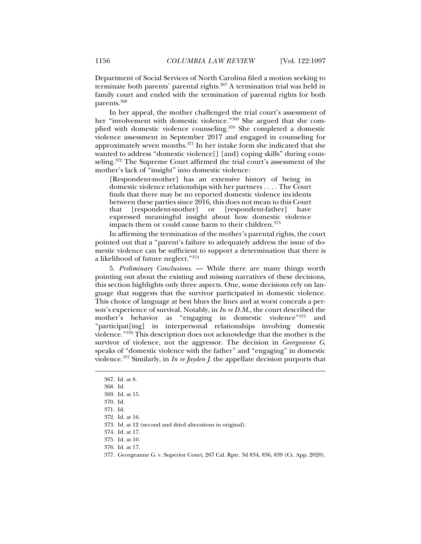Department of Social Services of North Carolina filed a motion seeking to terminate both parents' parental rights.<sup>367</sup> A termination trial was held in family court and ended with the termination of parental rights for both parents.368

In her appeal, the mother challenged the trial court's assessment of her "involvement with domestic violence."369 She argued that she complied with domestic violence counseling.370 She completed a domestic violence assessment in September 2017 and engaged in counseling for approximately seven months.371 In her intake form she indicated that she wanted to address "domestic violence[] [and] coping skills" during counseling.<sup>372</sup> The Supreme Court affirmed the trial court's assessment of the mother's lack of "insight" into domestic violence:

[Respondent-mother] has an extensive history of being in domestic violence relationships with her partners . . . . The Court finds that there may be no reported domestic violence incidents between these parties since 2016, this does not mean to this Court that [respondent-mother] or [respondent-father] have expressed meaningful insight about how domestic violence impacts them or could cause harm to their children.<sup>373</sup>

In affirming the termination of the mother's parental rights, the court pointed out that a "parent's failure to adequately address the issue of domestic violence can be sufficient to support a determination that there is a likelihood of future neglect."374

5. *Preliminary Conclusions*. — While there are many things worth pointing out about the existing and missing narratives of these decisions, this section highlights only three aspects. One, some decisions rely on language that suggests that the survivor participated in domestic violence. This choice of language at best blurs the lines and at worst conceals a person's experience of survival. Notably, in *In re D.M*., the court described the mother's behavior as "engaging in domestic violence"375 and "participat[ing] in interpersonal relationships involving domestic violence."376 This description does not acknowledge that the mother is the survivor of violence, not the aggressor. The decision in *Georgeanne G*. speaks of "domestic violence with the father" and "engaging" in domestic violence.377 Similarly, in *In re Jayden J.* the appellate decision purports that

 <sup>367.</sup> Id. at 8.

 <sup>368.</sup> Id.

 <sup>369.</sup> Id. at 15.

 <sup>370.</sup> Id.

 <sup>371.</sup> Id.

 <sup>372.</sup> Id. at 16.

 <sup>373.</sup> Id. at 12 (second and third alterations in original).

 <sup>374.</sup> Id. at 17.

 <sup>375.</sup> Id. at 10.

 <sup>376.</sup> Id. at 17.

 <sup>377.</sup> Georgeanne G. v. Superior Court, 267 Cal. Rptr. 3d 834, 836, 839 (Ct. App. 2020).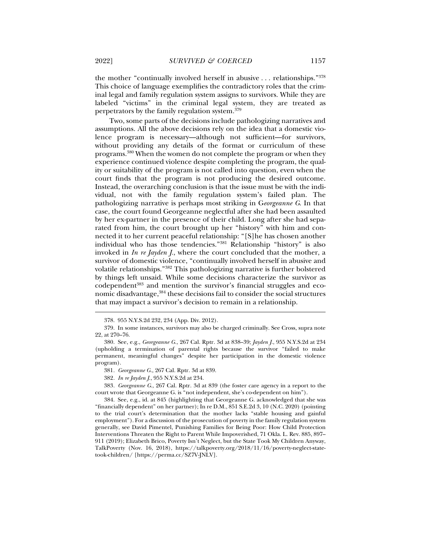the mother "continually involved herself in abusive . . . relationships."378 This choice of language exemplifies the contradictory roles that the criminal legal and family regulation system assigns to survivors. While they are labeled "victims" in the criminal legal system, they are treated as perpetrators by the family regulation system.379

Two, some parts of the decisions include pathologizing narratives and assumptions. All the above decisions rely on the idea that a domestic violence program is necessary—although not sufficient—for survivors, without providing any details of the format or curriculum of these programs.380 When the women do not complete the program or when they experience continued violence despite completing the program, the quality or suitability of the program is not called into question, even when the court finds that the program is not producing the desired outcome. Instead, the overarching conclusion is that the issue must be with the individual, not with the family regulation system's failed plan. The pathologizing narrative is perhaps most striking in G*eorgeanne G*. In that case, the court found Georgeanne neglectful after she had been assaulted by her ex-partner in the presence of their child. Long after she had separated from him, the court brought up her "history" with him and connected it to her current peaceful relationship: "[S]he has chosen another individual who has those tendencies."381 Relationship "history" is also invoked in *In re Jayden J.*, where the court concluded that the mother, a survivor of domestic violence, "continually involved herself in abusive and volatile relationships."382 This pathologizing narrative is further bolstered by things left unsaid. While some decisions characterize the survivor as codependent<sup>383</sup> and mention the survivor's financial struggles and economic disadvantage,<sup>384</sup> these decisions fail to consider the social structures that may impact a survivor's decision to remain in a relationship.

383*. Georgeanne G.*, 267 Cal. Rptr. 3d at 839 (the foster care agency in a report to the court wrote that Georgeanne G. is "not independent, she's co-dependent on him").

 384. See, e.g., id. at 845 (highlighting that Georgeanne G. acknowledged that she was "financially dependent" on her partner); In re D.M., 851 S.E.2d 3, 10 (N.C. 2020) (pointing to the trial court's determination that the mother lacks "stable housing and gainful employment"). For a discussion of the prosecution of poverty in the family regulation system generally, see David Pimentel, Punishing Families for Being Poor: How Child Protection Interventions Threaten the Right to Parent While Impoverished, 71 Okla. L. Rev. 885, 897– 911 (2019); Elizabeth Brico, Poverty Isn't Neglect, but the State Took My Children Anyway, TalkPoverty (Nov. 16, 2018), https://talkpoverty.org/2018/11/16/poverty-neglect-statetook-children/ [https://perma.cc/SZ7V-JNLV].

 <sup>378. 955</sup> N.Y.S.2d 232, 234 (App. Div. 2012).

 <sup>379.</sup> In some instances, survivors may also be charged criminally. See Cross, supra note 22, at 270–76.

 <sup>380.</sup> See, e.g., *Georgeanne G.*, 267 Cal. Rptr. 3d at 838–39; *Jayden J.*, 955 N.Y.S.2d at 234 (upholding a termination of parental rights because the survivor "failed to make permanent, meaningful changes" despite her participation in the domestic violence program).

<sup>381</sup>*. Georgeanne G.*, 267 Cal. Rptr. 3d at 839.

<sup>382</sup>*. In re Jayden J.*, 955 N.Y.S.2d at 234.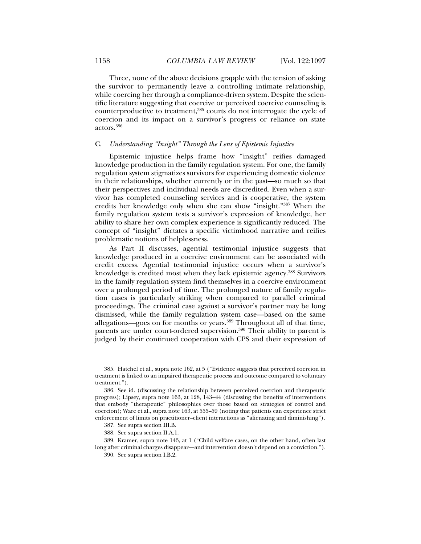Three, none of the above decisions grapple with the tension of asking the survivor to permanently leave a controlling intimate relationship, while coercing her through a compliance-driven system. Despite the scientific literature suggesting that coercive or perceived coercive counseling is counterproductive to treatment,385 courts do not interrogate the cycle of coercion and its impact on a survivor's progress or reliance on state actors.386

## C. *Understanding "Insight" Through the Lens of Epistemic Injustice*

Epistemic injustice helps frame how "insight" reifies damaged knowledge production in the family regulation system. For one, the family regulation system stigmatizes survivors for experiencing domestic violence in their relationships, whether currently or in the past—so much so that their perspectives and individual needs are discredited. Even when a survivor has completed counseling services and is cooperative, the system credits her knowledge only when she can show "insight."387 When the family regulation system tests a survivor's expression of knowledge, her ability to share her own complex experience is significantly reduced. The concept of "insight" dictates a specific victimhood narrative and reifies problematic notions of helplessness.

As Part II discusses, agential testimonial injustice suggests that knowledge produced in a coercive environment can be associated with credit excess. Agential testimonial injustice occurs when a survivor's knowledge is credited most when they lack epistemic agency.388 Survivors in the family regulation system find themselves in a coercive environment over a prolonged period of time. The prolonged nature of family regulation cases is particularly striking when compared to parallel criminal proceedings. The criminal case against a survivor's partner may be long dismissed, while the family regulation system case—based on the same allegations—goes on for months or years.389 Throughout all of that time, parents are under court-ordered supervision.<sup>390</sup> Their ability to parent is judged by their continued cooperation with CPS and their expression of

 <sup>385.</sup> Hatchel et al., supra note 162, at 5 ("Evidence suggests that perceived coercion in treatment is linked to an impaired therapeutic process and outcome compared to voluntary treatment.").

 <sup>386.</sup> See id. (discussing the relationship between perceived coercion and therapeutic progress); Lipsey, supra note 163, at 128, 143–44 (discussing the benefits of interventions that embody "therapeutic" philosophies over those based on strategies of control and coercion); Ware et al., supra note 163, at 555–59 (noting that patients can experience strict enforcement of limits on practitioner–client interactions as "alienating and diminishing").

 <sup>387.</sup> See supra section III.B.

 <sup>388.</sup> See supra section II.A.1.

 <sup>389.</sup> Kramer, supra note 143, at 1 ("Child welfare cases, on the other hand, often last long after criminal charges disappear—and intervention doesn't depend on a conviction.").

 <sup>390.</sup> See supra section I.B.2.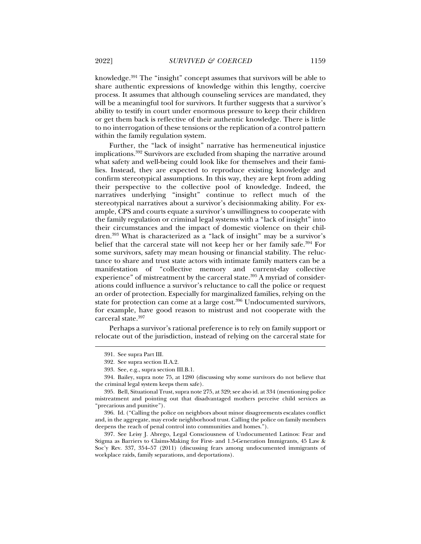knowledge.391 The "insight" concept assumes that survivors will be able to share authentic expressions of knowledge within this lengthy, coercive process. It assumes that although counseling services are mandated, they will be a meaningful tool for survivors. It further suggests that a survivor's ability to testify in court under enormous pressure to keep their children or get them back is reflective of their authentic knowledge. There is little to no interrogation of these tensions or the replication of a control pattern within the family regulation system.

Further, the "lack of insight" narrative has hermeneutical injustice implications.392 Survivors are excluded from shaping the narrative around what safety and well-being could look like for themselves and their families. Instead, they are expected to reproduce existing knowledge and confirm stereotypical assumptions. In this way, they are kept from adding their perspective to the collective pool of knowledge. Indeed, the narratives underlying "insight" continue to reflect much of the stereotypical narratives about a survivor's decisionmaking ability. For example, CPS and courts equate a survivor's unwillingness to cooperate with the family regulation or criminal legal systems with a "lack of insight" into their circumstances and the impact of domestic violence on their children.393 What is characterized as a "lack of insight" may be a survivor's belief that the carceral state will not keep her or her family safe.<sup>394</sup> For some survivors, safety may mean housing or financial stability. The reluctance to share and trust state actors with intimate family matters can be a manifestation of "collective memory and current-day collective experience" of mistreatment by the carceral state.<sup>395</sup> A myriad of considerations could influence a survivor's reluctance to call the police or request an order of protection. Especially for marginalized families, relying on the state for protection can come at a large cost.<sup>396</sup> Undocumented survivors, for example, have good reason to mistrust and not cooperate with the carceral state.<sup>397</sup>

Perhaps a survivor's rational preference is to rely on family support or relocate out of the jurisdiction, instead of relying on the carceral state for

j

 396. Id. ("Calling the police on neighbors about minor disagreements escalates conflict and, in the aggregate, may erode neighborhood trust. Calling the police on family members deepens the reach of penal control into communities and homes.").

 397. See Leisy J. Abrego, Legal Consciousness of Undocumented Latinos: Fear and Stigma as Barriers to Claims-Making for First- and 1.5-Generation Immigrants, 45 Law & Soc'y Rev. 337, 354–57 (2011) (discussing fears among undocumented immigrants of workplace raids, family separations, and deportations).

 <sup>391.</sup> See supra Part III.

 <sup>392.</sup> See supra section II.A.2.

 <sup>393.</sup> See, e.g., supra section III.B.1.

 <sup>394.</sup> Bailey, supra note 75, at 1280 (discussing why some survivors do not believe that the criminal legal system keeps them safe).

 <sup>395.</sup> Bell, Situational Trust, supra note 275, at 329; see also id. at 334 (mentioning police mistreatment and pointing out that disadvantaged mothers perceive child services as "precarious and punitive").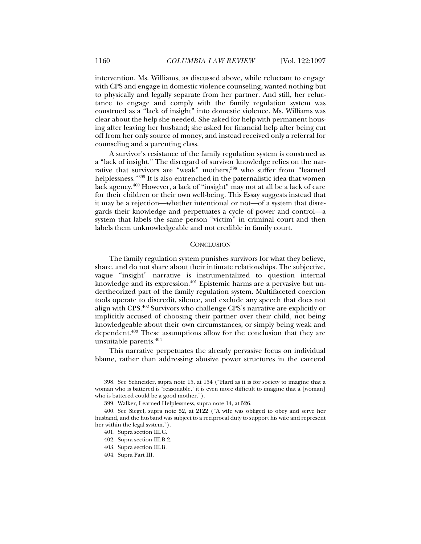intervention. Ms. Williams, as discussed above, while reluctant to engage with CPS and engage in domestic violence counseling, wanted nothing but to physically and legally separate from her partner. And still, her reluctance to engage and comply with the family regulation system was construed as a "lack of insight" into domestic violence. Ms. Williams was clear about the help she needed. She asked for help with permanent housing after leaving her husband; she asked for financial help after being cut off from her only source of money, and instead received only a referral for counseling and a parenting class.

A survivor's resistance of the family regulation system is construed as a "lack of insight." The disregard of survivor knowledge relies on the narrative that survivors are "weak" mothers,<sup>398</sup> who suffer from "learned helplessness."399 It is also entrenched in the paternalistic idea that women lack agency.400 However, a lack of "insight" may not at all be a lack of care for their children or their own well-being. This Essay suggests instead that it may be a rejection—whether intentional or not—of a system that disregards their knowledge and perpetuates a cycle of power and control—a system that labels the same person "victim" in criminal court and then labels them unknowledgeable and not credible in family court.

# **CONCLUSION**

The family regulation system punishes survivors for what they believe, share, and do not share about their intimate relationships. The subjective, vague "insight" narrative is instrumentalized to question internal knowledge and its expression.<sup>401</sup> Epistemic harms are a pervasive but undertheorized part of the family regulation system. Multifaceted coercion tools operate to discredit, silence, and exclude any speech that does not align with CPS.402 Survivors who challenge CPS's narrative are explicitly or implicitly accused of choosing their partner over their child, not being knowledgeable about their own circumstances, or simply being weak and dependent.<sup>403</sup> These assumptions allow for the conclusion that they are unsuitable parents.404

This narrative perpetuates the already pervasive focus on individual blame, rather than addressing abusive power structures in the carceral

 <sup>398.</sup> See Schneider, supra note 15, at 154 ("Hard as it is for society to imagine that a woman who is battered is 'reasonable,' it is even more difficult to imagine that a [woman] who is battered could be a good mother.").

 <sup>399.</sup> Walker, Learned Helplessness, supra note 14, at 526.

 <sup>400.</sup> See Siegel, supra note 52, at 2122 ("A wife was obliged to obey and serve her husband, and the husband was subject to a reciprocal duty to support his wife and represent her within the legal system.").

 <sup>401.</sup> Supra section III.C.

 <sup>402.</sup> Supra section III.B.2.

 <sup>403.</sup> Supra section III.B.

 <sup>404.</sup> Supra Part III.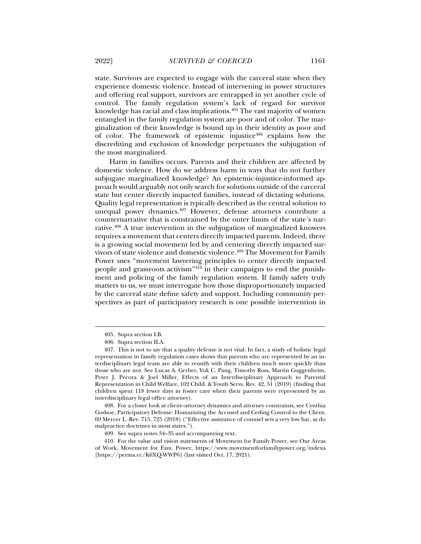state. Survivors are expected to engage with the carceral state when they experience domestic violence. Instead of intervening in power structures and offering real support, survivors are entrapped in yet another cycle of

control. The family regulation system's lack of regard for survivor knowledge has racial and class implications.<sup>405</sup> The vast majority of women entangled in the family regulation system are poor and of color. The marginalization of their knowledge is bound up in their identity as poor and of color. The framework of epistemic injustice $406$  explains how the discrediting and exclusion of knowledge perpetuates the subjugation of the most marginalized.

Harm in families occurs. Parents and their children are affected by domestic violence. How do we address harm in ways that do not further subjugate marginalized knowledge? An epistemic-injustice-informed approach would arguably not only search for solutions outside of the carceral state but center directly impacted families, instead of dictating solutions. Quality legal representation is typically described as the central solution to unequal power dynamics.<sup>407</sup> However, defense attorneys contribute a counternarrative that is constrained by the outer limits of the state's narrative.408 A true intervention in the subjugation of marginalized knowers requires a movement that centers directly impacted parents. Indeed, there is a growing social movement led by and centering directly impacted survivors of state violence and domestic violence.<sup>409</sup> The Movement for Family Power uses "movement lawyering principles to center directly impacted people and grassroots activism"410 in their campaigns to end the punishment and policing of the family regulation system. If family safety truly matters to us, we must interrogate how those disproportionately impacted by the carceral state define safety and support. Including community perspectives as part of participatory research is one possible intervention in

 <sup>405.</sup> Supra section I.B.

 <sup>406.</sup> Supra section II.A.

 <sup>407.</sup> This is not to say that a quality defense is not vital. In fact, a study of holistic legal representation in family regulation cases shows that parents who are represented by an interdisciplinary legal team are able to reunify with their children much more quickly than those who are not. See Lucas A. Gerber, Yuk C. Pang, Timothy Ross, Martin Guggenheim, Peter J. Pecora & Joel Miller, Effects of an Interdisciplinary Approach to Parental Representation in Child Welfare, 102 Child. & Youth Servs. Rev. 42, 51 (2019) (finding that children spent 118 fewer days in foster care when their parents were represented by an interdisciplinary legal office attorney).

 <sup>408.</sup> For a closer look at client–attorney dynamics and attorney constraints, see Cynthia Godsoe, Participatory Defense: Humanizing the Accused and Ceding Control to the Client, 69 Mercer L. Rev. 715, 725 (2018) ("Effective assistance of counsel sets a very low bar, as do malpractice doctrines in most states.").

 <sup>409.</sup> See supra notes 34–35 and accompanying text.

 <sup>410.</sup> For the value and vision statements of Movement for Family Power, see Our Areas of Work, Movement for Fam. Power, https://www.movementforfamilypower.org/indexa [https://perma.cc/K6XQ-WWP6] (last visited Oct. 17, 2021).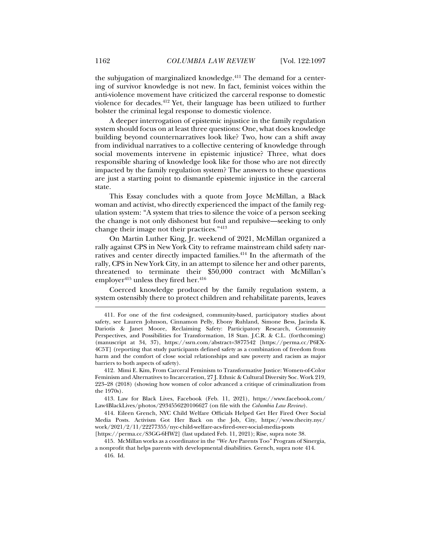the subjugation of marginalized knowledge.<sup>411</sup> The demand for a centering of survivor knowledge is not new. In fact, feminist voices within the anti-violence movement have criticized the carceral response to domestic violence for decades.412 Yet, their language has been utilized to further bolster the criminal legal response to domestic violence.

A deeper interrogation of epistemic injustice in the family regulation system should focus on at least three questions: One, what does knowledge building beyond counternarratives look like? Two, how can a shift away from individual narratives to a collective centering of knowledge through social movements intervene in epistemic injustice? Three, what does responsible sharing of knowledge look like for those who are not directly impacted by the family regulation system? The answers to these questions are just a starting point to dismantle epistemic injustice in the carceral state.

This Essay concludes with a quote from Joyce McMillan, a Black woman and activist, who directly experienced the impact of the family regulation system: "A system that tries to silence the voice of a person seeking the change is not only dishonest but foul and repulsive—seeking to only change their image not their practices."413

On Martin Luther King, Jr. weekend of 2021, McMillan organized a rally against CPS in New York City to reframe mainstream child safety narratives and center directly impacted families.<sup>414</sup> In the aftermath of the rally, CPS in New York City, in an attempt to silence her and other parents, threatened to terminate their \$50,000 contract with McMillan's employer<sup>415</sup> unless they fired her. $416$ 

Coerced knowledge produced by the family regulation system, a system ostensibly there to protect children and rehabilitate parents, leaves

 412. Mimi E. Kim, From Carceral Feminism to Transformative Justice: Women-of-Color Feminism and Alternatives to Incarceration, 27 J. Ethnic & Cultural Diversity Soc. Work 219, 223–28 (2018) (showing how women of color advanced a critique of criminalization from the 1970s).

 413. Law for Black Lives, Facebook (Feb. 11, 2021), https://www.facebook.com/ Law4BlackLives/photos/2934556220106627 (on file with the *Columbia Law Review*).

 414. Eileen Grench, NYC Child Welfare Officials Helped Get Her Fired Over Social Media Posts. Activism Got Her Back on the Job, City, https://www.thecity.nyc/ work/2021/2/11/22277355/nyc-child-welfare-acs-fired-over-social-media-posts

[https://perma.cc/S3GG-6HW2] (last updated Feb. 11, 2021); Rise, supra note 38.

 415. McMillan works as a coordinator in the "We Are Parents Too" Program of Sinergia, a nonprofit that helps parents with developmental disabilities. Grench, supra note 414. 416. Id.

 <sup>411.</sup> For one of the first codesigned, community-based, participatory studies about safety, see Lauren Johnson, Cinnamon Pelly, Ebony Ruhland, Simone Bess, Jacinda K. Dariotis & Janet Moore, Reclaiming Safety: Participatory Research, Community Perspectives, and Possibilities for Transformation, 18 Stan. J.C.R. & C.L. (forthcoming) (manuscript at 34, 37), https://ssrn.com/abstract=3877542 [https://perma.cc/P6EX-4C5T] (reporting that study participants defined safety as a combination of freedom from harm and the comfort of close social relationships and saw poverty and racism as major barriers to both aspects of safety).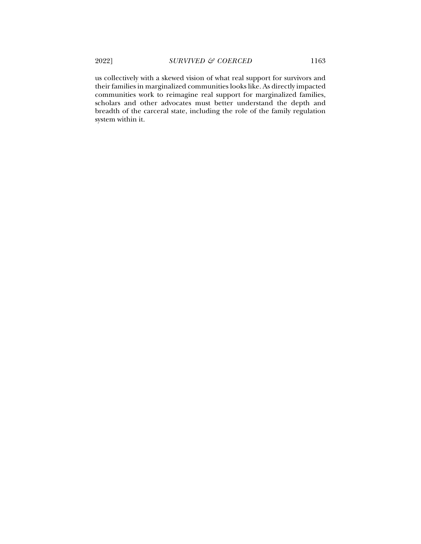us collectively with a skewed vision of what real support for survivors and their families in marginalized communities looks like. As directly impacted communities work to reimagine real support for marginalized families, scholars and other advocates must better understand the depth and breadth of the carceral state, including the role of the family regulation system within it.